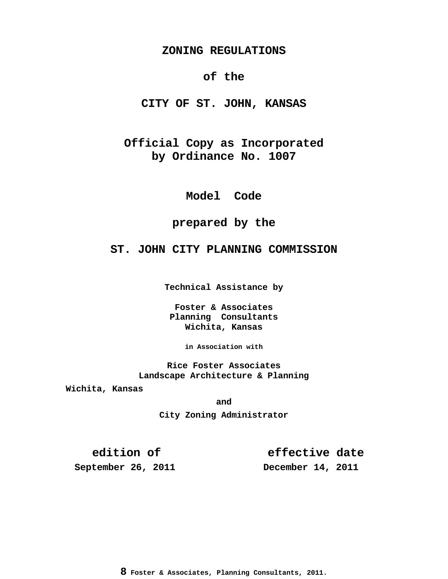### **ZONING REGULATIONS**

# **of the**

**CITY OF ST. JOHN, KANSAS**

**Official Copy as Incorporated by Ordinance No. 1007**

**Model Code**

# **prepared by the**

# **ST. JOHN CITY PLANNING COMMISSION**

**Technical Assistance by**

**Foster & Associates Planning Consultants Wichita, Kansas**

**in Association with**

**Rice Foster Associates Landscape Architecture & Planning**

**Wichita, Kansas**

**and**

**City Zoning Administrator**

**edition of effective date**

**September 26, 2011 December 14, 2011**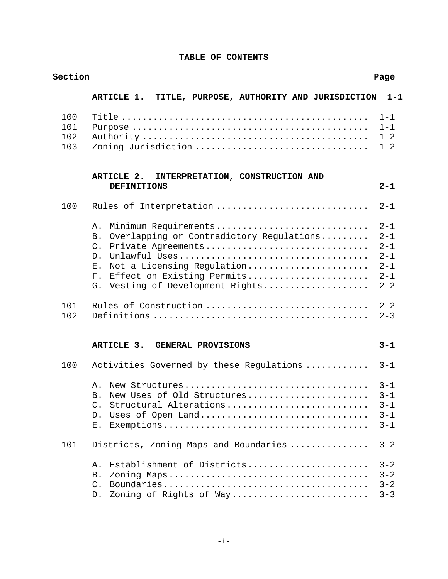| Section                  |                                                                                                                                                                                                                                                           | Page                                                                      |
|--------------------------|-----------------------------------------------------------------------------------------------------------------------------------------------------------------------------------------------------------------------------------------------------------|---------------------------------------------------------------------------|
|                          | ARTICLE 1. TITLE, PURPOSE, AUTHORITY AND JURISDICTION                                                                                                                                                                                                     | $1 - 1$                                                                   |
| 100<br>101<br>102<br>103 | Zoning Jurisdiction                                                                                                                                                                                                                                       | $1 - 1$<br>$1 - 1$<br>$1 - 2$<br>$1 - 2$                                  |
|                          | ARTICLE 2.<br>INTERPRETATION, CONSTRUCTION AND<br><b>DEFINITIONS</b>                                                                                                                                                                                      | $2 - 1$                                                                   |
| 100                      | Rules of Interpretation                                                                                                                                                                                                                                   | $2 - 1$                                                                   |
|                          | Minimum Requirements<br>Α.<br>Overlapping or Contradictory Regulations<br>B.<br>Private Agreements<br>$\mathcal{C}$ .<br>D <sub>1</sub><br>Not a Licensing Regulation<br>$E$ .<br>Effect on Existing Permits<br>$F$ .<br>G. Vesting of Development Rights | $2 - 1$<br>$2 - 1$<br>$2 - 1$<br>$2 - 1$<br>$2 - 1$<br>$2 - 1$<br>$2 - 2$ |
| 101<br>102               | Rules of Construction                                                                                                                                                                                                                                     | $2 - 2$<br>$2 - 3$                                                        |
|                          | ARTICLE 3.<br><b>GENERAL PROVISIONS</b>                                                                                                                                                                                                                   | $3 - 1$                                                                   |
| 100                      | Activities Governed by these Regulations                                                                                                                                                                                                                  | $3 - 1$                                                                   |
|                          | New Structures<br>Α.<br>New Uses of Old Structures<br>В.<br>Structural Alterations<br>Uses of Open Land<br>$D$ .<br>Е.                                                                                                                                    | $3 - 1$<br>$3 - 1$<br>3-1<br>$3 - 1$<br>$3 - 1$                           |
| 101                      | Districts, Zoning Maps and Boundaries                                                                                                                                                                                                                     | $3 - 2$                                                                   |
|                          | Establishment of Districts<br>Α.<br>Β.<br>$\mathcal{C}$ .<br>Zoning of Rights of Way<br>$D$ .                                                                                                                                                             | $3 - 2$<br>$3 - 2$<br>$3 - 2$<br>$3 - 3$                                  |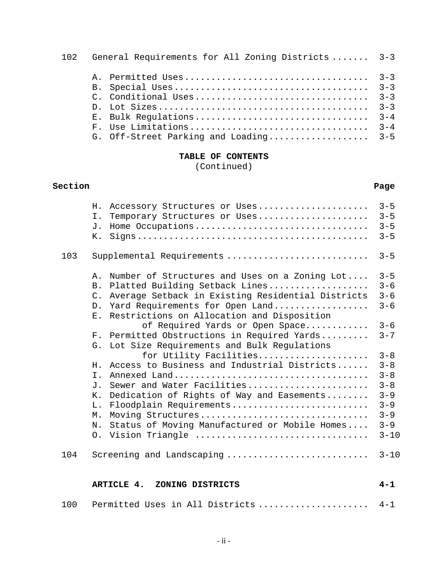| 102 | General Requirements for All Zoning Districts  3-3 |         |
|-----|----------------------------------------------------|---------|
|     |                                                    |         |
|     |                                                    |         |
|     |                                                    |         |
|     |                                                    | $3 - 3$ |
|     | E. Bulk Requlations                                | $3 - 4$ |
|     | F. Use Limitations                                 | $3 - 4$ |
|     | G. Off-Street Parking and Loading 3-5              |         |

(Continued)

# **Section Page**

|     | Accessory Structures or Uses<br>Η.<br>Temporary Structures or Uses<br>Ι.<br>Home Occupations<br>J.<br>К.                                                                                                                                                                                                                                                                                                                                                                                                                                                                                                                                                                                                                                   | $3 - 5$<br>$3 - 5$<br>$3 - 5$<br>$3 - 5$                                                                                                               |
|-----|--------------------------------------------------------------------------------------------------------------------------------------------------------------------------------------------------------------------------------------------------------------------------------------------------------------------------------------------------------------------------------------------------------------------------------------------------------------------------------------------------------------------------------------------------------------------------------------------------------------------------------------------------------------------------------------------------------------------------------------------|--------------------------------------------------------------------------------------------------------------------------------------------------------|
| 103 | Supplemental Requirements                                                                                                                                                                                                                                                                                                                                                                                                                                                                                                                                                                                                                                                                                                                  | $3 - 5$                                                                                                                                                |
|     | Number of Structures and Uses on a Zoning Lot<br>$A$ .<br>Platted Building Setback Lines<br><b>B</b> .<br>Average Setback in Existing Residential Districts<br>$C$ .<br>Yard Requirements for Open Land<br>D <sub>1</sub><br>Restrictions on Allocation and Disposition<br>Ε.<br>of Required Yards or Open Space<br>Permitted Obstructions in Required Yards<br>$F_{\infty}$<br>Lot Size Requirements and Bulk Regulations<br>G.<br>for Utility Facilities<br>Access to Business and Industrial Districts<br>Η.<br>$T$ .<br>Sewer and Water Facilities<br><b>J</b> .<br>Dedication of Rights of Way and Easements<br>Κ.<br>Floodplain Requirements<br>L.<br>Moving Structures<br>Μ.<br>N.<br>Status of Moving Manufactured or Mobile Homes | $3 - 5$<br>$3 - 6$<br>$3 - 6$<br>$3 - 6$<br>$3 - 6$<br>$3 - 7$<br>$3 - 8$<br>$3 - 8$<br>$3 - 8$<br>$3 - 8$<br>$3 - 9$<br>$3 - 9$<br>$3 - 9$<br>$3 - 9$ |
|     | 0. Vision Triangle                                                                                                                                                                                                                                                                                                                                                                                                                                                                                                                                                                                                                                                                                                                         | $3 - 10$                                                                                                                                               |
| 104 | Screening and Landscaping                                                                                                                                                                                                                                                                                                                                                                                                                                                                                                                                                                                                                                                                                                                  | $3 - 10$                                                                                                                                               |
|     | ARTICLE 4.<br>ZONING DISTRICTS                                                                                                                                                                                                                                                                                                                                                                                                                                                                                                                                                                                                                                                                                                             | $4 - 1$                                                                                                                                                |
| 100 | Permitted Uses in All Districts                                                                                                                                                                                                                                                                                                                                                                                                                                                                                                                                                                                                                                                                                                            | $4 - 1$                                                                                                                                                |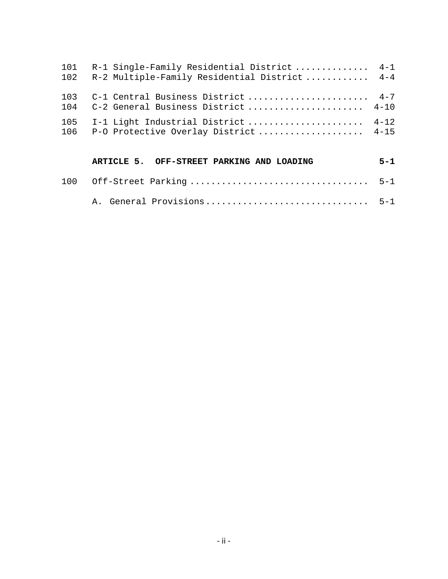| 101<br>102 | R-1 Single-Family Residential District  4-1<br>R-2 Multiple-Family Residential District  4-4 |         |
|------------|----------------------------------------------------------------------------------------------|---------|
| 103<br>104 | C-1 Central Business District  4-7<br>C-2 General Business District  4-10                    |         |
| 105<br>106 | I-1 Light Industrial District  4-12<br>P-O Protective Overlay District 4-15                  |         |
|            | ARTICLE 5. OFF-STREET PARKING AND LOADING                                                    | $5 - 1$ |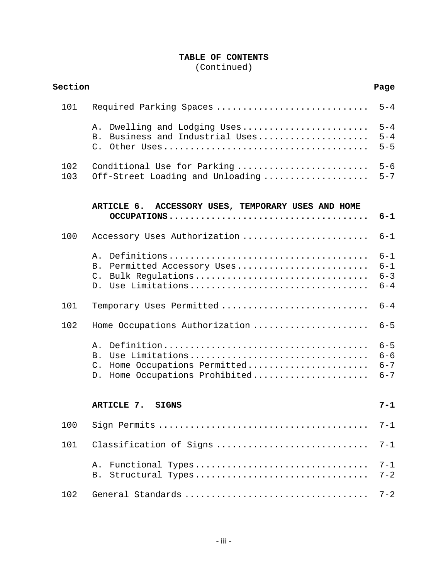(Continued)

| Section<br>Page |                                                                                                                              |                                          |
|-----------------|------------------------------------------------------------------------------------------------------------------------------|------------------------------------------|
| 101             | Required Parking Spaces                                                                                                      | $5 - 4$                                  |
|                 | Dwelling and Lodging Uses<br>Α.<br>Business and Industrial Uses<br><b>B</b> .                                                | $5 - 4$<br>$5 - 4$<br>$5 - 5$            |
| 102<br>103      | Conditional Use for Parking<br>Off-Street Loading and Unloading                                                              | $5 - 6$<br>$5 - 7$                       |
|                 | ACCESSORY USES, TEMPORARY USES AND HOME<br>ARTICLE 6.                                                                        | $6 - 1$                                  |
| 100             | Accessory Uses Authorization                                                                                                 | $6 - 1$                                  |
|                 | Α.<br>Permitted Accessory Uses<br>B.<br>Bulk Regulations<br>$C_{\bullet}$<br>D. Use Limitations                              | $6 - 1$<br>$6 - 1$<br>$6 - 3$<br>$6 - 4$ |
| 101             | Temporary Uses Permitted                                                                                                     | $6 - 4$                                  |
| 102             | Home Occupations Authorization                                                                                               | $6 - 5$                                  |
|                 | Α.<br>Use Limitations<br><b>B</b> .<br>Home Occupations Permitted<br>$\mathcal{C}$ .<br>Home Occupations Prohibited<br>$D$ . | $6 - 5$<br>$6 - 6$<br>$6 - 7$<br>$6 - 7$ |
|                 | ARTICLE 7. SIGNS                                                                                                             | $7 - 1$                                  |
| 100             |                                                                                                                              | $7 - 1$                                  |
| 101             | Classification of Signs                                                                                                      | $7 - 1$                                  |
|                 | Functional Types<br>Α.<br>Structural Types<br>Β.                                                                             | $7 - 1$<br>$7 - 2$                       |
| 102             | General Standards                                                                                                            | $7 - 2$                                  |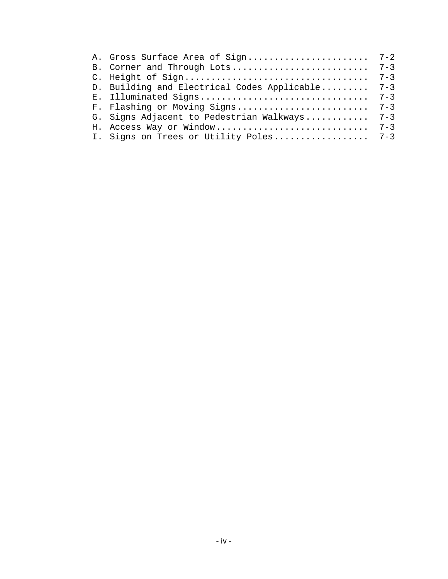| B. Corner and Through Lots                  | $7 - 3$ |
|---------------------------------------------|---------|
|                                             | $7 - 3$ |
| D. Building and Electrical Codes Applicable | $7 - 3$ |
| E. Illuminated Signs                        | $7 - 3$ |
| F. Flashing or Moving Signs                 | $7 - 3$ |
| G. Signs Adjacent to Pedestrian Walkways    | $7 - 3$ |
| H. Access Way or Window                     | $7 - 3$ |
| I. Signs on Trees or Utility Poles          | $7 - 3$ |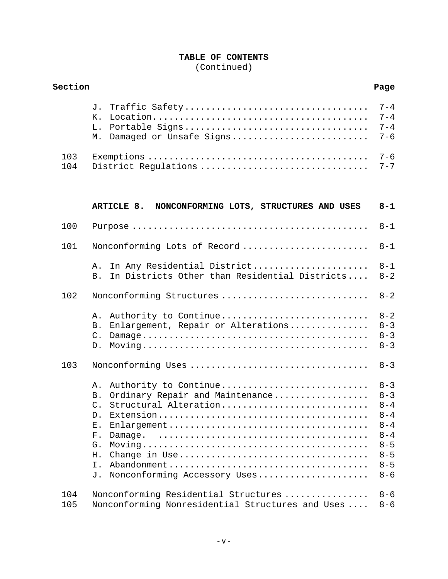(Continued)

| Section    |                                                                                                                                                                                                      | Page                                                                                                       |
|------------|------------------------------------------------------------------------------------------------------------------------------------------------------------------------------------------------------|------------------------------------------------------------------------------------------------------------|
|            | Traffic Safety<br>J.<br>Κ.<br>Portable Signs<br>L.<br>Damaged or Unsafe Signs<br>М.                                                                                                                  | $7 - 4$<br>$7 - 4$<br>$7 - 4$<br>$7 - 6$                                                                   |
| 103<br>104 | District Regulations                                                                                                                                                                                 | $7 - 6$<br>$7 - 7$                                                                                         |
|            | ARTICLE 8.<br>NONCONFORMING LOTS, STRUCTURES AND USES                                                                                                                                                | $8 - 1$                                                                                                    |
| 100        |                                                                                                                                                                                                      | $8 - 1$                                                                                                    |
| 101        | Nonconforming Lots of Record                                                                                                                                                                         | $8 - 1$                                                                                                    |
|            | In Any Residential District<br>Α.<br>In Districts Other than Residential Districts<br><b>B</b> .                                                                                                     | $8 - 1$<br>$8 - 2$                                                                                         |
| 102        | Nonconforming Structures                                                                                                                                                                             | $8 - 2$                                                                                                    |
|            | Authority to Continue<br>Α.<br>Enlargement, Repair or Alterations<br>Β.<br>$\mathsf{C}$ .<br>$D$ .                                                                                                   | $8 - 2$<br>$8 - 3$<br>$8 - 3$<br>$8 - 3$                                                                   |
| 103        |                                                                                                                                                                                                      | $8 - 3$                                                                                                    |
|            | Authority to Continue<br>Α.<br>Ordinary Repair and Maintenance<br>Β.<br>Structural Alteration<br>$C_{\cdot}$<br>D.<br>Ε.<br>$F$ .<br>Damage.<br>G.<br>Η.<br>Ι.<br>Nonconforming Accessory Uses<br>J. | $8 - 3$<br>$8 - 3$<br>$8 - 4$<br>$8 - 4$<br>$8 - 4$<br>$8 - 4$<br>$8 - 5$<br>$8 - 5$<br>$8 - 5$<br>$8 - 6$ |
| 104<br>105 | Nonconforming Residential Structures<br>Nonconforming Nonresidential Structures and Uses                                                                                                             | $8 - 6$<br>$8 - 6$                                                                                         |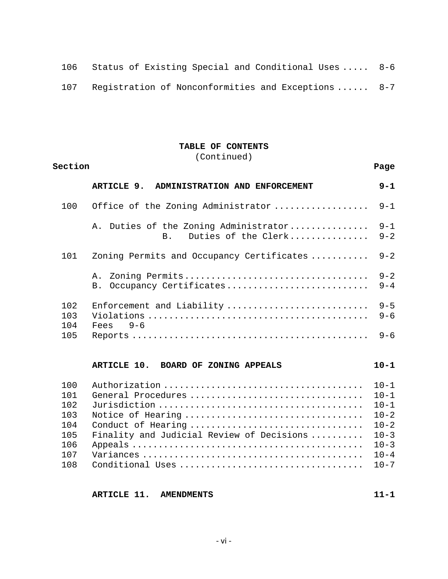| 106 Status of Existing Special and Conditional Uses  8-6 |  |
|----------------------------------------------------------|--|
|----------------------------------------------------------|--|

Registration of Nonconformities and Exceptions ...... 8-7

## **TABLE OF CONTENTS**

(Continued)

| Section                                                     |                                                                                                            | Page                                                                                                     |
|-------------------------------------------------------------|------------------------------------------------------------------------------------------------------------|----------------------------------------------------------------------------------------------------------|
|                                                             | ARTICLE 9.<br>ADMINISTRATION AND ENFORCEMENT                                                               | $9 - 1$                                                                                                  |
| 100                                                         | Office of the Zoning Administrator                                                                         | $9 - 1$                                                                                                  |
|                                                             | A. Duties of the Zoning Administrator<br>Duties of the Clerk<br>B <sub>1</sub>                             | $9 - 1$<br>$9 - 2$                                                                                       |
| 101                                                         | Zoning Permits and Occupancy Certificates                                                                  | $9 - 2$                                                                                                  |
|                                                             | Occupancy Certificates<br>B.                                                                               | $9 - 2$<br>$9 - 4$                                                                                       |
| 102<br>103<br>104<br>105                                    | Enforcement and Liability<br>$Fees$ 9-6                                                                    | $9 - 5$<br>$9 - 6$<br>$9 - 6$                                                                            |
|                                                             | ARTICLE 10.<br>BOARD OF ZONING APPEALS                                                                     | $10 - 1$                                                                                                 |
| 100<br>101<br>102<br>103<br>104<br>105<br>106<br>107<br>108 | General Procedures<br>Notice of Hearing<br>Conduct of Hearing<br>Finality and Judicial Review of Decisions | $10 - 1$<br>$10 - 1$<br>$10 - 1$<br>$10 - 2$<br>$10 - 2$<br>$10 - 3$<br>$10 - 3$<br>$10 - 4$<br>$10 - 7$ |

**ARTICLE 11. AMENDMENTS** 11-1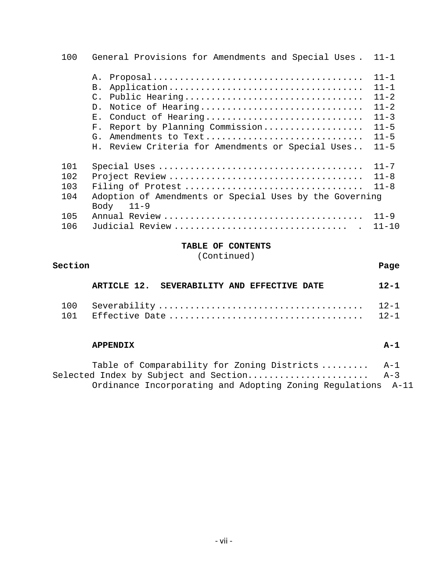| 100                             | General Provisions for Amendments and Special Uses.                                                                                                                                                                                                                                         | $11 - 1$                                                                                     |
|---------------------------------|---------------------------------------------------------------------------------------------------------------------------------------------------------------------------------------------------------------------------------------------------------------------------------------------|----------------------------------------------------------------------------------------------|
|                                 | Ά.<br>B.<br>Public Hearing<br>$\mathcal{C}$ .<br>Notice of Hearing<br>D <sub>1</sub><br>Conduct of Hearing<br>$\mathbf{E}$ .<br>Report by Planning Commission<br>$\mathbf{F}_{\perp}$<br>Amendments to Text<br>$G_{\perp}$<br>Review Criteria for Amendments or Special Uses<br>$H_{\odot}$ | $11 - 1$<br>$11 - 1$<br>$11 - 2$<br>$11 - 2$<br>$11 - 3$<br>$11 - 5$<br>$11 - 5$<br>$11 - 5$ |
| 101<br>102<br>103<br>104<br>105 | Filing of Protest<br>Adoption of Amendments or Special Uses by the Governing<br>$11 - 9$<br>Body                                                                                                                                                                                            | $11 - 7$<br>$11 - 8$<br>$11 - 8$<br>$11 - 9$                                                 |
| 106                             |                                                                                                                                                                                                                                                                                             | $11 - 10$                                                                                    |

(Continued)

| Section      |                                             | Page     |
|--------------|---------------------------------------------|----------|
|              | ARTICLE 12. SEVERABILITY AND EFFECTIVE DATE | $12 - 1$ |
| 100<br>1 N 1 |                                             |          |

| Table of Comparability for Zoning Districts                  | A-1   |
|--------------------------------------------------------------|-------|
| Selected Index by Subject and Section                        | $A-3$ |
| Ordinance Incorporating and Adopting Zoning Regulations A-11 |       |

**APPENDIX A-1**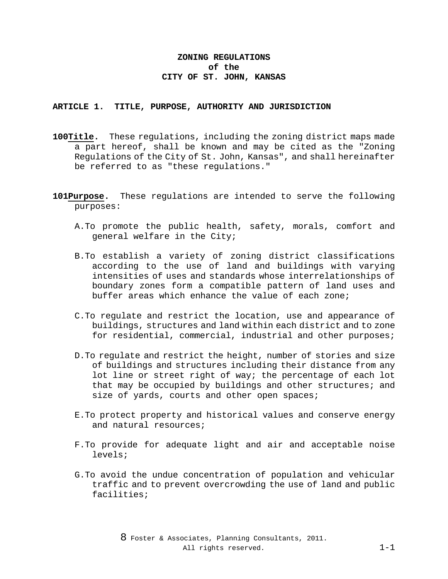## **ZONING REGULATIONS of the CITY OF ST. JOHN, KANSAS**

#### **ARTICLE 1. TITLE, PURPOSE, AUTHORITY AND JURISDICTION**

- **100Title.** These regulations, including the zoning district maps made a part hereof, shall be known and may be cited as the "Zoning Regulations of the City of St. John, Kansas", and shall hereinafter be referred to as "these regulations."
- **101Purpose.** These regulations are intended to serve the following purposes:
	- A.To promote the public health, safety, morals, comfort and general welfare in the City;
	- B.To establish a variety of zoning district classifications according to the use of land and buildings with varying intensities of uses and standards whose interrelationships of boundary zones form a compatible pattern of land uses and buffer areas which enhance the value of each zone;
	- C.To regulate and restrict the location, use and appearance of buildings, structures and land within each district and to zone for residential, commercial, industrial and other purposes;
	- D.To regulate and restrict the height, number of stories and size of buildings and structures including their distance from any lot line or street right of way; the percentage of each lot that may be occupied by buildings and other structures; and size of yards, courts and other open spaces;
	- E.To protect property and historical values and conserve energy and natural resources;
	- F.To provide for adequate light and air and acceptable noise levels;
	- G.To avoid the undue concentration of population and vehicular traffic and to prevent overcrowding the use of land and public facilities;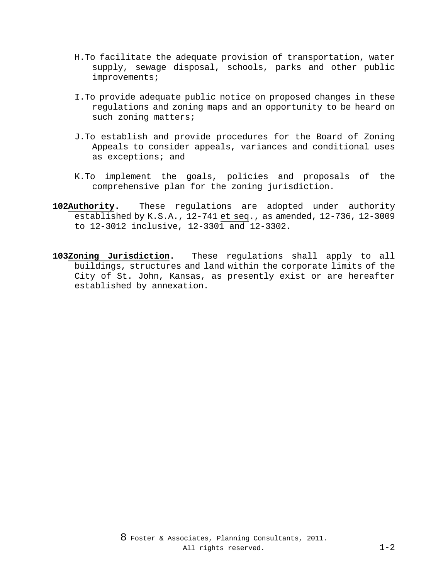- H.To facilitate the adequate provision of transportation, water supply, sewage disposal, schools, parks and other public improvements;
- I.To provide adequate public notice on proposed changes in these regulations and zoning maps and an opportunity to be heard on such zoning matters;
- J.To establish and provide procedures for the Board of Zoning Appeals to consider appeals, variances and conditional uses as exceptions; and
- K.To implement the goals, policies and proposals of the comprehensive plan for the zoning jurisdiction.
- **102Authority.** These regulations are adopted under authority established by K.S.A., 12-741 et seq., as amended, 12-736, 12-3009 to 12-3012 inclusive, 12-3301 and 12-3302.
- **103Zoning Jurisdiction.** These regulations shall apply to all buildings, structures and land within the corporate limits of the City of St. John, Kansas, as presently exist or are hereafter established by annexation.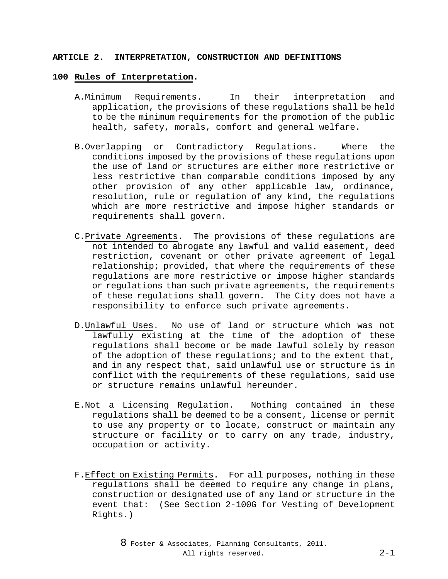#### **ARTICLE 2. INTERPRETATION, CONSTRUCTION AND DEFINITIONS**

#### **100 Rules of Interpretation.**

- A.Minimum Requirements. In their interpretation and application, the provisions of these regulations shall be held to be the minimum requirements for the promotion of the public health, safety, morals, comfort and general welfare.
- B.Overlapping or Contradictory Regulations. Where the conditions imposed by the provisions of these regulations upon the use of land or structures are either more restrictive or less restrictive than comparable conditions imposed by any other provision of any other applicable law, ordinance, resolution, rule or regulation of any kind, the regulations which are more restrictive and impose higher standards or requirements shall govern.
- C.Private Agreements. The provisions of these regulations are not intended to abrogate any lawful and valid easement, deed restriction, covenant or other private agreement of legal relationship; provided, that where the requirements of these regulations are more restrictive or impose higher standards or regulations than such private agreements, the requirements of these regulations shall govern. The City does not have a responsibility to enforce such private agreements.
- D.Unlawful Uses. No use of land or structure which was not lawfully existing at the time of the adoption of these regulations shall become or be made lawful solely by reason of the adoption of these regulations; and to the extent that, and in any respect that, said unlawful use or structure is in conflict with the requirements of these regulations, said use or structure remains unlawful hereunder.
- E.Not a Licensing Regulation. Nothing contained in these regulations shall be deemed to be a consent, license or permit to use any property or to locate, construct or maintain any structure or facility or to carry on any trade, industry, occupation or activity.
- F.Effect on Existing Permits. For all purposes, nothing in these regulations shall be deemed to require any change in plans, construction or designated use of any land or structure in the event that: (See Section 2-100G for Vesting of Development Rights.)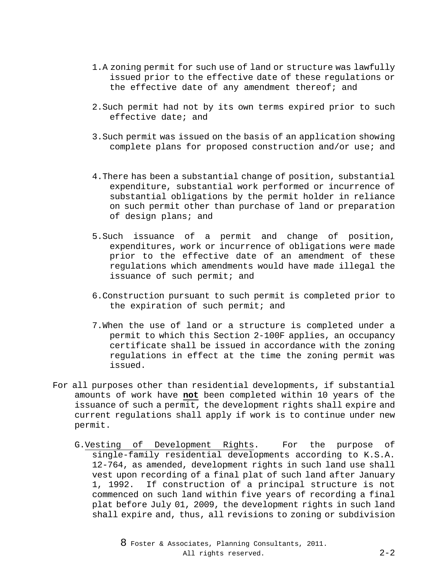- 1.A zoning permit for such use of land or structure was lawfully issued prior to the effective date of these regulations or the effective date of any amendment thereof; and
- 2.Such permit had not by its own terms expired prior to such effective date; and
- 3.Such permit was issued on the basis of an application showing complete plans for proposed construction and/or use; and
- 4.There has been a substantial change of position, substantial expenditure, substantial work performed or incurrence of substantial obligations by the permit holder in reliance on such permit other than purchase of land or preparation of design plans; and
- 5.Such issuance of a permit and change of position, expenditures, work or incurrence of obligations were made prior to the effective date of an amendment of these regulations which amendments would have made illegal the issuance of such permit; and
- 6.Construction pursuant to such permit is completed prior to the expiration of such permit; and
- 7.When the use of land or a structure is completed under a permit to which this Section 2-100F applies, an occupancy certificate shall be issued in accordance with the zoning regulations in effect at the time the zoning permit was issued.
- For all purposes other than residential developments, if substantial amounts of work have **not** been completed within 10 years of the issuance of such a permit, the development rights shall expire and current regulations shall apply if work is to continue under new permit.
	- G.Vesting of Development Rights. For the purpose of single-family residential developments according to K.S.A. 12-764, as amended, development rights in such land use shall vest upon recording of a final plat of such land after January 1, 1992. If construction of a principal structure is not commenced on such land within five years of recording a final plat before July 01, 2009, the development rights in such land shall expire and, thus, all revisions to zoning or subdivision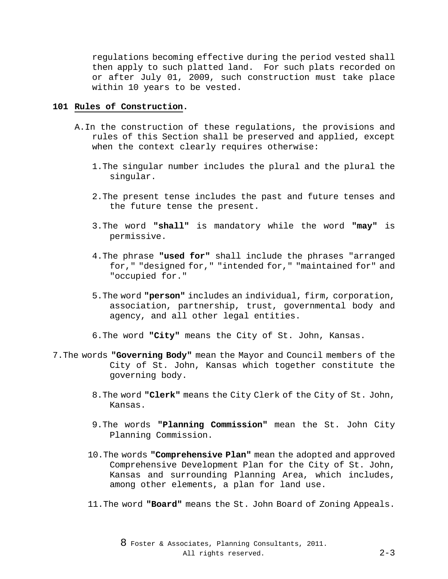regulations becoming effective during the period vested shall then apply to such platted land. For such plats recorded on or after July 01, 2009, such construction must take place within 10 years to be vested.

## **101 Rules of Construction.**

- A.In the construction of these regulations, the provisions and rules of this Section shall be preserved and applied, except when the context clearly requires otherwise:
	- 1.The singular number includes the plural and the plural the singular.
	- 2.The present tense includes the past and future tenses and the future tense the present.
	- 3.The word **"shall"** is mandatory while the word **"may"** is permissive.
	- 4.The phrase **"used for"** shall include the phrases "arranged for," "designed for," "intended for," "maintained for" and "occupied for."
	- 5.The word **"person"** includes an individual, firm, corporation, association, partnership, trust, governmental body and agency, and all other legal entities.
	- 6.The word **"City"** means the City of St. John, Kansas.
- 7.The words **"Governing Body"** mean the Mayor and Council members of the City of St. John, Kansas which together constitute the governing body.
	- 8.The word **"Clerk"** means the City Clerk of the City of St. John, Kansas.
	- 9.The words **"Planning Commission"** mean the St. John City Planning Commission.
	- 10.The words **"Comprehensive Plan"** mean the adopted and approved Comprehensive Development Plan for the City of St. John, Kansas and surrounding Planning Area, which includes, among other elements, a plan for land use.
	- 11.The word **"Board"** means the St. John Board of Zoning Appeals.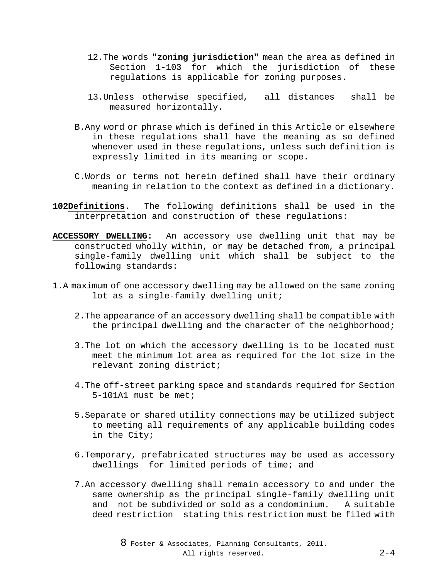- 12.The words **"zoning jurisdiction"** mean the area as defined in Section 1-103 for which the jurisdiction of these regulations is applicable for zoning purposes.
- 13.Unless otherwise specified, all distances shall be measured horizontally.
- B.Any word or phrase which is defined in this Article or elsewhere in these regulations shall have the meaning as so defined whenever used in these regulations, unless such definition is expressly limited in its meaning or scope.
- C.Words or terms not herein defined shall have their ordinary meaning in relation to the context as defined in a dictionary.
- **102Definitions.** The following definitions shall be used in the interpretation and construction of these regulations:
- **ACCESSORY DWELLING:** An accessory use dwelling unit that may be constructed wholly within, or may be detached from, a principal single-family dwelling unit which shall be subject to the following standards:
- 1.A maximum of one accessory dwelling may be allowed on the same zoning lot as a single-family dwelling unit;
	- 2.The appearance of an accessory dwelling shall be compatible with the principal dwelling and the character of the neighborhood;
	- 3.The lot on which the accessory dwelling is to be located must meet the minimum lot area as required for the lot size in the relevant zoning district;
	- 4.The off-street parking space and standards required for Section 5-101A1 must be met;
	- 5.Separate or shared utility connections may be utilized subject to meeting all requirements of any applicable building codes in the City;
	- 6.Temporary, prefabricated structures may be used as accessory dwellings for limited periods of time; and
	- 7.An accessory dwelling shall remain accessory to and under the same ownership as the principal single-family dwelling unit and not be subdivided or sold as a condominium. A suitable deed restriction stating this restriction must be filed with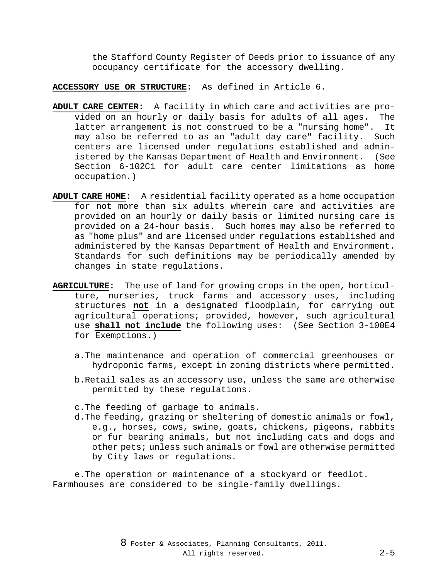the Stafford County Register of Deeds prior to issuance of any occupancy certificate for the accessory dwelling.

**ACCESSORY USE OR STRUCTURE:** As defined in Article 6.

- **ADULT CARE CENTER:** A facility in which care and activities are provided on an hourly or daily basis for adults of all ages. The latter arrangement is not construed to be a "nursing home". It may also be referred to as an "adult day care" facility. Such centers are licensed under regulations established and administered by the Kansas Department of Health and Environment. (See Section 6-102C1 for adult care center limitations as home occupation.)
- **ADULT CARE HOME:** A residential facility operated as a home occupation for not more than six adults wherein care and activities are provided on an hourly or daily basis or limited nursing care is provided on a 24-hour basis. Such homes may also be referred to as "home plus" and are licensed under regulations established and administered by the Kansas Department of Health and Environment. Standards for such definitions may be periodically amended by changes in state regulations.
- **AGRICULTURE:** The use of land for growing crops in the open, horticulture, nurseries, truck farms and accessory uses, including structures **not** in a designated floodplain, for carrying out agricultural operations; provided, however, such agricultural use **shall not include** the following uses: (See Section 3-100E4 for Exemptions.)
	- a.The maintenance and operation of commercial greenhouses or hydroponic farms, except in zoning districts where permitted.
	- b.Retail sales as an accessory use, unless the same are otherwise permitted by these regulations.

c.The feeding of garbage to animals.

d.The feeding, grazing or sheltering of domestic animals or fowl, e.g., horses, cows, swine, goats, chickens, pigeons, rabbits or fur bearing animals, but not including cats and dogs and other pets; unless such animals or fowl are otherwise permitted by City laws or regulations.

e.The operation or maintenance of a stockyard or feedlot. Farmhouses are considered to be single-family dwellings.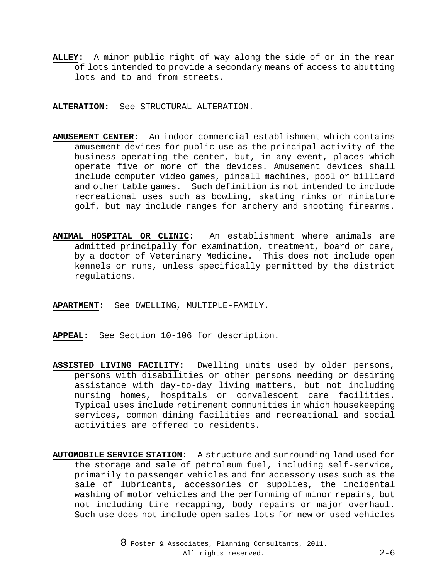**ALLEY:** A minor public right of way along the side of or in the rear of lots intended to provide a secondary means of access to abutting lots and to and from streets.

**ALTERATION:** See STRUCTURAL ALTERATION.

- **AMUSEMENT CENTER:** An indoor commercial establishment which contains amusement devices for public use as the principal activity of the business operating the center, but, in any event, places which operate five or more of the devices. Amusement devices shall include computer video games, pinball machines, pool or billiard and other table games. Such definition is not intended to include recreational uses such as bowling, skating rinks or miniature golf, but may include ranges for archery and shooting firearms.
- **ANIMAL HOSPITAL OR CLINIC:** An establishment where animals are admitted principally for examination, treatment, board or care, by a doctor of Veterinary Medicine. This does not include open kennels or runs, unless specifically permitted by the district regulations.
- **APARTMENT:** See DWELLING, MULTIPLE-FAMILY.
- **APPEAL:** See Section 10-106 for description.
- **ASSISTED LIVING FACILITY:** Dwelling units used by older persons, persons with disabilities or other persons needing or desiring assistance with day-to-day living matters, but not including nursing homes, hospitals or convalescent care facilities. Typical uses include retirement communities in which housekeeping services, common dining facilities and recreational and social activities are offered to residents.
- **AUTOMOBILE SERVICE STATION:** A structure and surrounding land used for the storage and sale of petroleum fuel, including self-service, primarily to passenger vehicles and for accessory uses such as the sale of lubricants, accessories or supplies, the incidental washing of motor vehicles and the performing of minor repairs, but not including tire recapping, body repairs or major overhaul. Such use does not include open sales lots for new or used vehicles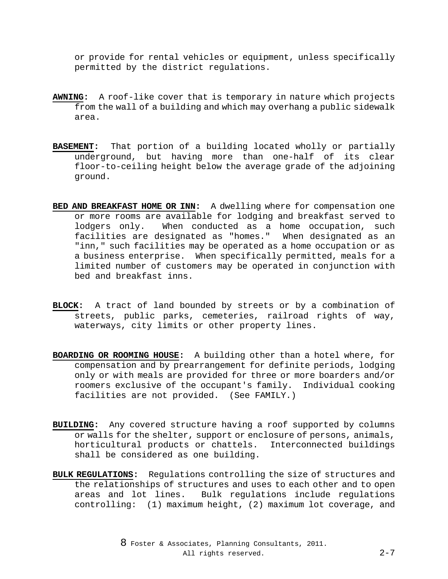or provide for rental vehicles or equipment, unless specifically permitted by the district regulations.

- **AWNING:** A roof-like cover that is temporary in nature which projects from the wall of a building and which may overhang a public sidewalk area.
- **BASEMENT:** That portion of a building located wholly or partially underground, but having more than one-half of its clear floor-to-ceiling height below the average grade of the adjoining ground.
- **BED AND BREAKFAST HOME OR INN:** A dwelling where for compensation one or more rooms are available for lodging and breakfast served to<br>lodgers only. When conducted as a home occupation, such When conducted as a home occupation, such facilities are designated as "homes." When designated as an "inn," such facilities may be operated as a home occupation or as a business enterprise. When specifically permitted, meals for a limited number of customers may be operated in conjunction with bed and breakfast inns.
- **BLOCK:** A tract of land bounded by streets or by a combination of streets, public parks, cemeteries, railroad rights of way, waterways, city limits or other property lines.
- **BOARDING OR ROOMING HOUSE:** A building other than a hotel where, for compensation and by prearrangement for definite periods, lodging only or with meals are provided for three or more boarders and/or roomers exclusive of the occupant's family. Individual cooking facilities are not provided. (See FAMILY.)
- **BUILDING:** Any covered structure having a roof supported by columns or walls for the shelter, support or enclosure of persons, animals, horticultural products or chattels. Interconnected buildings shall be considered as one building.
- **BULK REGULATIONS:** Regulations controlling the size of structures and the relationships of structures and uses to each other and to open areas and lot lines. Bulk regulations include regulations controlling: (1) maximum height, (2) maximum lot coverage, and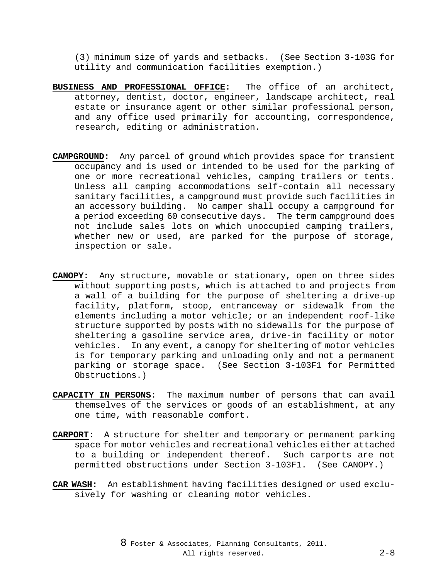(3) minimum size of yards and setbacks. (See Section 3-103G for utility and communication facilities exemption.)

- **BUSINESS AND PROFESSIONAL OFFICE:** The office of an architect, attorney, dentist, doctor, engineer, landscape architect, real estate or insurance agent or other similar professional person, and any office used primarily for accounting, correspondence, research, editing or administration.
- **CAMPGROUND:** Any parcel of ground which provides space for transient occupancy and is used or intended to be used for the parking of one or more recreational vehicles, camping trailers or tents. Unless all camping accommodations self-contain all necessary sanitary facilities, a campground must provide such facilities in an accessory building. No camper shall occupy a campground for a period exceeding 60 consecutive days. The term campground does not include sales lots on which unoccupied camping trailers, whether new or used, are parked for the purpose of storage, inspection or sale.
- **CANOPY:** Any structure, movable or stationary, open on three sides without supporting posts, which is attached to and projects from a wall of a building for the purpose of sheltering a drive-up facility, platform, stoop, entranceway or sidewalk from the elements including a motor vehicle; or an independent roof-like structure supported by posts with no sidewalls for the purpose of sheltering a gasoline service area, drive-in facility or motor vehicles. In any event, a canopy for sheltering of motor vehicles is for temporary parking and unloading only and not a permanent parking or storage space. (See Section 3-103F1 for Permitted Obstructions.)
- **CAPACITY IN PERSONS:** The maximum number of persons that can avail themselves of the services or goods of an establishment, at any one time, with reasonable comfort.
- **CARPORT:** A structure for shelter and temporary or permanent parking space for motor vehicles and recreational vehicles either attached to a building or independent thereof. Such carports are not permitted obstructions under Section 3-103F1. (See CANOPY.)
- **CAR WASH:** An establishment having facilities designed or used exclusively for washing or cleaning motor vehicles.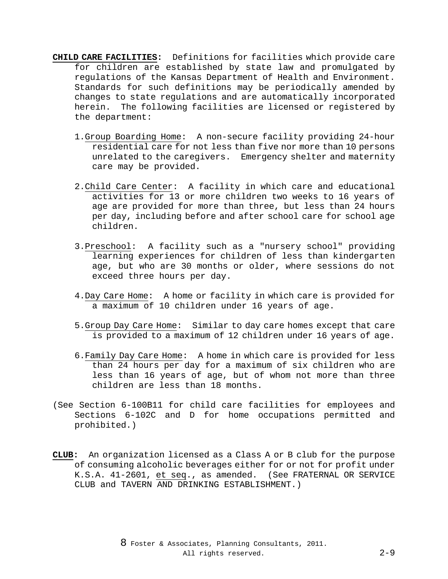- **CHILD CARE FACILITIES:** Definitions for facilities which provide care for children are established by state law and promulgated by regulations of the Kansas Department of Health and Environment. Standards for such definitions may be periodically amended by changes to state regulations and are automatically incorporated herein. The following facilities are licensed or registered by the department:
	- 1.Group Boarding Home: A non-secure facility providing 24-hour residential care for not less than five nor more than 10 persons unrelated to the caregivers. Emergency shelter and maternity care may be provided.
	- 2.Child Care Center: A facility in which care and educational activities for 13 or more children two weeks to 16 years of age are provided for more than three, but less than 24 hours per day, including before and after school care for school age children.
	- 3.Preschool: A facility such as a "nursery school" providing learning experiences for children of less than kindergarten age, but who are 30 months or older, where sessions do not exceed three hours per day.
	- 4.Day Care Home: A home or facility in which care is provided for a maximum of 10 children under 16 years of age.
	- 5.Group Day Care Home: Similar to day care homes except that care is provided to a maximum of 12 children under 16 years of age.
	- 6.Family Day Care Home: A home in which care is provided for less than 24 hours per day for a maximum of six children who are less than 16 years of age, but of whom not more than three children are less than 18 months.
- (See Section 6-100B11 for child care facilities for employees and Sections 6-102C and D for home occupations permitted and prohibited.)
- **CLUB:** An organization licensed as a Class A or B club for the purpose of consuming alcoholic beverages either for or not for profit under K.S.A. 41-2601, et seq., as amended. (See FRATERNAL OR SERVICE CLUB and TAVERN AND DRINKING ESTABLISHMENT.)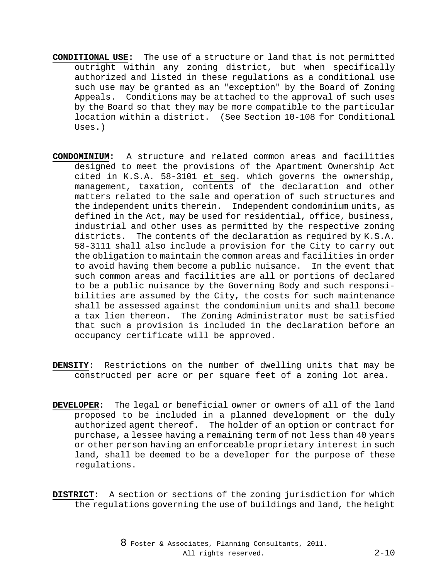- **CONDITIONAL USE:** The use of a structure or land that is not permitted outright within any zoning district, but when specifically authorized and listed in these regulations as a conditional use such use may be granted as an "exception" by the Board of Zoning Appeals. Conditions may be attached to the approval of such uses by the Board so that they may be more compatible to the particular location within a district. (See Section 10-108 for Conditional Uses.)
- **CONDOMINIUM:** A structure and related common areas and facilities designed to meet the provisions of the Apartment Ownership Act cited in K.S.A. 58-3101 et seq. which governs the ownership, management, taxation, contents of the declaration and other matters related to the sale and operation of such structures and the independent units therein. Independent condominium units, as defined in the Act, may be used for residential, office, business, industrial and other uses as permitted by the respective zoning districts. The contents of the declaration as required by K.S.A. 58-3111 shall also include a provision for the City to carry out the obligation to maintain the common areas and facilities in order to avoid having them become a public nuisance. In the event that such common areas and facilities are all or portions of declared to be a public nuisance by the Governing Body and such responsibilities are assumed by the City, the costs for such maintenance shall be assessed against the condominium units and shall become a tax lien thereon. The Zoning Administrator must be satisfied that such a provision is included in the declaration before an occupancy certificate will be approved.
- **DENSITY:** Restrictions on the number of dwelling units that may be constructed per acre or per square feet of a zoning lot area.
- **DEVELOPER:** The legal or beneficial owner or owners of all of the land proposed to be included in a planned development or the duly authorized agent thereof. The holder of an option or contract for purchase, a lessee having a remaining term of not less than 40 years or other person having an enforceable proprietary interest in such land, shall be deemed to be a developer for the purpose of these regulations.
- **DISTRICT:** A section or sections of the zoning jurisdiction for which the regulations governing the use of buildings and land, the height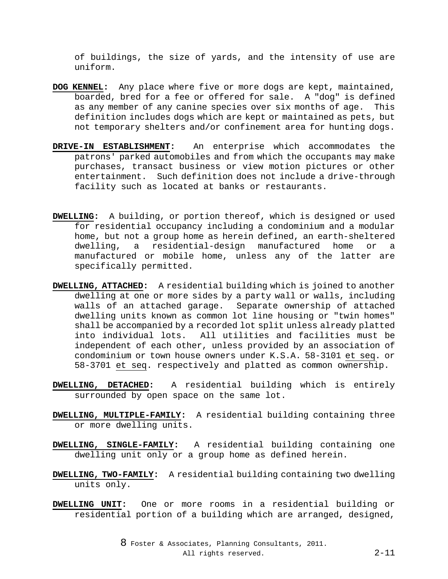of buildings, the size of yards, and the intensity of use are uniform.

- **DOG KENNEL:** Any place where five or more dogs are kept, maintained, boarded, bred for a fee or offered for sale. A "dog" is defined as any member of any canine species over six months of age. This definition includes dogs which are kept or maintained as pets, but not temporary shelters and/or confinement area for hunting dogs.
- **DRIVE-IN ESTABLISHMENT:** An enterprise which accommodates the patrons' parked automobiles and from which the occupants may make purchases, transact business or view motion pictures or other entertainment. Such definition does not include a drive-through facility such as located at banks or restaurants.
- **DWELLING:** A building, or portion thereof, which is designed or used for residential occupancy including a condominium and a modular home, but not a group home as herein defined, an earth-sheltered dwelling, a residential-design manufactured home or a manufactured or mobile home, unless any of the latter are specifically permitted.
- **DWELLING, ATTACHED:** A residential building which is joined to another dwelling at one or more sides by a party wall or walls, including walls of an attached garage. Separate ownership of attached dwelling units known as common lot line housing or "twin homes" shall be accompanied by a recorded lot split unless already platted into individual lots. All utilities and facilities must be independent of each other, unless provided by an association of condominium or town house owners under K.S.A. 58-3101 et seq. or 58-3701 et seq. respectively and platted as common ownership.
- **DWELLING, DETACHED:** A residential building which is entirely surrounded by open space on the same lot.
- **DWELLING, MULTIPLE-FAMILY:** A residential building containing three or more dwelling units.
- **DWELLING, SINGLE-FAMILY:** A residential building containing one dwelling unit only or a group home as defined herein.
- **DWELLING, TWO-FAMILY:** A residential building containing two dwelling units only.
- **DWELLING UNIT:** One or more rooms in a residential building or residential portion of a building which are arranged, designed,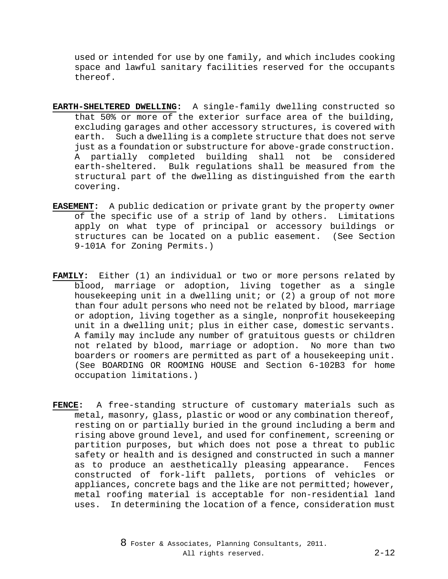used or intended for use by one family, and which includes cooking space and lawful sanitary facilities reserved for the occupants thereof.

- **EARTH-SHELTERED DWELLING:** A single-family dwelling constructed so that 50% or more of the exterior surface area of the building, excluding garages and other accessory structures, is covered with earth. Such a dwelling is a complete structure that does not serve just as a foundation or substructure for above-grade construction. A partially completed building shall not be considered earth-sheltered. Bulk regulations shall be measured from the structural part of the dwelling as distinguished from the earth covering.
- **EASEMENT:** A public dedication or private grant by the property owner of the specific use of a strip of land by others. Limitations apply on what type of principal or accessory buildings or structures can be located on a public easement. (See Section 9-101A for Zoning Permits.)
- **FAMILY:** Either (1) an individual or two or more persons related by blood, marriage or adoption, living together as a single housekeeping unit in a dwelling unit; or (2) a group of not more than four adult persons who need not be related by blood, marriage or adoption, living together as a single, nonprofit housekeeping unit in a dwelling unit; plus in either case, domestic servants. A family may include any number of gratuitous guests or children not related by blood, marriage or adoption. No more than two boarders or roomers are permitted as part of a housekeeping unit. (See BOARDING OR ROOMING HOUSE and Section 6-102B3 for home occupation limitations.)
- **FENCE:** A free-standing structure of customary materials such as metal, masonry, glass, plastic or wood or any combination thereof, resting on or partially buried in the ground including a berm and rising above ground level, and used for confinement, screening or partition purposes, but which does not pose a threat to public safety or health and is designed and constructed in such a manner as to produce an aesthetically pleasing appearance. Fences constructed of fork-lift pallets, portions of vehicles or appliances, concrete bags and the like are not permitted; however, metal roofing material is acceptable for non-residential land uses. In determining the location of a fence, consideration must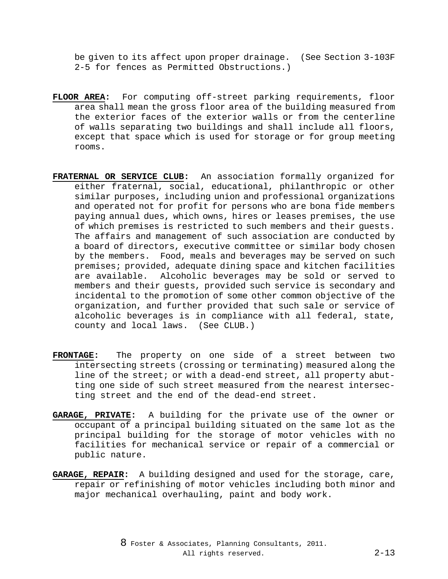be given to its affect upon proper drainage. (See Section 3-103F 2-5 for fences as Permitted Obstructions.)

- **FLOOR AREA:** For computing off-street parking requirements, floor area shall mean the gross floor area of the building measured from the exterior faces of the exterior walls or from the centerline of walls separating two buildings and shall include all floors, except that space which is used for storage or for group meeting rooms.
- **FRATERNAL OR SERVICE CLUB:** An association formally organized for either fraternal, social, educational, philanthropic or other similar purposes, including union and professional organizations and operated not for profit for persons who are bona fide members paying annual dues, which owns, hires or leases premises, the use of which premises is restricted to such members and their guests. The affairs and management of such association are conducted by a board of directors, executive committee or similar body chosen by the members. Food, meals and beverages may be served on such premises; provided, adequate dining space and kitchen facilities are available. Alcoholic beverages may be sold or served to members and their guests, provided such service is secondary and incidental to the promotion of some other common objective of the organization, and further provided that such sale or service of alcoholic beverages is in compliance with all federal, state, county and local laws. (See CLUB.)
- **FRONTAGE:** The property on one side of a street between two intersecting streets (crossing or terminating) measured along the line of the street; or with a dead-end street, all property abutting one side of such street measured from the nearest intersecting street and the end of the dead-end street.
- **GARAGE, PRIVATE:** A building for the private use of the owner or occupant of a principal building situated on the same lot as the principal building for the storage of motor vehicles with no facilities for mechanical service or repair of a commercial or public nature.
- **GARAGE, REPAIR:** A building designed and used for the storage, care, repair or refinishing of motor vehicles including both minor and major mechanical overhauling, paint and body work.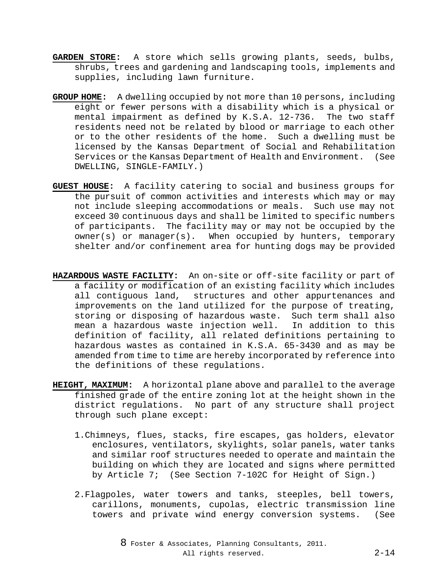- **GARDEN STORE:** A store which sells growing plants, seeds, bulbs, shrubs, trees and gardening and landscaping tools, implements and supplies, including lawn furniture.
- **GROUP HOME:** A dwelling occupied by not more than 10 persons, including eight or fewer persons with a disability which is a physical or mental impairment as defined by K.S.A. 12-736. The two staff residents need not be related by blood or marriage to each other or to the other residents of the home. Such a dwelling must be licensed by the Kansas Department of Social and Rehabilitation Services or the Kansas Department of Health and Environment. (See DWELLING, SINGLE-FAMILY.)
- **GUEST HOUSE:** A facility catering to social and business groups for the pursuit of common activities and interests which may or may not include sleeping accommodations or meals. Such use may not exceed 30 continuous days and shall be limited to specific numbers of participants. The facility may or may not be occupied by the owner(s) or manager(s). When occupied by hunters, temporary shelter and/or confinement area for hunting dogs may be provided
- **HAZARDOUS WASTE FACILITY:** An on-site or off-site facility or part of a facility or modification of an existing facility which includes all contiguous land, structures and other appurtenances and improvements on the land utilized for the purpose of treating, storing or disposing of hazardous waste. Such term shall also mean a hazardous waste injection well. In addition to this definition of facility, all related definitions pertaining to hazardous wastes as contained in K.S.A. 65-3430 and as may be amended from time to time are hereby incorporated by reference into the definitions of these regulations.
- **HEIGHT, MAXIMUM:** A horizontal plane above and parallel to the average finished grade of the entire zoning lot at the height shown in the district regulations. No part of any structure shall project through such plane except:
	- 1.Chimneys, flues, stacks, fire escapes, gas holders, elevator enclosures, ventilators, skylights, solar panels, water tanks and similar roof structures needed to operate and maintain the building on which they are located and signs where permitted by Article 7; (See Section 7-102C for Height of Sign.)
	- 2.Flagpoles, water towers and tanks, steeples, bell towers, carillons, monuments, cupolas, electric transmission line towers and private wind energy conversion systems. (See

8 Foster & Associates, Planning Consultants, 2011. All rights reserved. 2-14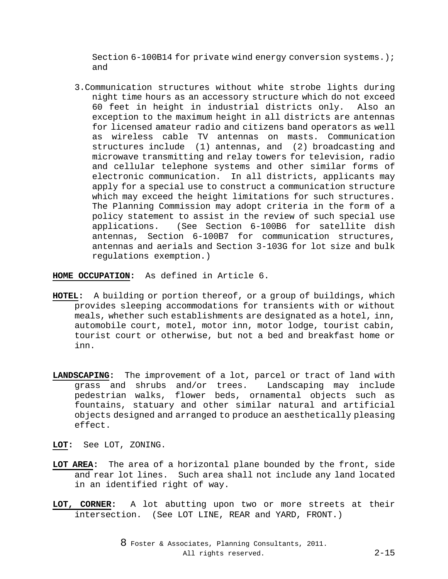Section 6-100B14 for private wind energy conversion systems.); and

3.Communication structures without white strobe lights during night time hours as an accessory structure which do not exceed 60 feet in height in industrial districts only. Also an exception to the maximum height in all districts are antennas for licensed amateur radio and citizens band operators as well as wireless cable TV antennas on masts. Communication structures include (1) antennas, and (2) broadcasting and microwave transmitting and relay towers for television, radio and cellular telephone systems and other similar forms of electronic communication. In all districts, applicants may apply for a special use to construct a communication structure which may exceed the height limitations for such structures. The Planning Commission may adopt criteria in the form of a policy statement to assist in the review of such special use<br>applications. (See Section 6-100B6 for satellite dish (See Section 6-100B6 for satellite dish antennas, Section 6-100B7 for communication structures, antennas and aerials and Section 3-103G for lot size and bulk regulations exemption.)

**HOME OCCUPATION:** As defined in Article 6.

- **HOTEL:** A building or portion thereof, or a group of buildings, which provides sleeping accommodations for transients with or without meals, whether such establishments are designated as a hotel, inn, automobile court, motel, motor inn, motor lodge, tourist cabin, tourist court or otherwise, but not a bed and breakfast home or inn.
- **LANDSCAPING:** The improvement of a lot, parcel or tract of land with grass and shrubs and/or trees. pedestrian walks, flower beds, ornamental objects such as fountains, statuary and other similar natural and artificial objects designed and arranged to produce an aesthetically pleasing effect.
- **LOT:** See LOT, ZONING.
- **LOT AREA:** The area of a horizontal plane bounded by the front, side and rear lot lines. Such area shall not include any land located in an identified right of way.
- **LOT, CORNER:** A lot abutting upon two or more streets at their intersection. (See LOT LINE, REAR and YARD, FRONT.)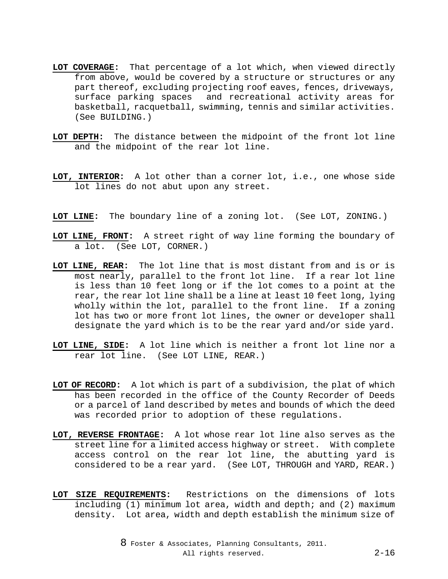- **LOT COVERAGE:** That percentage of a lot which, when viewed directly from above, would be covered by a structure or structures or any part thereof, excluding projecting roof eaves, fences, driveways, surface parking spaces and recreational activity areas for basketball, racquetball, swimming, tennis and similar activities. (See BUILDING.)
- **LOT DEPTH:** The distance between the midpoint of the front lot line and the midpoint of the rear lot line.
- **LOT, INTERIOR:** A lot other than a corner lot, i.e., one whose side lot lines do not abut upon any street.
- **LOT LINE:** The boundary line of a zoning lot. (See LOT, ZONING.)
- **LOT LINE, FRONT:** A street right of way line forming the boundary of a lot. (See LOT, CORNER.)
- **LOT LINE, REAR:** The lot line that is most distant from and is or is most nearly, parallel to the front lot line. If a rear lot line is less than 10 feet long or if the lot comes to a point at the rear, the rear lot line shall be a line at least 10 feet long, lying wholly within the lot, parallel to the front line. If a zoning lot has two or more front lot lines, the owner or developer shall designate the yard which is to be the rear yard and/or side yard.
- **LOT LINE, SIDE:** A lot line which is neither a front lot line nor a rear lot line. (See LOT LINE, REAR.)
- **LOT OF RECORD:** A lot which is part of a subdivision, the plat of which has been recorded in the office of the County Recorder of Deeds or a parcel of land described by metes and bounds of which the deed was recorded prior to adoption of these regulations.
- **LOT, REVERSE FRONTAGE:** A lot whose rear lot line also serves as the street line for a limited access highway or street. With complete access control on the rear lot line, the abutting yard is considered to be a rear yard. (See LOT, THROUGH and YARD, REAR.)
- **LOT SIZE REQUIREMENTS:** Restrictions on the dimensions of lots including (1) minimum lot area, width and depth; and (2) maximum density. Lot area, width and depth establish the minimum size of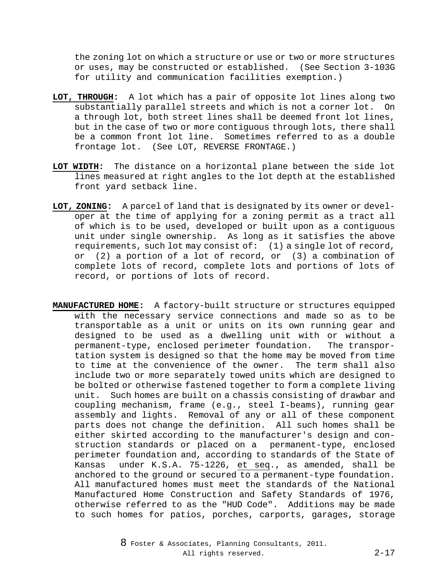the zoning lot on which a structure or use or two or more structures or uses, may be constructed or established. (See Section 3-103G for utility and communication facilities exemption.)

- **LOT, THROUGH:** A lot which has a pair of opposite lot lines along two substantially parallel streets and which is not a corner lot. On a through lot, both street lines shall be deemed front lot lines, but in the case of two or more contiguous through lots, there shall be a common front lot line. Sometimes referred to as a double frontage lot. (See LOT, REVERSE FRONTAGE.)
- **LOT WIDTH:** The distance on a horizontal plane between the side lot lines measured at right angles to the lot depth at the established front yard setback line.
- **LOT, ZONING:** A parcel of land that is designated by its owner or developer at the time of applying for a zoning permit as a tract all of which is to be used, developed or built upon as a contiguous unit under single ownership. As long as it satisfies the above requirements, such lot may consist of: (1) a single lot of record, or (2) a portion of a lot of record, or (3) a combination of complete lots of record, complete lots and portions of lots of record, or portions of lots of record.
- **MANUFACTURED HOME:** A factory-built structure or structures equipped with the necessary service connections and made so as to be transportable as a unit or units on its own running gear and designed to be used as a dwelling unit with or without a permanent-type, enclosed perimeter foundation. The transportation system is designed so that the home may be moved from time to time at the convenience of the owner. The term shall also include two or more separately towed units which are designed to be bolted or otherwise fastened together to form a complete living unit. Such homes are built on a chassis consisting of drawbar and coupling mechanism, frame (e.g., steel I-beams), running gear assembly and lights. Removal of any or all of these component parts does not change the definition. All such homes shall be either skirted according to the manufacturer's design and construction standards or placed on a permanent-type, enclosed perimeter foundation and, according to standards of the State of Kansas under K.S.A. 75-1226, et seq., as amended, shall be anchored to the ground or secured to a permanent-type foundation. All manufactured homes must meet the standards of the National Manufactured Home Construction and Safety Standards of 1976, otherwise referred to as the "HUD Code". Additions may be made to such homes for patios, porches, carports, garages, storage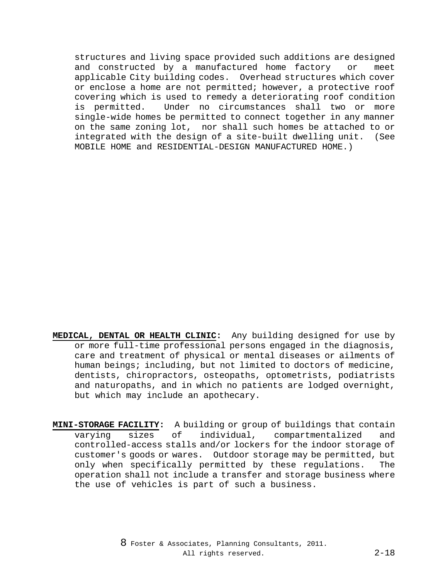structures and living space provided such additions are designed and constructed by a manufactured home factory or meet applicable City building codes. Overhead structures which cover or enclose a home are not permitted; however, a protective roof covering which is used to remedy a deteriorating roof condition is permitted. Under no circumstances shall two or more single-wide homes be permitted to connect together in any manner on the same zoning lot, nor shall such homes be attached to or integrated with the design of a site-built dwelling unit. (See MOBILE HOME and RESIDENTIAL-DESIGN MANUFACTURED HOME.)

- **MEDICAL, DENTAL OR HEALTH CLINIC:** Any building designed for use by or more full-time professional persons engaged in the diagnosis, care and treatment of physical or mental diseases or ailments of human beings; including, but not limited to doctors of medicine, dentists, chiropractors, osteopaths, optometrists, podiatrists and naturopaths, and in which no patients are lodged overnight, but which may include an apothecary.
- **MINI-STORAGE FACILITY:** A building or group of buildings that contain varying sizes of individual, compartmentalized and controlled-access stalls and/or lockers for the indoor storage of customer's goods or wares. Outdoor storage may be permitted, but only when specifically permitted by these regulations. The operation shall not include a transfer and storage business where the use of vehicles is part of such a business.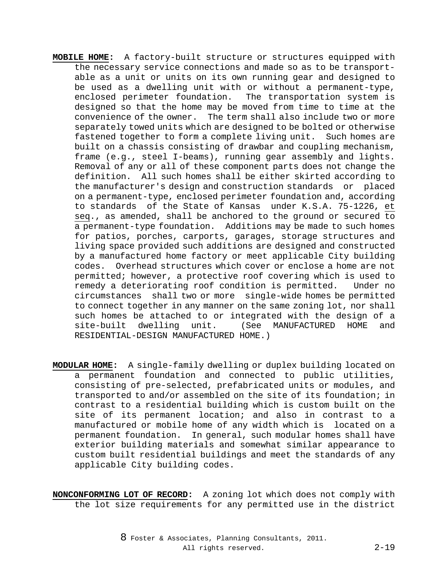- **MOBILE HOME:** A factory-built structure or structures equipped with the necessary service connections and made so as to be transportable as a unit or units on its own running gear and designed to be used as a dwelling unit with or without a permanent-type, enclosed perimeter foundation. The transportation system is designed so that the home may be moved from time to time at the convenience of the owner. The term shall also include two or more separately towed units which are designed to be bolted or otherwise fastened together to form a complete living unit. Such homes are built on a chassis consisting of drawbar and coupling mechanism, frame (e.g., steel I-beams), running gear assembly and lights. Removal of any or all of these component parts does not change the definition. All such homes shall be either skirted according to the manufacturer's design and construction standards or placed on a permanent-type, enclosed perimeter foundation and, according to standards of the State of Kansas under K.S.A. 75-1226, et seq., as amended, shall be anchored to the ground or secured to a permanent-type foundation. Additions may be made to such homes for patios, porches, carports, garages, storage structures and living space provided such additions are designed and constructed by a manufactured home factory or meet applicable City building codes. Overhead structures which cover or enclose a home are not permitted; however, a protective roof covering which is used to remedy a deteriorating roof condition is permitted. Under no circumstances shall two or more single-wide homes be permitted to connect together in any manner on the same zoning lot, nor shall such homes be attached to or integrated with the design of a<br>site-built dwelling unit. (See MANUFACTURED HOME and (See MANUFACTURED HOME and RESIDENTIAL-DESIGN MANUFACTURED HOME.)
- **MODULAR HOME:** A single-family dwelling or duplex building located on a permanent foundation and connected to public utilities, consisting of pre-selected, prefabricated units or modules, and transported to and/or assembled on the site of its foundation; in contrast to a residential building which is custom built on the site of its permanent location; and also in contrast to a manufactured or mobile home of any width which is located on a permanent foundation. In general, such modular homes shall have exterior building materials and somewhat similar appearance to custom built residential buildings and meet the standards of any applicable City building codes.
- **NONCONFORMING LOT OF RECORD:** A zoning lot which does not comply with the lot size requirements for any permitted use in the district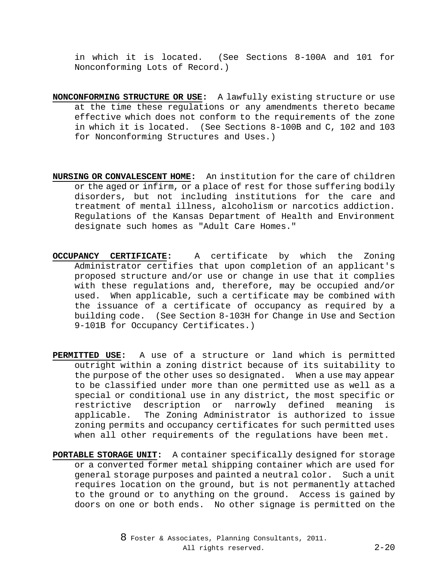in which it is located. (See Sections 8-100A and 101 for Nonconforming Lots of Record.)

- **NONCONFORMING STRUCTURE OR USE:** A lawfully existing structure or use at the time these regulations or any amendments thereto became effective which does not conform to the requirements of the zone in which it is located. (See Sections 8-100B and C, 102 and 103 for Nonconforming Structures and Uses.)
- **NURSING OR CONVALESCENT HOME:** An institution for the care of children or the aged or infirm, or a place of rest for those suffering bodily disorders, but not including institutions for the care and treatment of mental illness, alcoholism or narcotics addiction. Regulations of the Kansas Department of Health and Environment designate such homes as "Adult Care Homes."
- **OCCUPANCY CERTIFICATE:** A certificate by which the Zoning Administrator certifies that upon completion of an applicant's proposed structure and/or use or change in use that it complies with these regulations and, therefore, may be occupied and/or used. When applicable, such a certificate may be combined with the issuance of a certificate of occupancy as required by a building code. (See Section 8-103H for Change in Use and Section 9-101B for Occupancy Certificates.)
- **PERMITTED USE:** A use of a structure or land which is permitted outright within a zoning district because of its suitability to the purpose of the other uses so designated. When a use may appear to be classified under more than one permitted use as well as a special or conditional use in any district, the most specific or<br>restrictive description or narrowly defined meaning is restrictive description or narrowly defined meaning applicable. The Zoning Administrator is authorized to issue zoning permits and occupancy certificates for such permitted uses when all other requirements of the regulations have been met.
- **PORTABLE STORAGE UNIT:** A container specifically designed for storage or a converted former metal shipping container which are used for general storage purposes and painted a neutral color. Such a unit requires location on the ground, but is not permanently attached to the ground or to anything on the ground. Access is gained by doors on one or both ends. No other signage is permitted on the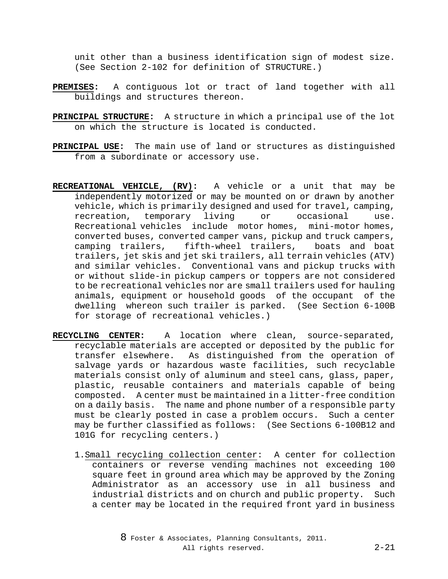unit other than a business identification sign of modest size. (See Section 2-102 for definition of STRUCTURE.)

- **PREMISES:** A contiguous lot or tract of land together with all buildings and structures thereon.
- **PRINCIPAL STRUCTURE:** A structure in which a principal use of the lot on which the structure is located is conducted.
- **PRINCIPAL USE:** The main use of land or structures as distinguished from a subordinate or accessory use.
- **RECREATIONAL VEHICLE, (RV):** A vehicle or a unit that may be independently motorized or may be mounted on or drawn by another vehicle, which is primarily designed and used for travel, camping, recreation, temporary living or occasional use. Recreational vehicles include motor homes, mini-motor homes, converted buses, converted camper vans, pickup and truck campers, camping trailers, fifth-wheel trailers, trailers, jet skis and jet ski trailers, all terrain vehicles (ATV) and similar vehicles. Conventional vans and pickup trucks with or without slide-in pickup campers or toppers are not considered to be recreational vehicles nor are small trailers used for hauling animals, equipment or household goods of the occupant of the dwelling whereon such trailer is parked. (See Section 6-100B for storage of recreational vehicles.)
- **RECYCLING CENTER:** A location where clean, source-separated, recyclable materials are accepted or deposited by the public for transfer elsewhere. As distinguished from the operation of salvage yards or hazardous waste facilities, such recyclable materials consist only of aluminum and steel cans, glass, paper, plastic, reusable containers and materials capable of being composted. A center must be maintained in a litter-free condition on a daily basis. The name and phone number of a responsible party must be clearly posted in case a problem occurs. Such a center may be further classified as follows: (See Sections 6-100B12 and 101G for recycling centers.)
	- 1.Small recycling collection center: A center for collection containers or reverse vending machines not exceeding 100 square feet in ground area which may be approved by the Zoning Administrator as an accessory use in all business and industrial districts and on church and public property. Such a center may be located in the required front yard in business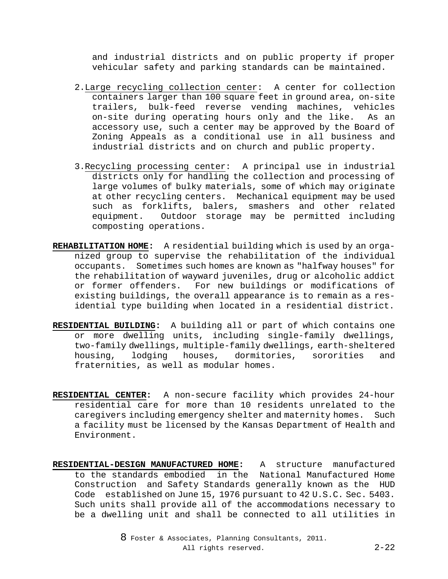and industrial districts and on public property if proper vehicular safety and parking standards can be maintained.

- 2.Large recycling collection center: A center for collection containers larger than 100 square feet in ground area, on-site trailers, bulk-feed reverse vending machines, vehicles on-site during operating hours only and the like. As an accessory use, such a center may be approved by the Board of Zoning Appeals as a conditional use in all business and industrial districts and on church and public property.
- 3.Recycling processing center: A principal use in industrial districts only for handling the collection and processing of large volumes of bulky materials, some of which may originate at other recycling centers. Mechanical equipment may be used such as forklifts, balers, smashers and other related equipment. Outdoor storage may be permitted including composting operations.
- **REHABILITATION HOME:** A residential building which is used by an organized group to supervise the rehabilitation of the individual occupants. Sometimes such homes are known as "halfway houses" for the rehabilitation of wayward juveniles, drug or alcoholic addict or former offenders. For new buildings or modifications of existing buildings, the overall appearance is to remain as a residential type building when located in a residential district.
- **RESIDENTIAL BUILDING:** A building all or part of which contains one or more dwelling units, including single-family dwellings, two-family dwellings, multiple-family dwellings, earth-sheltered housing, lodging houses, dormitories, sororities and fraternities, as well as modular homes.
- **RESIDENTIAL CENTER:** A non-secure facility which provides 24-hour residential care for more than 10 residents unrelated to the caregivers including emergency shelter and maternity homes. Such a facility must be licensed by the Kansas Department of Health and Environment.
- **RESIDENTIAL-DESIGN MANUFACTURED HOME:** A structure manufactured to the standards embodied in the National Manufactured Home Construction and Safety Standards generally known as the HUD Code established on June 15, 1976 pursuant to 42 U.S.C. Sec. 5403. Such units shall provide all of the accommodations necessary to be a dwelling unit and shall be connected to all utilities in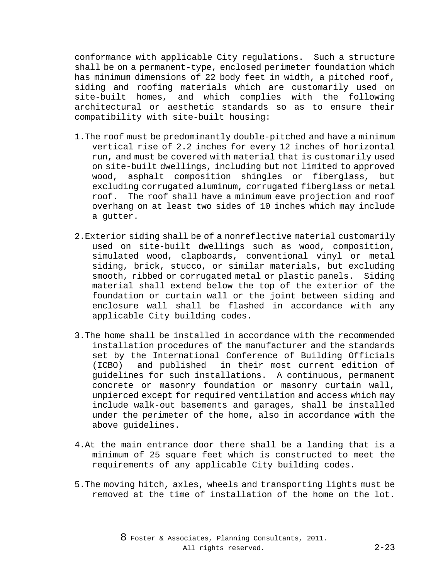conformance with applicable City regulations. Such a structure shall be on a permanent-type, enclosed perimeter foundation which has minimum dimensions of 22 body feet in width, a pitched roof, siding and roofing materials which are customarily used on site-built homes, and which complies with the following architectural or aesthetic standards so as to ensure their compatibility with site-built housing:

- 1.The roof must be predominantly double-pitched and have a minimum vertical rise of 2.2 inches for every 12 inches of horizontal run, and must be covered with material that is customarily used on site-built dwellings, including but not limited to approved wood, asphalt composition shingles or fiberglass, but excluding corrugated aluminum, corrugated fiberglass or metal roof. The roof shall have a minimum eave projection and roof overhang on at least two sides of 10 inches which may include a gutter.
- 2.Exterior siding shall be of a nonreflective material customarily used on site-built dwellings such as wood, composition, simulated wood, clapboards, conventional vinyl or metal siding, brick, stucco, or similar materials, but excluding smooth, ribbed or corrugated metal or plastic panels. Siding material shall extend below the top of the exterior of the foundation or curtain wall or the joint between siding and enclosure wall shall be flashed in accordance with any applicable City building codes.
- 3.The home shall be installed in accordance with the recommended installation procedures of the manufacturer and the standards set by the International Conference of Building Officials<br>(ICBO) and published in their most current edition of (ICBO) and published in their most current edition of guidelines for such installations. A continuous, permanent concrete or masonry foundation or masonry curtain wall, unpierced except for required ventilation and access which may include walk-out basements and garages, shall be installed under the perimeter of the home, also in accordance with the above guidelines.
- 4.At the main entrance door there shall be a landing that is a minimum of 25 square feet which is constructed to meet the requirements of any applicable City building codes.
- 5.The moving hitch, axles, wheels and transporting lights must be removed at the time of installation of the home on the lot.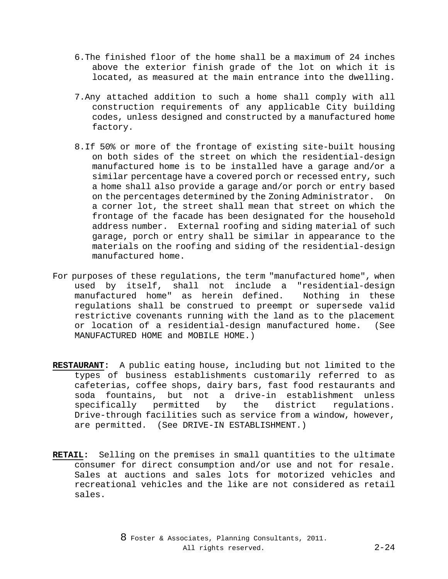- 6.The finished floor of the home shall be a maximum of 24 inches above the exterior finish grade of the lot on which it is located, as measured at the main entrance into the dwelling.
- 7.Any attached addition to such a home shall comply with all construction requirements of any applicable City building codes, unless designed and constructed by a manufactured home factory.
- 8.If 50% or more of the frontage of existing site-built housing on both sides of the street on which the residential-design manufactured home is to be installed have a garage and/or a similar percentage have a covered porch or recessed entry, such a home shall also provide a garage and/or porch or entry based on the percentages determined by the Zoning Administrator. On a corner lot, the street shall mean that street on which the frontage of the facade has been designated for the household address number. External roofing and siding material of such garage, porch or entry shall be similar in appearance to the materials on the roofing and siding of the residential-design manufactured home.
- For purposes of these regulations, the term "manufactured home", when used by itself, shall not include a "residential-design manufactured home" as herein defined. Nothing in these regulations shall be construed to preempt or supersede valid restrictive covenants running with the land as to the placement or location of a residential-design manufactured home. (See MANUFACTURED HOME and MOBILE HOME.)
- **RESTAURANT:** A public eating house, including but not limited to the types of business establishments customarily referred to as cafeterias, coffee shops, dairy bars, fast food restaurants and soda fountains, but not a drive-in establishment unless<br>specifically permitted by the district requlations. specifically Drive-through facilities such as service from a window, however, are permitted. (See DRIVE-IN ESTABLISHMENT.)
- **RETAIL:** Selling on the premises in small quantities to the ultimate consumer for direct consumption and/or use and not for resale. Sales at auctions and sales lots for motorized vehicles and recreational vehicles and the like are not considered as retail sales.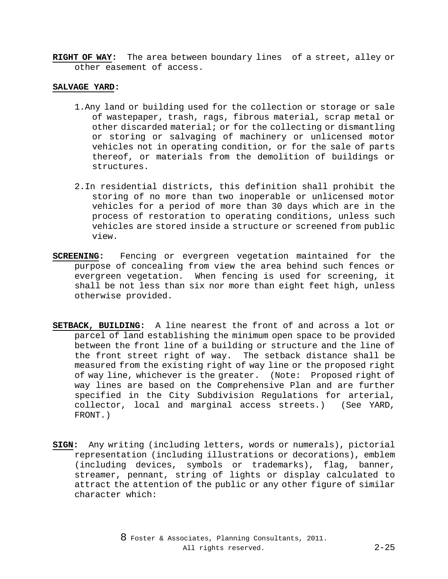**RIGHT OF WAY:** The area between boundary lines of a street, alley or other easement of access.

#### **SALVAGE YARD:**

- 1.Any land or building used for the collection or storage or sale of wastepaper, trash, rags, fibrous material, scrap metal or other discarded material; or for the collecting or dismantling or storing or salvaging of machinery or unlicensed motor vehicles not in operating condition, or for the sale of parts thereof, or materials from the demolition of buildings or structures.
- 2.In residential districts, this definition shall prohibit the storing of no more than two inoperable or unlicensed motor vehicles for a period of more than 30 days which are in the process of restoration to operating conditions, unless such vehicles are stored inside a structure or screened from public view.
- **SCREENING:** Fencing or evergreen vegetation maintained for the purpose of concealing from view the area behind such fences or evergreen vegetation. When fencing is used for screening, it shall be not less than six nor more than eight feet high, unless otherwise provided.
- **SETBACK, BUILDING:** A line nearest the front of and across a lot or parcel of land establishing the minimum open space to be provided between the front line of a building or structure and the line of the front street right of way. The setback distance shall be measured from the existing right of way line or the proposed right of way line, whichever is the greater. (Note: Proposed right of way lines are based on the Comprehensive Plan and are further specified in the City Subdivision Regulations for arterial, collector, local and marginal access streets.) (See YARD, FRONT.)
- **SIGN:** Any writing (including letters, words or numerals), pictorial representation (including illustrations or decorations), emblem (including devices, symbols or trademarks), flag, banner, streamer, pennant, string of lights or display calculated to attract the attention of the public or any other figure of similar character which: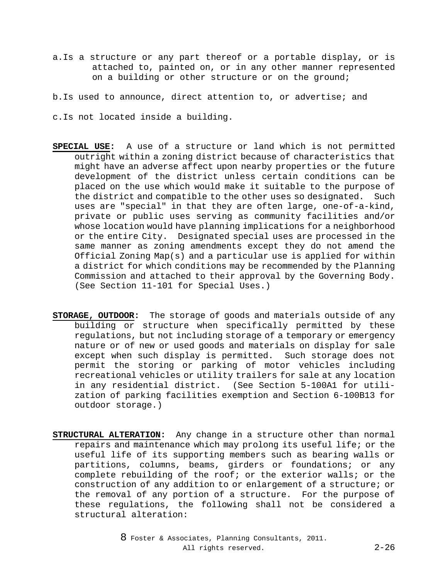- a.Is a structure or any part thereof or a portable display, or is attached to, painted on, or in any other manner represented on a building or other structure or on the ground;
- b.Is used to announce, direct attention to, or advertise; and
- c.Is not located inside a building.
- **SPECIAL USE:** A use of a structure or land which is not permitted outright within a zoning district because of characteristics that might have an adverse affect upon nearby properties or the future development of the district unless certain conditions can be placed on the use which would make it suitable to the purpose of the district and compatible to the other uses so designated. Such uses are "special" in that they are often large, one-of-a-kind, private or public uses serving as community facilities and/or whose location would have planning implications for a neighborhood or the entire City. Designated special uses are processed in the same manner as zoning amendments except they do not amend the Official Zoning Map(s) and a particular use is applied for within a district for which conditions may be recommended by the Planning Commission and attached to their approval by the Governing Body. (See Section 11-101 for Special Uses.)
- **STORAGE, OUTDOOR:** The storage of goods and materials outside of any building or structure when specifically permitted by these regulations, but not including storage of a temporary or emergency nature or of new or used goods and materials on display for sale except when such display is permitted. Such storage does not permit the storing or parking of motor vehicles including recreational vehicles or utility trailers for sale at any location in any residential district. (See Section 5-100A1 for utilization of parking facilities exemption and Section 6-100B13 for outdoor storage.)
- **STRUCTURAL ALTERATION:** Any change in a structure other than normal repairs and maintenance which may prolong its useful life; or the useful life of its supporting members such as bearing walls or partitions, columns, beams, girders or foundations; or any complete rebuilding of the roof; or the exterior walls; or the construction of any addition to or enlargement of a structure; or the removal of any portion of a structure. For the purpose of these regulations, the following shall not be considered a structural alteration: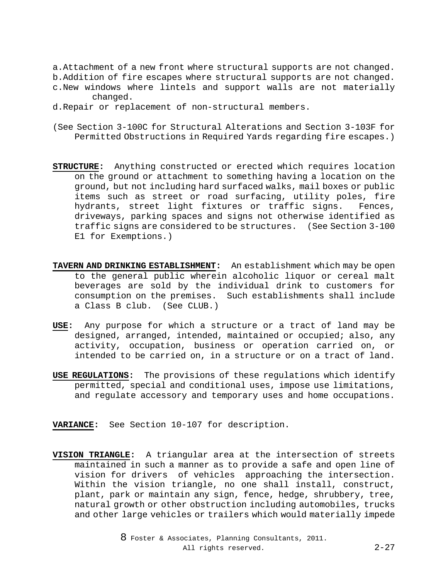- a.Attachment of a new front where structural supports are not changed. b.Addition of fire escapes where structural supports are not changed.
- c.New windows where lintels and support walls are not materially changed.
- d.Repair or replacement of non-structural members.
- (See Section 3-100C for Structural Alterations and Section 3-103F for Permitted Obstructions in Required Yards regarding fire escapes.)
- **STRUCTURE:** Anything constructed or erected which requires location on the ground or attachment to something having a location on the ground, but not including hard surfaced walks, mail boxes or public items such as street or road surfacing, utility poles, fire hydrants, street light fixtures or traffic signs. Fences, driveways, parking spaces and signs not otherwise identified as traffic signs are considered to be structures. (See Section 3-100 E1 for Exemptions.)
- **TAVERN AND DRINKING ESTABLISHMENT:** An establishment which may be open to the general public wherein alcoholic liquor or cereal malt beverages are sold by the individual drink to customers for consumption on the premises. Such establishments shall include a Class B club. (See CLUB.)
- **USE:** Any purpose for which a structure or a tract of land may be designed, arranged, intended, maintained or occupied; also, any activity, occupation, business or operation carried on, or intended to be carried on, in a structure or on a tract of land.
- **USE REGULATIONS:** The provisions of these regulations which identify permitted, special and conditional uses, impose use limitations, and regulate accessory and temporary uses and home occupations.
- **VARIANCE:** See Section 10-107 for description.
- **VISION TRIANGLE:** A triangular area at the intersection of streets maintained in such a manner as to provide a safe and open line of vision for drivers of vehicles approaching the intersection. Within the vision triangle, no one shall install, construct, plant, park or maintain any sign, fence, hedge, shrubbery, tree, natural growth or other obstruction including automobiles, trucks and other large vehicles or trailers which would materially impede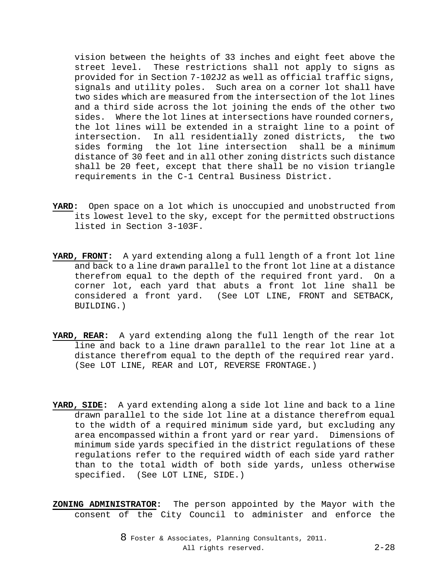vision between the heights of 33 inches and eight feet above the street level. These restrictions shall not apply to signs as provided for in Section 7-102J2 as well as official traffic signs, signals and utility poles. Such area on a corner lot shall have two sides which are measured from the intersection of the lot lines and a third side across the lot joining the ends of the other two sides. Where the lot lines at intersections have rounded corners, the lot lines will be extended in a straight line to a point of intersection. In all residentially zoned districts, the two sides forming the lot line intersection shall be a minimum distance of 30 feet and in all other zoning districts such distance shall be 20 feet, except that there shall be no vision triangle requirements in the C-1 Central Business District.

- **YARD:** Open space on a lot which is unoccupied and unobstructed from its lowest level to the sky, except for the permitted obstructions listed in Section 3-103F.
- **YARD, FRONT:** A yard extending along a full length of a front lot line and back to a line drawn parallel to the front lot line at a distance therefrom equal to the depth of the required front yard. On a corner lot, each yard that abuts a front lot line shall be considered a front yard. (See LOT LINE, FRONT and SETBACK, BUILDING.)
- **YARD, REAR:** A yard extending along the full length of the rear lot line and back to a line drawn parallel to the rear lot line at a distance therefrom equal to the depth of the required rear yard. (See LOT LINE, REAR and LOT, REVERSE FRONTAGE.)
- **YARD, SIDE:** A yard extending along a side lot line and back to a line drawn parallel to the side lot line at a distance therefrom equal to the width of a required minimum side yard, but excluding any area encompassed within a front yard or rear yard. Dimensions of minimum side yards specified in the district regulations of these regulations refer to the required width of each side yard rather than to the total width of both side yards, unless otherwise specified. (See LOT LINE, SIDE.)
- **ZONING ADMINISTRATOR:** The person appointed by the Mayor with the consent of the City Council to administer and enforce the

8 Foster & Associates, Planning Consultants, 2011. All rights reserved. 2-28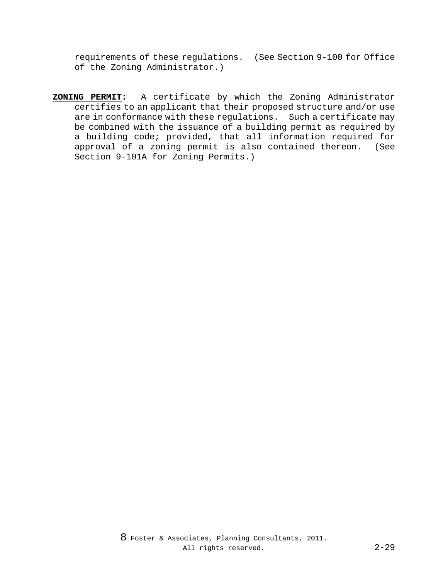requirements of these regulations. (See Section 9-100 for Office of the Zoning Administrator.)

**ZONING PERMIT:** A certificate by which the Zoning Administrator certifies to an applicant that their proposed structure and/or use are in conformance with these regulations. Such a certificate may be combined with the issuance of a building permit as required by a building code; provided, that all information required for approval of a zoning permit is also contained thereon. (See Section 9-101A for Zoning Permits.)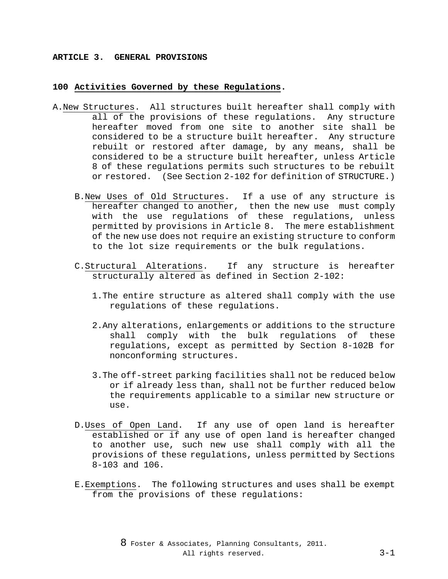#### **ARTICLE 3. GENERAL PROVISIONS**

### **100 Activities Governed by these Regulations.**

- A.New Structures. All structures built hereafter shall comply with all of the provisions of these regulations. Any structure hereafter moved from one site to another site shall be considered to be a structure built hereafter. Any structure rebuilt or restored after damage, by any means, shall be considered to be a structure built hereafter, unless Article 8 of these regulations permits such structures to be rebuilt or restored. (See Section 2-102 for definition of STRUCTURE.)
	- B.New Uses of Old Structures. If a use of any structure is hereafter changed to another, then the new use must comply with the use regulations of these regulations, unless permitted by provisions in Article 8. The mere establishment of the new use does not require an existing structure to conform to the lot size requirements or the bulk regulations.
	- C.Structural Alterations. If any structure is hereafter structurally altered as defined in Section 2-102:
		- 1.The entire structure as altered shall comply with the use regulations of these regulations.
		- 2.Any alterations, enlargements or additions to the structure shall comply with the bulk regulations of these regulations, except as permitted by Section 8-102B for nonconforming structures.
		- 3.The off-street parking facilities shall not be reduced below or if already less than, shall not be further reduced below the requirements applicable to a similar new structure or use.
	- D.Uses of Open Land. If any use of open land is hereafter established or if any use of open land is hereafter changed to another use, such new use shall comply with all the provisions of these regulations, unless permitted by Sections 8-103 and 106.
	- E.Exemptions. The following structures and uses shall be exempt from the provisions of these regulations: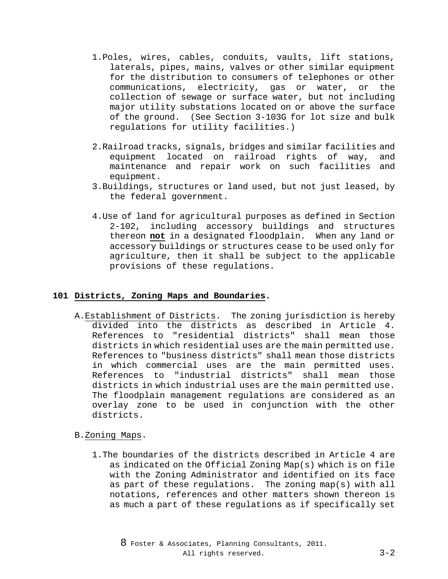- 1.Poles, wires, cables, conduits, vaults, lift stations, laterals, pipes, mains, valves or other similar equipment for the distribution to consumers of telephones or other communications, electricity, gas or water, or the collection of sewage or surface water, but not including major utility substations located on or above the surface of the ground. (See Section 3-103G for lot size and bulk regulations for utility facilities.)
- 2.Railroad tracks, signals, bridges and similar facilities and equipment located on railroad rights of way, and maintenance and repair work on such facilities and equipment.
- 3.Buildings, structures or land used, but not just leased, by the federal government.
- 4.Use of land for agricultural purposes as defined in Section 2-102, including accessory buildings and structures thereon **not** in a designated floodplain. When any land or accessory buildings or structures cease to be used only for agriculture, then it shall be subject to the applicable provisions of these regulations.

## **101 Districts, Zoning Maps and Boundaries.**

A.Establishment of Districts. The zoning jurisdiction is hereby divided into the districts as described in Article 4. References to "residential districts" shall mean those districts in which residential uses are the main permitted use. References to "business districts" shall mean those districts in which commercial uses are the main permitted uses. References to "industrial districts" shall mean those districts in which industrial uses are the main permitted use. The floodplain management regulations are considered as an overlay zone to be used in conjunction with the other districts.

## B.Zoning Maps.

1.The boundaries of the districts described in Article 4 are as indicated on the Official Zoning Map(s) which is on file with the Zoning Administrator and identified on its face as part of these regulations. The zoning map(s) with all notations, references and other matters shown thereon is as much a part of these regulations as if specifically set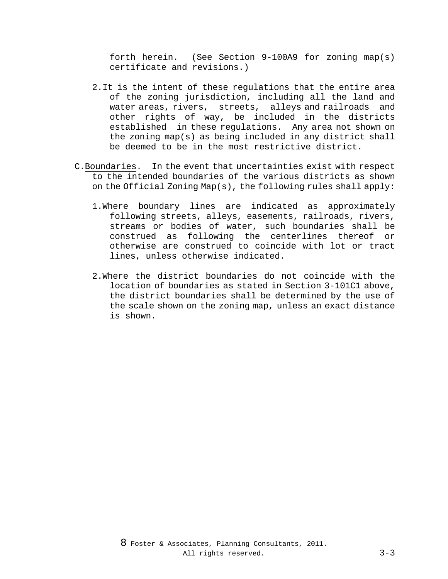forth herein. (See Section 9-100A9 for zoning map(s) certificate and revisions.)

- 2.It is the intent of these regulations that the entire area of the zoning jurisdiction, including all the land and water areas, rivers, streets, alleys and railroads and other rights of way, be included in the districts established in these regulations. Any area not shown on the zoning map(s) as being included in any district shall be deemed to be in the most restrictive district.
- C.Boundaries. In the event that uncertainties exist with respect to the intended boundaries of the various districts as shown on the Official Zoning Map(s), the following rules shall apply:
	- 1.Where boundary lines are indicated as approximately following streets, alleys, easements, railroads, rivers, streams or bodies of water, such boundaries shall be construed as following the centerlines thereof or otherwise are construed to coincide with lot or tract lines, unless otherwise indicated.
	- 2.Where the district boundaries do not coincide with the location of boundaries as stated in Section 3-101C1 above, the district boundaries shall be determined by the use of the scale shown on the zoning map, unless an exact distance is shown.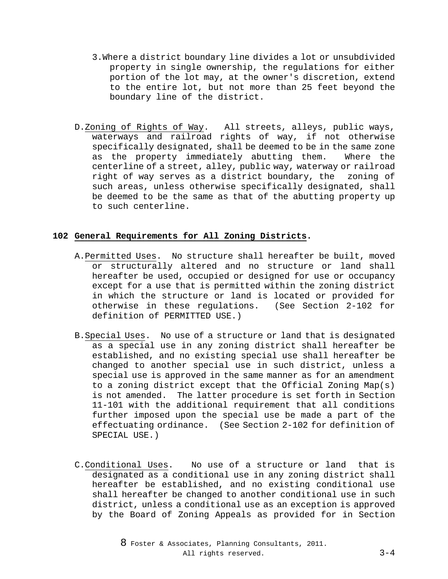- 3.Where a district boundary line divides a lot or unsubdivided property in single ownership, the regulations for either portion of the lot may, at the owner's discretion, extend to the entire lot, but not more than 25 feet beyond the boundary line of the district.
- D.Zoning of Rights of Way. All streets, alleys, public ways, waterways and railroad rights of way, if not otherwise specifically designated, shall be deemed to be in the same zone<br>as the property immediately abutting them. Where the as the property immediately abutting them. centerline of a street, alley, public way, waterway or railroad right of way serves as a district boundary, the zoning of such areas, unless otherwise specifically designated, shall be deemed to be the same as that of the abutting property up to such centerline.

# **102 General Requirements for All Zoning Districts.**

- A.Permitted Uses. No structure shall hereafter be built, moved or structurally altered and no structure or land shall hereafter be used, occupied or designed for use or occupancy except for a use that is permitted within the zoning district in which the structure or land is located or provided for otherwise in these regulations. (See Section 2-102 for definition of PERMITTED USE.)
- B.Special Uses. No use of a structure or land that is designated as a special use in any zoning district shall hereafter be established, and no existing special use shall hereafter be changed to another special use in such district, unless a special use is approved in the same manner as for an amendment to a zoning district except that the Official Zoning Map(s) is not amended. The latter procedure is set forth in Section 11-101 with the additional requirement that all conditions further imposed upon the special use be made a part of the effectuating ordinance. (See Section 2-102 for definition of SPECIAL USE.)
- C.Conditional Uses. No use of a structure or land that is designated as a conditional use in any zoning district shall hereafter be established, and no existing conditional use shall hereafter be changed to another conditional use in such district, unless a conditional use as an exception is approved by the Board of Zoning Appeals as provided for in Section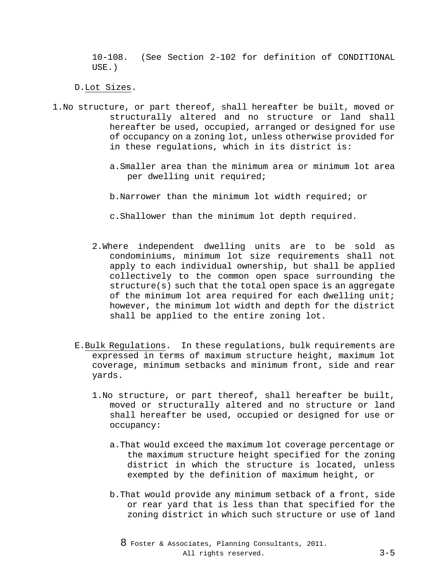10-108. (See Section 2-102 for definition of CONDITIONAL USE.)

D.Lot Sizes.

- 1.No structure, or part thereof, shall hereafter be built, moved or structurally altered and no structure or land shall hereafter be used, occupied, arranged or designed for use of occupancy on a zoning lot, unless otherwise provided for in these regulations, which in its district is:
	- a.Smaller area than the minimum area or minimum lot area per dwelling unit required;
	- b.Narrower than the minimum lot width required; or
	- c.Shallower than the minimum lot depth required.
	- 2.Where independent dwelling units are to be sold as condominiums, minimum lot size requirements shall not apply to each individual ownership, but shall be applied collectively to the common open space surrounding the structure(s) such that the total open space is an aggregate of the minimum lot area required for each dwelling unit; however, the minimum lot width and depth for the district shall be applied to the entire zoning lot.
	- E.Bulk Regulations. In these regulations, bulk requirements are expressed in terms of maximum structure height, maximum lot coverage, minimum setbacks and minimum front, side and rear yards.
		- 1.No structure, or part thereof, shall hereafter be built, moved or structurally altered and no structure or land shall hereafter be used, occupied or designed for use or occupancy:
			- a.That would exceed the maximum lot coverage percentage or the maximum structure height specified for the zoning district in which the structure is located, unless exempted by the definition of maximum height, or
			- b.That would provide any minimum setback of a front, side or rear yard that is less than that specified for the zoning district in which such structure or use of land

8 Foster & Associates, Planning Consultants, 2011. All rights reserved. 3-5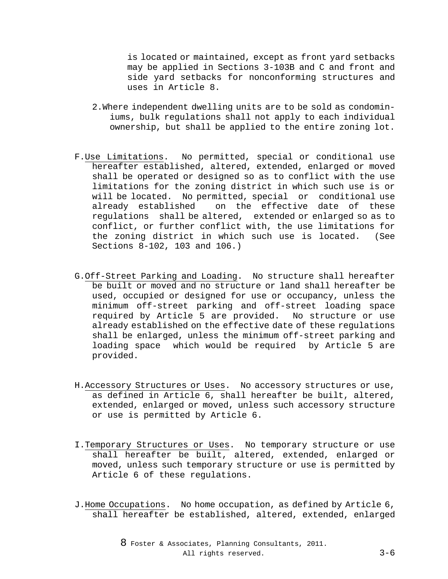is located or maintained, except as front yard setbacks may be applied in Sections 3-103B and C and front and side yard setbacks for nonconforming structures and uses in Article 8.

- 2.Where independent dwelling units are to be sold as condominiums, bulk regulations shall not apply to each individual ownership, but shall be applied to the entire zoning lot.
- F.Use Limitations. No permitted, special or conditional use hereafter established, altered, extended, enlarged or moved shall be operated or designed so as to conflict with the use limitations for the zoning district in which such use is or will be located. No permitted, special or conditional use already established on the effective date of these regulations shall be altered, extended or enlarged so as to conflict, or further conflict with, the use limitations for the zoning district in which such use is located. (See Sections 8-102, 103 and 106.)
- G.Off-Street Parking and Loading. No structure shall hereafter be built or moved and no structure or land shall hereafter be used, occupied or designed for use or occupancy, unless the minimum off-street parking and off-street loading space required by Article 5 are provided. No structure or use already established on the effective date of these regulations shall be enlarged, unless the minimum off-street parking and loading space which would be required by Article 5 are provided.
- H.Accessory Structures or Uses. No accessory structures or use, as defined in Article 6, shall hereafter be built, altered, extended, enlarged or moved, unless such accessory structure or use is permitted by Article 6.
- I.Temporary Structures or Uses. No temporary structure or use shall hereafter be built, altered, extended, enlarged or moved, unless such temporary structure or use is permitted by Article 6 of these regulations.
- J.Home Occupations. No home occupation, as defined by Article 6, shall hereafter be established, altered, extended, enlarged

8 Foster & Associates, Planning Consultants, 2011. All rights reserved. 3-6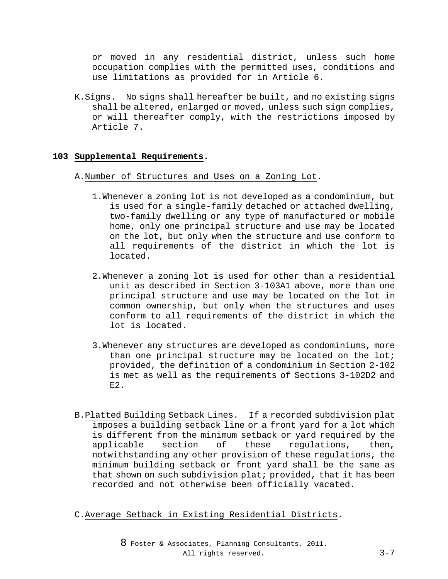or moved in any residential district, unless such home occupation complies with the permitted uses, conditions and use limitations as provided for in Article 6.

K.Signs. No signs shall hereafter be built, and no existing signs shall be altered, enlarged or moved, unless such sign complies, or will thereafter comply, with the restrictions imposed by Article 7.

## **103 Supplemental Requirements.**

- A.Number of Structures and Uses on a Zoning Lot.
	- 1.Whenever a zoning lot is not developed as a condominium, but is used for a single-family detached or attached dwelling, two-family dwelling or any type of manufactured or mobile home, only one principal structure and use may be located on the lot, but only when the structure and use conform to all requirements of the district in which the lot is located.
	- 2.Whenever a zoning lot is used for other than a residential unit as described in Section 3-103A1 above, more than one principal structure and use may be located on the lot in common ownership, but only when the structures and uses conform to all requirements of the district in which the lot is located.
	- 3.Whenever any structures are developed as condominiums, more than one principal structure may be located on the lot; provided, the definition of a condominium in Section 2-102 is met as well as the requirements of Sections 3-102D2 and E2.
- B.Platted Building Setback Lines. If a recorded subdivision plat imposes a building setback line or a front yard for a lot which is different from the minimum setback or yard required by the applicable section of these regulations, then, notwithstanding any other provision of these regulations, the minimum building setback or front yard shall be the same as that shown on such subdivision plat; provided, that it has been recorded and not otherwise been officially vacated.

C.Average Setback in Existing Residential Districts.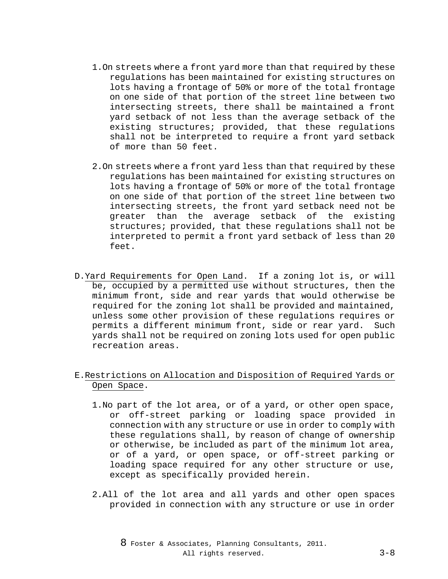- 1.On streets where a front yard more than that required by these regulations has been maintained for existing structures on lots having a frontage of 50% or more of the total frontage on one side of that portion of the street line between two intersecting streets, there shall be maintained a front yard setback of not less than the average setback of the existing structures; provided, that these regulations shall not be interpreted to require a front yard setback of more than 50 feet.
- 2.On streets where a front yard less than that required by these regulations has been maintained for existing structures on lots having a frontage of 50% or more of the total frontage on one side of that portion of the street line between two intersecting streets, the front yard setback need not be greater than the average setback of the existing structures; provided, that these regulations shall not be interpreted to permit a front yard setback of less than 20 feet.
- D.Yard Requirements for Open Land. If a zoning lot is, or will be, occupied by a permitted use without structures, then the minimum front, side and rear yards that would otherwise be required for the zoning lot shall be provided and maintained, unless some other provision of these regulations requires or permits a different minimum front, side or rear yard. Such yards shall not be required on zoning lots used for open public recreation areas.

# E.Restrictions on Allocation and Disposition of Required Yards or Open Space.

- 1.No part of the lot area, or of a yard, or other open space, or off-street parking or loading space provided in connection with any structure or use in order to comply with these regulations shall, by reason of change of ownership or otherwise, be included as part of the minimum lot area, or of a yard, or open space, or off-street parking or loading space required for any other structure or use, except as specifically provided herein.
- 2.All of the lot area and all yards and other open spaces provided in connection with any structure or use in order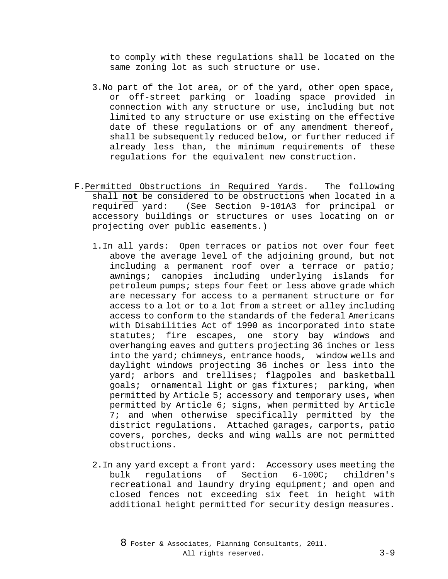to comply with these regulations shall be located on the same zoning lot as such structure or use.

- 3.No part of the lot area, or of the yard, other open space, or off-street parking or loading space provided in connection with any structure or use, including but not limited to any structure or use existing on the effective date of these regulations or of any amendment thereof, shall be subsequently reduced below, or further reduced if already less than, the minimum requirements of these regulations for the equivalent new construction.
- F.Permitted Obstructions in Required Yards. The following shall **not** be considered to be obstructions when located in a required yard: (See Section 9-101A3 for principal or accessory buildings or structures or uses locating on or projecting over public easements.)
	- 1.In all yards: Open terraces or patios not over four feet above the average level of the adjoining ground, but not including a permanent roof over a terrace or patio; awnings; canopies including underlying islands for petroleum pumps; steps four feet or less above grade which are necessary for access to a permanent structure or for access to a lot or to a lot from a street or alley including access to conform to the standards of the federal Americans with Disabilities Act of 1990 as incorporated into state statutes; fire escapes, one story bay windows and overhanging eaves and gutters projecting 36 inches or less into the yard; chimneys, entrance hoods, window wells and daylight windows projecting 36 inches or less into the yard; arbors and trellises; flagpoles and basketball goals; ornamental light or gas fixtures; parking, when permitted by Article 5; accessory and temporary uses, when permitted by Article 6; signs, when permitted by Article 7; and when otherwise specifically permitted by the district regulations. Attached garages, carports, patio covers, porches, decks and wing walls are not permitted obstructions.
	- 2. In any yard except a front yard: Accessory uses meeting the<br>bulk requlations of Section 6-100C; children's regulations recreational and laundry drying equipment; and open and closed fences not exceeding six feet in height with additional height permitted for security design measures.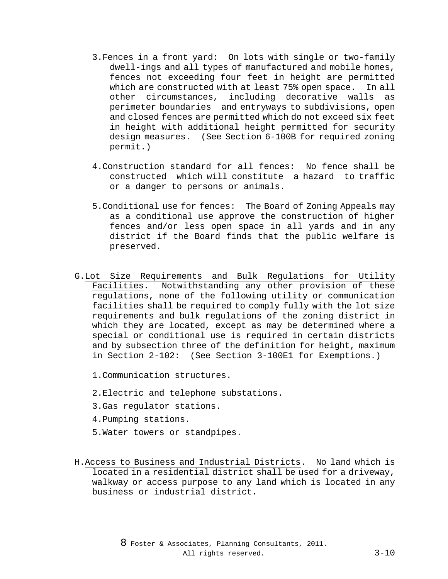- 3.Fences in a front yard: On lots with single or two-family dwell-ings and all types of manufactured and mobile homes, fences not exceeding four feet in height are permitted which are constructed with at least 75% open space. In all other circumstances, including decorative walls as perimeter boundaries and entryways to subdivisions, open and closed fences are permitted which do not exceed six feet in height with additional height permitted for security design measures. (See Section 6-100B for required zoning permit.)
- 4.Construction standard for all fences: No fence shall be constructed which will constitute a hazard to traffic or a danger to persons or animals.
- 5.Conditional use for fences: The Board of Zoning Appeals may as a conditional use approve the construction of higher fences and/or less open space in all yards and in any district if the Board finds that the public welfare is preserved.
- G.Lot Size Requirements and Bulk Regulations for Utility Facilities. Notwithstanding any other provision of these regulations, none of the following utility or communication facilities shall be required to comply fully with the lot size requirements and bulk regulations of the zoning district in which they are located, except as may be determined where a special or conditional use is required in certain districts and by subsection three of the definition for height, maximum in Section 2-102: (See Section 3-100E1 for Exemptions.)
	- 1.Communication structures.
	- 2.Electric and telephone substations.
	- 3.Gas regulator stations.
	- 4.Pumping stations.
	- 5.Water towers or standpipes.
- H.Access to Business and Industrial Districts. No land which is located in a residential district shall be used for a driveway, walkway or access purpose to any land which is located in any business or industrial district.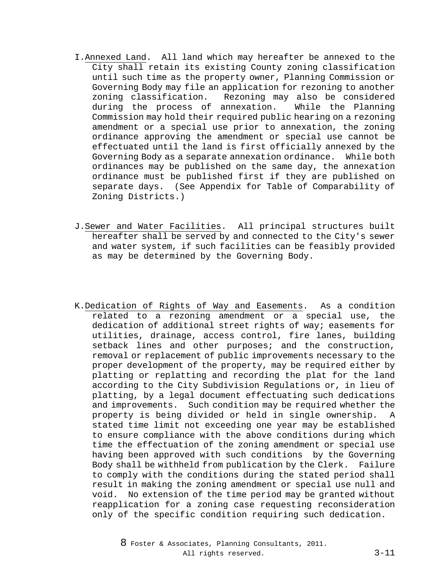- I.Annexed Land. All land which may hereafter be annexed to the City shall retain its existing County zoning classification until such time as the property owner, Planning Commission or Governing Body may file an application for rezoning to another zoning classification. Rezoning may also be considered<br>during the process of annexation. While the Planning during the process of annexation. Commission may hold their required public hearing on a rezoning amendment or a special use prior to annexation, the zoning ordinance approving the amendment or special use cannot be effectuated until the land is first officially annexed by the Governing Body as a separate annexation ordinance. While both ordinances may be published on the same day, the annexation ordinance must be published first if they are published on separate days. (See Appendix for Table of Comparability of Zoning Districts.)
- J.Sewer and Water Facilities. All principal structures built hereafter shall be served by and connected to the City's sewer and water system, if such facilities can be feasibly provided as may be determined by the Governing Body.
- K.Dedication of Rights of Way and Easements. As a condition related to a rezoning amendment or a special use, the dedication of additional street rights of way; easements for utilities, drainage, access control, fire lanes, building setback lines and other purposes; and the construction, removal or replacement of public improvements necessary to the proper development of the property, may be required either by platting or replatting and recording the plat for the land according to the City Subdivision Regulations or, in lieu of platting, by a legal document effectuating such dedications and improvements. Such condition may be required whether the property is being divided or held in single ownership. A stated time limit not exceeding one year may be established to ensure compliance with the above conditions during which time the effectuation of the zoning amendment or special use having been approved with such conditions by the Governing Body shall be withheld from publication by the Clerk. Failure to comply with the conditions during the stated period shall result in making the zoning amendment or special use null and void. No extension of the time period may be granted without reapplication for a zoning case requesting reconsideration only of the specific condition requiring such dedication.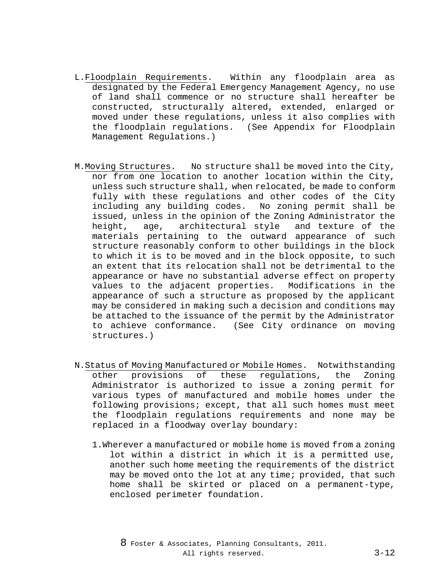- L.Floodplain Requirements. Within any floodplain area as designated by the Federal Emergency Management Agency, no use of land shall commence or no structure shall hereafter be constructed, structurally altered, extended, enlarged or moved under these regulations, unless it also complies with the floodplain regulations. (See Appendix for Floodplain Management Regulations.)
- M.Moving Structures. No structure shall be moved into the City, nor from one location to another location within the City, unless such structure shall, when relocated, be made to conform fully with these regulations and other codes of the City including any building codes. No zoning permit shall be issued, unless in the opinion of the Zoning Administrator the<br>height, age, architectural style and texture of the height, age, architectural style and texture of the materials pertaining to the outward appearance of such structure reasonably conform to other buildings in the block to which it is to be moved and in the block opposite, to such an extent that its relocation shall not be detrimental to the appearance or have no substantial adverse effect on property values to the adjacent properties. Modifications in the appearance of such a structure as proposed by the applicant may be considered in making such a decision and conditions may be attached to the issuance of the permit by the Administrator to achieve conformance. (See City ordinance on moving structures.)
- N.Status of Moving Manufactured or Mobile Homes. Notwithstanding other provisions of these regulations, the Zoning Administrator is authorized to issue a zoning permit for various types of manufactured and mobile homes under the following provisions; except, that all such homes must meet the floodplain regulations requirements and none may be replaced in a floodway overlay boundary:
	- 1.Wherever a manufactured or mobile home is moved from a zoning lot within a district in which it is a permitted use, another such home meeting the requirements of the district may be moved onto the lot at any time; provided, that such home shall be skirted or placed on a permanent-type, enclosed perimeter foundation.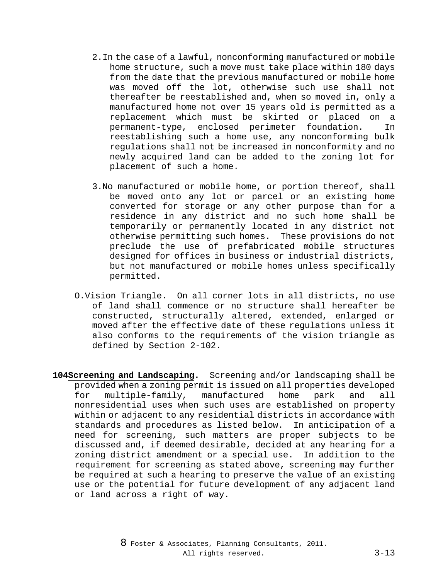- 2.In the case of a lawful, nonconforming manufactured or mobile home structure, such a move must take place within 180 days from the date that the previous manufactured or mobile home was moved off the lot, otherwise such use shall not thereafter be reestablished and, when so moved in, only a manufactured home not over 15 years old is permitted as a replacement which must be skirted or placed on a permanent-type, enclosed perimeter foundation. In reestablishing such a home use, any nonconforming bulk regulations shall not be increased in nonconformity and no newly acquired land can be added to the zoning lot for placement of such a home.
- 3.No manufactured or mobile home, or portion thereof, shall be moved onto any lot or parcel or an existing home converted for storage or any other purpose than for a residence in any district and no such home shall be temporarily or permanently located in any district not otherwise permitting such homes. These provisions do not preclude the use of prefabricated mobile structures designed for offices in business or industrial districts, but not manufactured or mobile homes unless specifically permitted.
- O.Vision Triangle. On all corner lots in all districts, no use of land shall commence or no structure shall hereafter be constructed, structurally altered, extended, enlarged or moved after the effective date of these regulations unless it also conforms to the requirements of the vision triangle as defined by Section 2-102.
- **104Screening and Landscaping.** Screening and/or landscaping shall be provided when a zoning permit is issued on all properties developed for multiple-family, manufactured home park and all nonresidential uses when such uses are established on property within or adjacent to any residential districts in accordance with standards and procedures as listed below. In anticipation of a need for screening, such matters are proper subjects to be discussed and, if deemed desirable, decided at any hearing for a zoning district amendment or a special use. In addition to the requirement for screening as stated above, screening may further be required at such a hearing to preserve the value of an existing use or the potential for future development of any adjacent land or land across a right of way.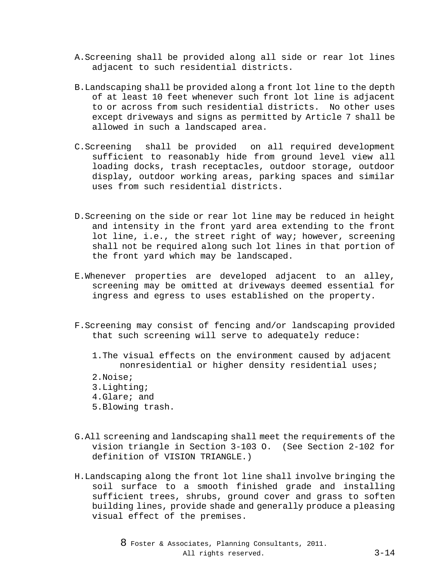- A.Screening shall be provided along all side or rear lot lines adjacent to such residential districts.
- B.Landscaping shall be provided along a front lot line to the depth of at least 10 feet whenever such front lot line is adjacent to or across from such residential districts. No other uses except driveways and signs as permitted by Article 7 shall be allowed in such a landscaped area.
- C.Screening shall be provided on all required development sufficient to reasonably hide from ground level view all loading docks, trash receptacles, outdoor storage, outdoor display, outdoor working areas, parking spaces and similar uses from such residential districts.
- D.Screening on the side or rear lot line may be reduced in height and intensity in the front yard area extending to the front lot line, i.e., the street right of way; however, screening shall not be required along such lot lines in that portion of the front yard which may be landscaped.
- E.Whenever properties are developed adjacent to an alley, screening may be omitted at driveways deemed essential for ingress and egress to uses established on the property.
- F.Screening may consist of fencing and/or landscaping provided that such screening will serve to adequately reduce:
	- 1.The visual effects on the environment caused by adjacent nonresidential or higher density residential uses;
	- 2.Noise;
	- 3.Lighting;
	- 4.Glare; and
	- 5.Blowing trash.
- G.All screening and landscaping shall meet the requirements of the vision triangle in Section 3-103 O. (See Section 2-102 for definition of VISION TRIANGLE.)
- H.Landscaping along the front lot line shall involve bringing the soil surface to a smooth finished grade and installing sufficient trees, shrubs, ground cover and grass to soften building lines, provide shade and generally produce a pleasing visual effect of the premises.

8 Foster & Associates, Planning Consultants, 2011. All rights reserved. 3-14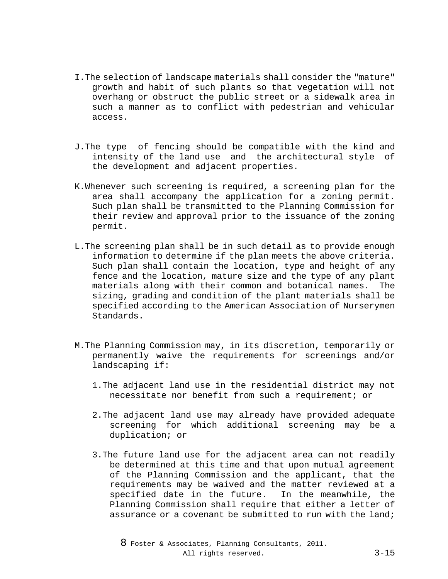- I.The selection of landscape materials shall consider the "mature" growth and habit of such plants so that vegetation will not overhang or obstruct the public street or a sidewalk area in such a manner as to conflict with pedestrian and vehicular access.
- J.The type of fencing should be compatible with the kind and intensity of the land use and the architectural style of the development and adjacent properties.
- K.Whenever such screening is required, a screening plan for the area shall accompany the application for a zoning permit. Such plan shall be transmitted to the Planning Commission for their review and approval prior to the issuance of the zoning permit.
- L.The screening plan shall be in such detail as to provide enough information to determine if the plan meets the above criteria. Such plan shall contain the location, type and height of any fence and the location, mature size and the type of any plant materials along with their common and botanical names. The sizing, grading and condition of the plant materials shall be specified according to the American Association of Nurserymen Standards.
- M.The Planning Commission may, in its discretion, temporarily or permanently waive the requirements for screenings and/or landscaping if:
	- 1.The adjacent land use in the residential district may not necessitate nor benefit from such a requirement; or
	- 2.The adjacent land use may already have provided adequate screening for which additional screening may be a duplication; or
	- 3.The future land use for the adjacent area can not readily be determined at this time and that upon mutual agreement of the Planning Commission and the applicant, that the requirements may be waived and the matter reviewed at a specified date in the future. In the meanwhile, the Planning Commission shall require that either a letter of assurance or a covenant be submitted to run with the land;

8 Foster & Associates, Planning Consultants, 2011. All rights reserved. 3-15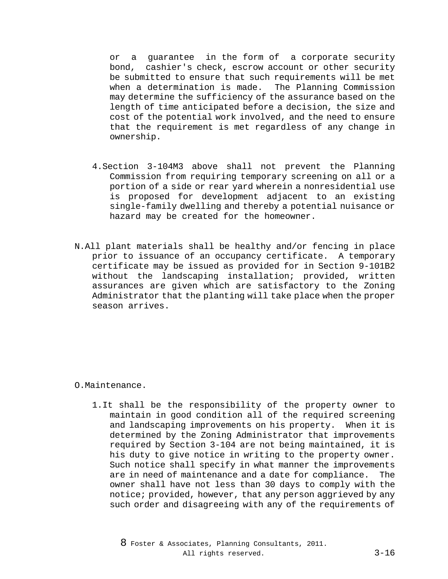or a guarantee in the form of a corporate security bond, cashier's check, escrow account or other security be submitted to ensure that such requirements will be met when a determination is made. The Planning Commission may determine the sufficiency of the assurance based on the length of time anticipated before a decision, the size and cost of the potential work involved, and the need to ensure that the requirement is met regardless of any change in ownership.

- 4.Section 3-104M3 above shall not prevent the Planning Commission from requiring temporary screening on all or a portion of a side or rear yard wherein a nonresidential use is proposed for development adjacent to an existing single-family dwelling and thereby a potential nuisance or hazard may be created for the homeowner.
- N.All plant materials shall be healthy and/or fencing in place prior to issuance of an occupancy certificate. A temporary certificate may be issued as provided for in Section 9-101B2 without the landscaping installation; provided, written assurances are given which are satisfactory to the Zoning Administrator that the planting will take place when the proper season arrives.

## O.Maintenance.

1.It shall be the responsibility of the property owner to maintain in good condition all of the required screening and landscaping improvements on his property. When it is determined by the Zoning Administrator that improvements required by Section 3-104 are not being maintained, it is his duty to give notice in writing to the property owner. Such notice shall specify in what manner the improvements are in need of maintenance and a date for compliance. The owner shall have not less than 30 days to comply with the notice; provided, however, that any person aggrieved by any such order and disagreeing with any of the requirements of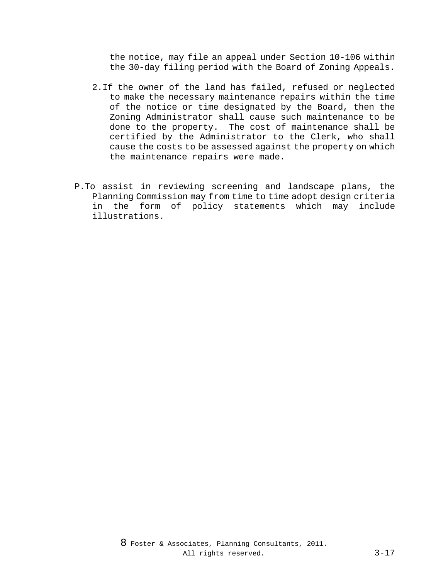the notice, may file an appeal under Section 10-106 within the 30-day filing period with the Board of Zoning Appeals.

- 2.If the owner of the land has failed, refused or neglected to make the necessary maintenance repairs within the time of the notice or time designated by the Board, then the Zoning Administrator shall cause such maintenance to be done to the property. The cost of maintenance shall be certified by the Administrator to the Clerk, who shall cause the costs to be assessed against the property on which the maintenance repairs were made.
- P.To assist in reviewing screening and landscape plans, the Planning Commission may from time to time adopt design criteria in the form of policy statements which may include illustrations.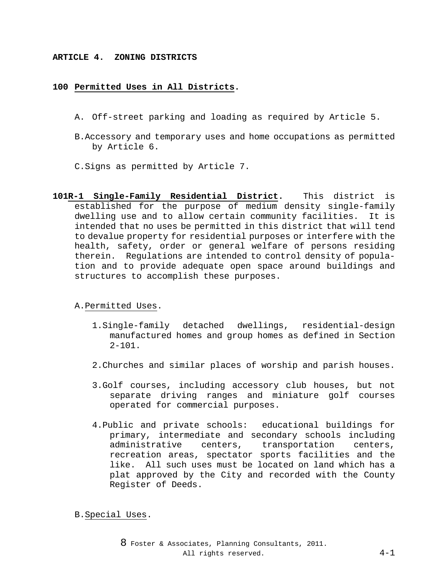### **ARTICLE 4. ZONING DISTRICTS**

### **100 Permitted Uses in All Districts.**

- A. Off-street parking and loading as required by Article 5.
- B.Accessory and temporary uses and home occupations as permitted by Article 6.
- C.Signs as permitted by Article 7.
- **101R-1 Single-Family Residential District.** This district is established for the purpose of medium density single-family dwelling use and to allow certain community facilities. It is intended that no uses be permitted in this district that will tend to devalue property for residential purposes or interfere with the health, safety, order or general welfare of persons residing therein. Regulations are intended to control density of population and to provide adequate open space around buildings and structures to accomplish these purposes.

## A.Permitted Uses.

- 1.Single-family detached dwellings, residential-design manufactured homes and group homes as defined in Section  $2 - 101$ .
- 2.Churches and similar places of worship and parish houses.
- 3.Golf courses, including accessory club houses, but not separate driving ranges and miniature golf courses operated for commercial purposes.
- 4.Public and private schools: educational buildings for primary, intermediate and secondary schools including administrative centers, transportation centers, recreation areas, spectator sports facilities and the like. All such uses must be located on land which has a plat approved by the City and recorded with the County Register of Deeds.

B.Special Uses.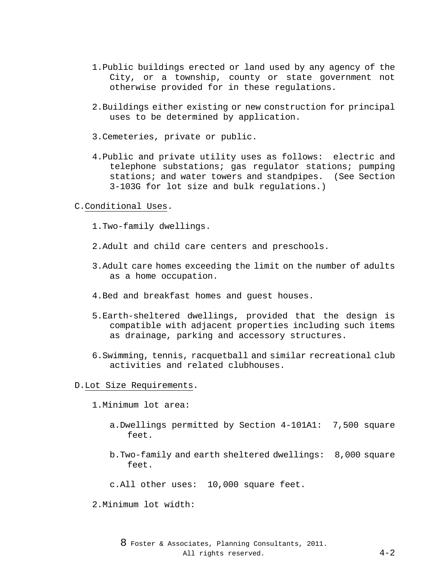- 1.Public buildings erected or land used by any agency of the City, or a township, county or state government not otherwise provided for in these regulations.
- 2.Buildings either existing or new construction for principal uses to be determined by application.
- 3.Cemeteries, private or public.
- 4.Public and private utility uses as follows: electric and telephone substations; gas regulator stations; pumping<br>stations; and water towers and standpipes. (See Section stations; and water towers and standpipes. 3-103G for lot size and bulk regulations.)

### C.Conditional Uses.

- 1.Two-family dwellings.
- 2.Adult and child care centers and preschools.
- 3.Adult care homes exceeding the limit on the number of adults as a home occupation.
- 4.Bed and breakfast homes and guest houses.
- 5.Earth-sheltered dwellings, provided that the design is compatible with adjacent properties including such items as drainage, parking and accessory structures.
- 6.Swimming, tennis, racquetball and similar recreational club activities and related clubhouses.

### D.Lot Size Requirements.

- 1.Minimum lot area:
	- a.Dwellings permitted by Section 4-101A1: 7,500 square feet.
	- b.Two-family and earth sheltered dwellings: 8,000 square feet.
	- c.All other uses: 10,000 square feet.
- 2.Minimum lot width: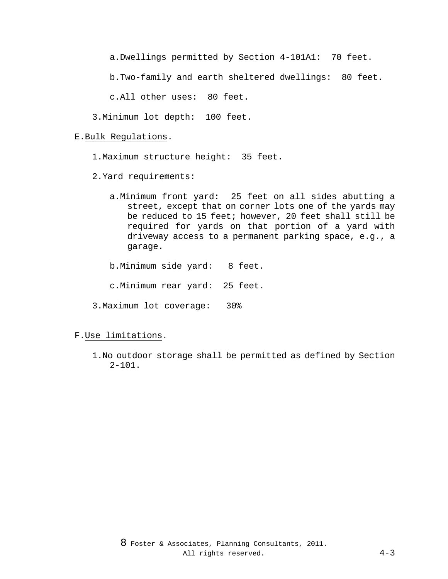a.Dwellings permitted by Section 4-101A1: 70 feet.

b.Two-family and earth sheltered dwellings: 80 feet.

c.All other uses: 80 feet.

3.Minimum lot depth: 100 feet.

#### E.Bulk Regulations.

1.Maximum structure height: 35 feet.

- 2.Yard requirements:
	- a.Minimum front yard: 25 feet on all sides abutting a street, except that on corner lots one of the yards may be reduced to 15 feet; however, 20 feet shall still be required for yards on that portion of a yard with driveway access to a permanent parking space, e.g., a garage.
	- b.Minimum side yard: 8 feet.
	- c.Minimum rear yard: 25 feet.
- 3.Maximum lot coverage: 30%

### F.Use limitations.

1.No outdoor storage shall be permitted as defined by Section 2-101.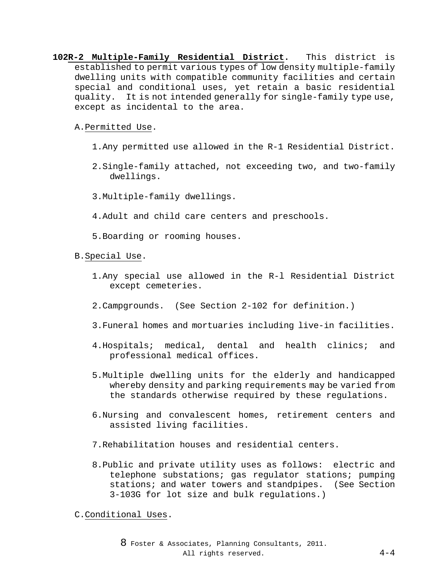- **102R-2 Multiple-Family Residential District.** This district is established to permit various types of low density multiple-family dwelling units with compatible community facilities and certain special and conditional uses, yet retain a basic residential quality. It is not intended generally for single-family type use, except as incidental to the area.
	- A.Permitted Use.
		- 1.Any permitted use allowed in the R-1 Residential District.
		- 2.Single-family attached, not exceeding two, and two-family dwellings.
		- 3.Multiple-family dwellings.
		- 4.Adult and child care centers and preschools.
		- 5.Boarding or rooming houses.

## B.Special Use.

- 1.Any special use allowed in the R-l Residential District except cemeteries.
- 2.Campgrounds. (See Section 2-102 for definition.)
- 3.Funeral homes and mortuaries including live-in facilities.
- 4.Hospitals; medical, dental and health clinics; and professional medical offices.
- 5.Multiple dwelling units for the elderly and handicapped whereby density and parking requirements may be varied from the standards otherwise required by these regulations.
- 6.Nursing and convalescent homes, retirement centers and assisted living facilities.
- 7.Rehabilitation houses and residential centers.
- 8.Public and private utility uses as follows: electric and telephone substations; gas regulator stations; pumping stations; and water towers and standpipes. (See Section 3-103G for lot size and bulk regulations.)

C.Conditional Uses.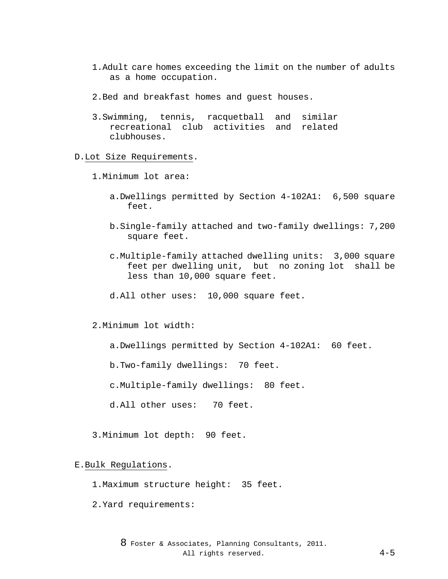- 1.Adult care homes exceeding the limit on the number of adults as a home occupation.
- 2.Bed and breakfast homes and guest houses.
- 3.Swimming, tennis, racquetball and similar recreational club activities and related clubhouses.

### D.Lot Size Requirements.

- 1.Minimum lot area:
	- a.Dwellings permitted by Section 4-102A1: 6,500 square feet.
	- b.Single-family attached and two-family dwellings: 7,200 square feet.
	- c.Multiple-family attached dwelling units: 3,000 square feet per dwelling unit, but no zoning lot shall be less than 10,000 square feet.
	- d.All other uses: 10,000 square feet.
- 2.Minimum lot width:
	- a.Dwellings permitted by Section 4-102A1: 60 feet.
	- b.Two-family dwellings: 70 feet.
	- c.Multiple-family dwellings: 80 feet.
	- d.All other uses: 70 feet.
- 3.Minimum lot depth: 90 feet.

#### E.Bulk Regulations.

- 1.Maximum structure height: 35 feet.
- 2.Yard requirements: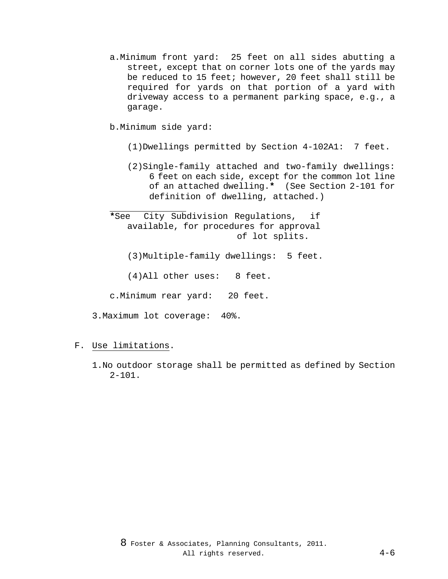- a.Minimum front yard: 25 feet on all sides abutting a street, except that on corner lots one of the yards may be reduced to 15 feet; however, 20 feet shall still be required for yards on that portion of a yard with driveway access to a permanent parking space, e.g., a garage.
- b.Minimum side yard:
	- (1)Dwellings permitted by Section 4-102A1: 7 feet.
	- (2)Single-family attached and two-family dwellings: 6 feet on each side, except for the common lot line of an attached dwelling.**\*** (See Section 2-101 for definition of dwelling, attached.)
- j. **\***See City Subdivision Regulations, if available, for procedures for approval of lot splits.
	- (3)Multiple-family dwellings: 5 feet.
	- (4)All other uses: 8 feet.
- c.Minimum rear yard: 20 feet.
- 3.Maximum lot coverage: 40%.
- F. Use limitations.
	- 1.No outdoor storage shall be permitted as defined by Section  $2 - 101$ .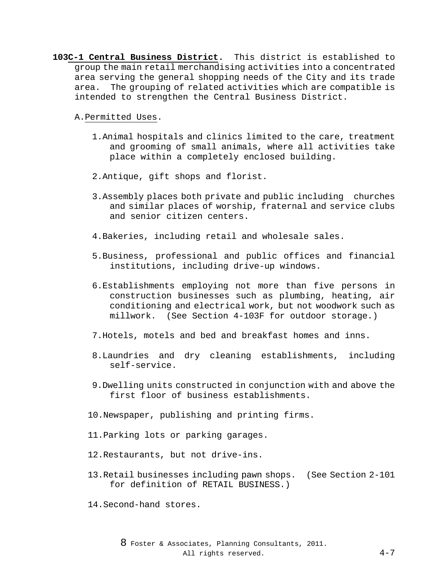**103C-1 Central Business District.** This district is established to group the main retail merchandising activities into a concentrated area serving the general shopping needs of the City and its trade area. The grouping of related activities which are compatible is intended to strengthen the Central Business District.

A.Permitted Uses.

- 1.Animal hospitals and clinics limited to the care, treatment and grooming of small animals, where all activities take place within a completely enclosed building.
- 2.Antique, gift shops and florist.
- 3.Assembly places both private and public including churches and similar places of worship, fraternal and service clubs and senior citizen centers.
- 4.Bakeries, including retail and wholesale sales.
- 5.Business, professional and public offices and financial institutions, including drive-up windows.
- 6.Establishments employing not more than five persons in construction businesses such as plumbing, heating, air conditioning and electrical work, but not woodwork such as millwork. (See Section 4-103F for outdoor storage.)
- 7.Hotels, motels and bed and breakfast homes and inns.
- 8.Laundries and dry cleaning establishments, including self-service.
- 9.Dwelling units constructed in conjunction with and above the first floor of business establishments.
- 10.Newspaper, publishing and printing firms.
- 11.Parking lots or parking garages.
- 12.Restaurants, but not drive-ins.
- 13.Retail businesses including pawn shops. (See Section 2-101 for definition of RETAIL BUSINESS.)
- 14.Second-hand stores.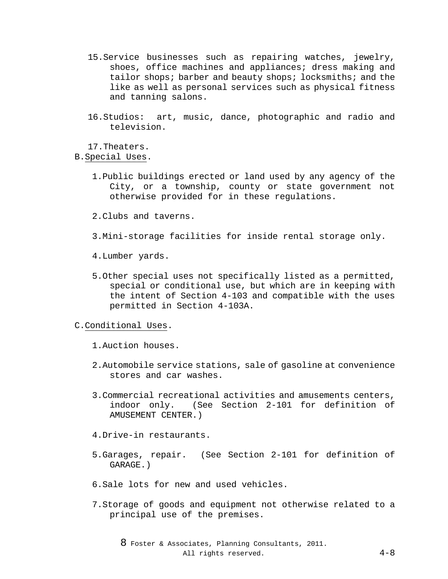- 15.Service businesses such as repairing watches, jewelry, shoes, office machines and appliances; dress making and tailor shops; barber and beauty shops; locksmiths; and the like as well as personal services such as physical fitness and tanning salons.
- 16.Studios: art, music, dance, photographic and radio and television.

17.Theaters.

B.Special Uses.

- 1.Public buildings erected or land used by any agency of the City, or a township, county or state government not otherwise provided for in these regulations.
- 2.Clubs and taverns.
- 3.Mini-storage facilities for inside rental storage only.
- 4.Lumber yards.
- 5.Other special uses not specifically listed as a permitted, special or conditional use, but which are in keeping with the intent of Section 4-103 and compatible with the uses permitted in Section 4-103A.

### C.Conditional Uses.

- 1.Auction houses.
- 2.Automobile service stations, sale of gasoline at convenience stores and car washes.
- 3.Commercial recreational activities and amusements centers, indoor only. (See Section 2-101 for definition of AMUSEMENT CENTER.)
- 4.Drive-in restaurants.
- 5.Garages, repair. (See Section 2-101 for definition of GARAGE.)
- 6.Sale lots for new and used vehicles.
- 7.Storage of goods and equipment not otherwise related to a principal use of the premises.

8 Foster & Associates, Planning Consultants, 2011. All rights reserved. 4-8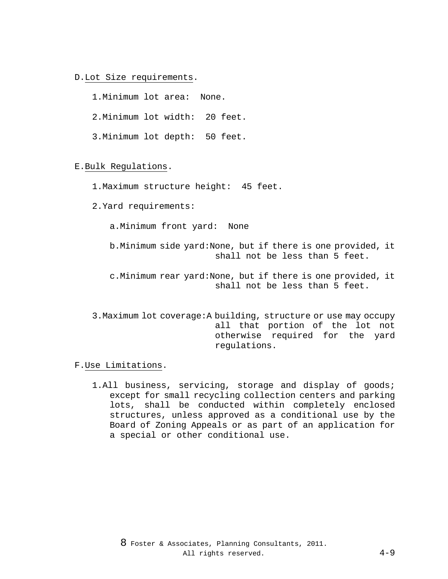### D.Lot Size requirements.

1.Minimum lot area: None.

2.Minimum lot width: 20 feet.

3.Minimum lot depth: 50 feet.

### E.Bulk Regulations.

1.Maximum structure height: 45 feet.

2.Yard requirements:

a.Minimum front yard: None

b.Minimum side yard:None, but if there is one provided, it shall not be less than 5 feet.

c.Minimum rear yard:None, but if there is one provided, it shall not be less than 5 feet.

3.Maximum lot coverage:A building, structure or use may occupy all that portion of the lot not otherwise required for the yard regulations.

### F.Use Limitations.

1.All business, servicing, storage and display of goods; except for small recycling collection centers and parking lots, shall be conducted within completely enclosed structures, unless approved as a conditional use by the Board of Zoning Appeals or as part of an application for a special or other conditional use.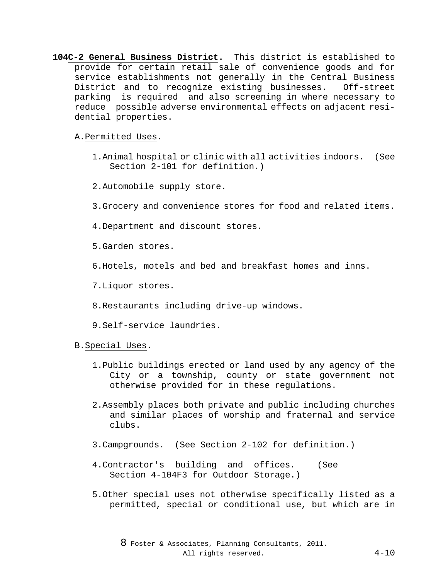**104C-2 General Business District.** This district is established to provide for certain retail sale of convenience goods and for service establishments not generally in the Central Business District and to recognize existing businesses. Off-street parking is required and also screening in where necessary to reduce possible adverse environmental effects on adjacent residential properties.

A.Permitted Uses.

- 1.Animal hospital or clinic with all activities indoors. (See Section 2-101 for definition.)
- 2.Automobile supply store.
- 3.Grocery and convenience stores for food and related items.
- 4.Department and discount stores.
- 5.Garden stores.
- 6.Hotels, motels and bed and breakfast homes and inns.
- 7.Liquor stores.
- 8.Restaurants including drive-up windows.
- 9.Self-service laundries.

B.Special Uses.

- 1.Public buildings erected or land used by any agency of the City or a township, county or state government not otherwise provided for in these regulations.
- 2.Assembly places both private and public including churches and similar places of worship and fraternal and service clubs.
- 3.Campgrounds. (See Section 2-102 for definition.)
- 4.Contractor's building and offices. (See Section 4-104F3 for Outdoor Storage.)
- 5.Other special uses not otherwise specifically listed as a permitted, special or conditional use, but which are in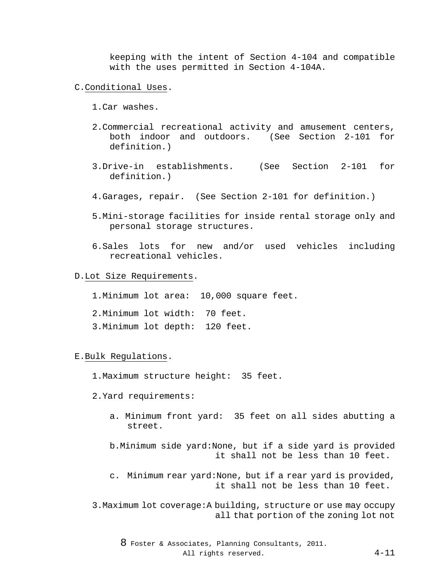keeping with the intent of Section 4-104 and compatible with the uses permitted in Section 4-104A.

- C.Conditional Uses.
	- 1.Car washes.
	- 2.Commercial recreational activity and amusement centers, both indoor and outdoors. (See Section 2-101 for definition.)
	- 3.Drive-in establishments. (See Section 2-101 for definition.)
	- 4.Garages, repair. (See Section 2-101 for definition.)
	- 5.Mini-storage facilities for inside rental storage only and personal storage structures.
	- 6.Sales lots for new and/or used vehicles including recreational vehicles.
- D.Lot Size Requirements.
	- 1.Minimum lot area: 10,000 square feet.
	- 2.Minimum lot width: 70 feet.
	- 3.Minimum lot depth: 120 feet.

#### E.Bulk Regulations.

- 1.Maximum structure height: 35 feet.
- 2.Yard requirements:
	- a. Minimum front yard: 35 feet on all sides abutting a street.

b.Minimum side yard:None, but if a side yard is provided it shall not be less than 10 feet.

c. Minimum rear yard:None, but if a rear yard is provided, it shall not be less than 10 feet.

3.Maximum lot coverage:A building, structure or use may occupy all that portion of the zoning lot not

8 Foster & Associates, Planning Consultants, 2011. All rights reserved. 4-11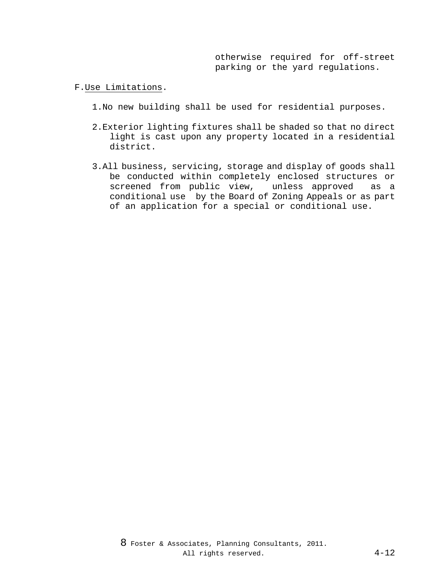otherwise required for off-street parking or the yard regulations.

- F.Use Limitations.
	- 1.No new building shall be used for residential purposes.
	- 2.Exterior lighting fixtures shall be shaded so that no direct light is cast upon any property located in a residential district.
	- 3.All business, servicing, storage and display of goods shall be conducted within completely enclosed structures or screened from public view, unless approved as a conditional use by the Board of Zoning Appeals or as part of an application for a special or conditional use.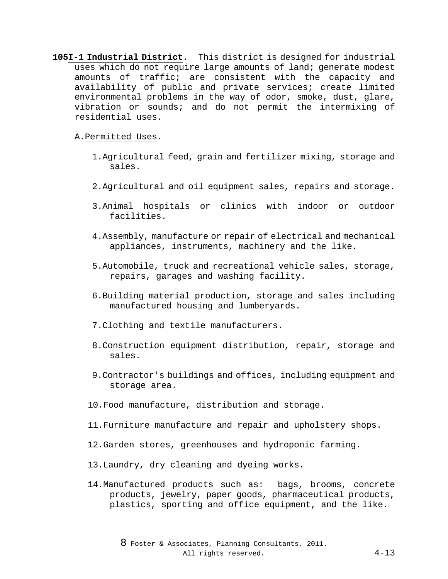**105I-1 Industrial District.** This district is designed for industrial uses which do not require large amounts of land; generate modest amounts of traffic; are consistent with the capacity and availability of public and private services; create limited environmental problems in the way of odor, smoke, dust, glare, vibration or sounds; and do not permit the intermixing of residential uses.

### A.Permitted Uses.

- 1.Agricultural feed, grain and fertilizer mixing, storage and sales.
- 2.Agricultural and oil equipment sales, repairs and storage.
- 3.Animal hospitals or clinics with indoor or outdoor facilities.
- 4.Assembly, manufacture or repair of electrical and mechanical appliances, instruments, machinery and the like.
- 5.Automobile, truck and recreational vehicle sales, storage, repairs, garages and washing facility.
- 6.Building material production, storage and sales including manufactured housing and lumberyards.
- 7.Clothing and textile manufacturers.
- 8.Construction equipment distribution, repair, storage and sales.
- 9.Contractor's buildings and offices, including equipment and storage area.
- 10.Food manufacture, distribution and storage.
- 11.Furniture manufacture and repair and upholstery shops.
- 12.Garden stores, greenhouses and hydroponic farming.
- 13.Laundry, dry cleaning and dyeing works.
- 14.Manufactured products such as: bags, brooms, concrete products, jewelry, paper goods, pharmaceutical products, plastics, sporting and office equipment, and the like.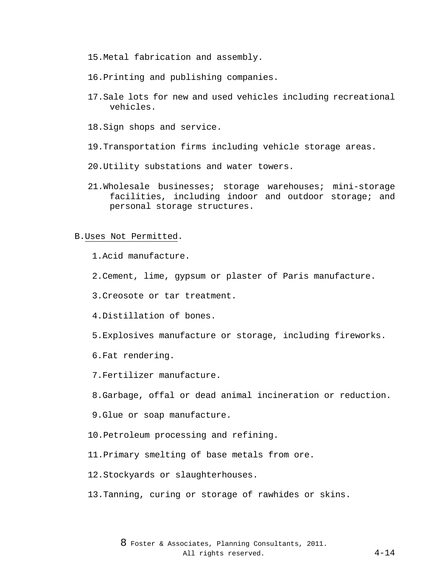- 15.Metal fabrication and assembly.
- 16.Printing and publishing companies.
- 17.Sale lots for new and used vehicles including recreational vehicles.
- 18.Sign shops and service.
- 19.Transportation firms including vehicle storage areas.
- 20.Utility substations and water towers.
- 21.Wholesale businesses; storage warehouses; mini-storage facilities, including indoor and outdoor storage; and personal storage structures.

#### B.Uses Not Permitted.

1.Acid manufacture.

2.Cement, lime, gypsum or plaster of Paris manufacture.

3.Creosote or tar treatment.

4.Distillation of bones.

5.Explosives manufacture or storage, including fireworks.

6.Fat rendering.

7.Fertilizer manufacture.

8.Garbage, offal or dead animal incineration or reduction.

9.Glue or soap manufacture.

10.Petroleum processing and refining.

11.Primary smelting of base metals from ore.

12.Stockyards or slaughterhouses.

13.Tanning, curing or storage of rawhides or skins.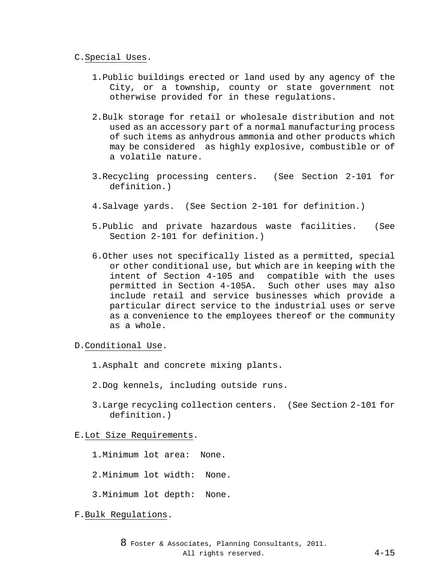#### C.Special Uses.

- 1.Public buildings erected or land used by any agency of the City, or a township, county or state government not otherwise provided for in these regulations.
- 2.Bulk storage for retail or wholesale distribution and not used as an accessory part of a normal manufacturing process of such items as anhydrous ammonia and other products which may be considered as highly explosive, combustible or of a volatile nature.
- 3.Recycling processing centers. (See Section 2-101 for definition.)
- 4.Salvage yards. (See Section 2-101 for definition.)
- 5.Public and private hazardous waste facilities. (See Section 2-101 for definition.)
- 6.Other uses not specifically listed as a permitted, special or other conditional use, but which are in keeping with the intent of Section 4-105 and compatible with the uses permitted in Section 4-105A. Such other uses may also include retail and service businesses which provide a particular direct service to the industrial uses or serve as a convenience to the employees thereof or the community as a whole.

D.Conditional Use.

- 1.Asphalt and concrete mixing plants.
- 2.Dog kennels, including outside runs.
- 3.Large recycling collection centers. (See Section 2-101 for definition.)

E.Lot Size Requirements.

- 1.Minimum lot area: None.
- 2.Minimum lot width: None.
- 3.Minimum lot depth: None.

F.Bulk Regulations.

8 Foster & Associates, Planning Consultants, 2011. All rights reserved. 4-15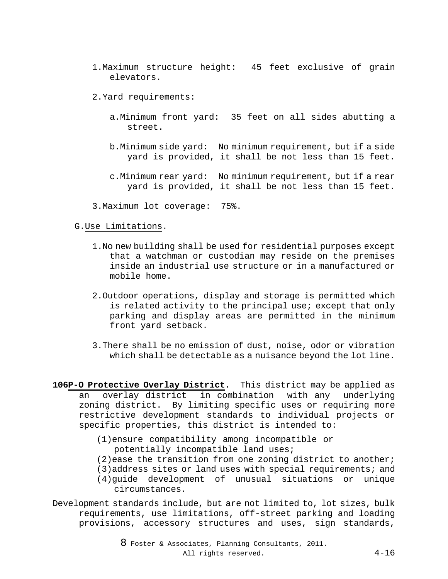- 1.Maximum structure height: 45 feet exclusive of grain elevators.
- 2.Yard requirements:
	- a.Minimum front yard: 35 feet on all sides abutting a street.
	- b.Minimum side yard: No minimum requirement, but if a side yard is provided, it shall be not less than 15 feet.
	- c.Minimum rear yard: No minimum requirement, but if a rear yard is provided, it shall be not less than 15 feet.
- 3.Maximum lot coverage: 75%.

#### G.Use Limitations.

- 1.No new building shall be used for residential purposes except that a watchman or custodian may reside on the premises inside an industrial use structure or in a manufactured or mobile home.
- 2.Outdoor operations, display and storage is permitted which is related activity to the principal use; except that only parking and display areas are permitted in the minimum front yard setback.
- 3.There shall be no emission of dust, noise, odor or vibration which shall be detectable as a nuisance beyond the lot line.
- **106P-O Protective Overlay District.** This district may be applied as an overlay district in combination with any underlying zoning district. By limiting specific uses or requiring more restrictive development standards to individual projects or specific properties, this district is intended to:
	- (1)ensure compatibility among incompatible or potentially incompatible land uses;
	- (2)ease the transition from one zoning district to another;
	- (3)address sites or land uses with special requirements; and (4)guide development of unusual situations or unique circumstances.

Development standards include, but are not limited to, lot sizes, bulk requirements, use limitations, off-street parking and loading provisions, accessory structures and uses, sign standards,

> 8 Foster & Associates, Planning Consultants, 2011. All rights reserved. 4-16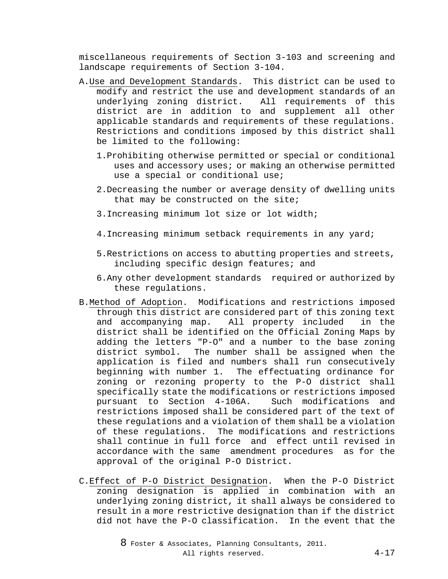miscellaneous requirements of Section 3-103 and screening and landscape requirements of Section 3-104.

- A.Use and Development Standards. This district can be used to modify and restrict the use and development standards of an underlying zoning district. All requirements of this district are in addition to and supplement all other applicable standards and requirements of these regulations. Restrictions and conditions imposed by this district shall be limited to the following:
	- 1.Prohibiting otherwise permitted or special or conditional uses and accessory uses; or making an otherwise permitted use a special or conditional use;
	- 2.Decreasing the number or average density of dwelling units that may be constructed on the site;
	- 3.Increasing minimum lot size or lot width;
	- 4.Increasing minimum setback requirements in any yard;
	- 5.Restrictions on access to abutting properties and streets, including specific design features; and
	- 6.Any other development standards required or authorized by these regulations.
- B.Method of Adoption. Modifications and restrictions imposed through this district are considered part of this zoning text and accompanying map. All property included in the district shall be identified on the Official Zoning Maps by adding the letters "P-O" and a number to the base zoning district symbol. The number shall be assigned when the application is filed and numbers shall run consecutively beginning with number 1. The effectuating ordinance for zoning or rezoning property to the P-O district shall specifically state the modifications or restrictions imposed<br>pursuant to Section 4-106A. Such modifications and pursuant to Section 4-106A. restrictions imposed shall be considered part of the text of these regulations and a violation of them shall be a violation of these regulations. The modifications and restrictions shall continue in full force and effect until revised in accordance with the same amendment procedures as for the approval of the original P-O District.
- C.Effect of P-O District Designation. When the P-O District zoning designation is applied in combination with an underlying zoning district, it shall always be considered to result in a more restrictive designation than if the district did not have the P-O classification. In the event that the

8 Foster & Associates, Planning Consultants, 2011. All rights reserved. 4-17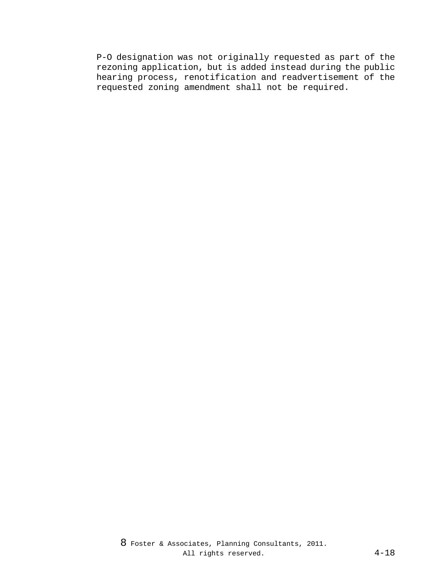P-O designation was not originally requested as part of the rezoning application, but is added instead during the public hearing process, renotification and readvertisement of the requested zoning amendment shall not be required.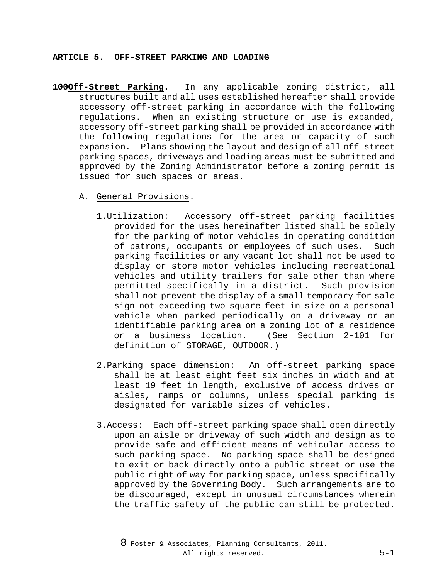### **ARTICLE 5. OFF-STREET PARKING AND LOADING**

- **100Off-Street Parking.** In any applicable zoning district, all structures built and all uses established hereafter shall provide accessory off-street parking in accordance with the following regulations. When an existing structure or use is expanded, accessory off-street parking shall be provided in accordance with the following regulations for the area or capacity of such expansion. Plans showing the layout and design of all off-street parking spaces, driveways and loading areas must be submitted and approved by the Zoning Administrator before a zoning permit is issued for such spaces or areas.
	- A. General Provisions.
		- 1.Utilization: Accessory off-street parking facilities provided for the uses hereinafter listed shall be solely for the parking of motor vehicles in operating condition of patrons, occupants or employees of such uses. Such parking facilities or any vacant lot shall not be used to display or store motor vehicles including recreational vehicles and utility trailers for sale other than where permitted specifically in a district. Such provision shall not prevent the display of a small temporary for sale sign not exceeding two square feet in size on a personal vehicle when parked periodically on a driveway or an identifiable parking area on a zoning lot of a residence<br>or a business location. (See Section 2-101 for or a business location. definition of STORAGE, OUTDOOR.)
		- 2.Parking space dimension: An off-street parking space shall be at least eight feet six inches in width and at least 19 feet in length, exclusive of access drives or aisles, ramps or columns, unless special parking is designated for variable sizes of vehicles.
		- 3.Access: Each off-street parking space shall open directly upon an aisle or driveway of such width and design as to provide safe and efficient means of vehicular access to such parking space. No parking space shall be designed to exit or back directly onto a public street or use the public right of way for parking space, unless specifically approved by the Governing Body. Such arrangements are to be discouraged, except in unusual circumstances wherein the traffic safety of the public can still be protected.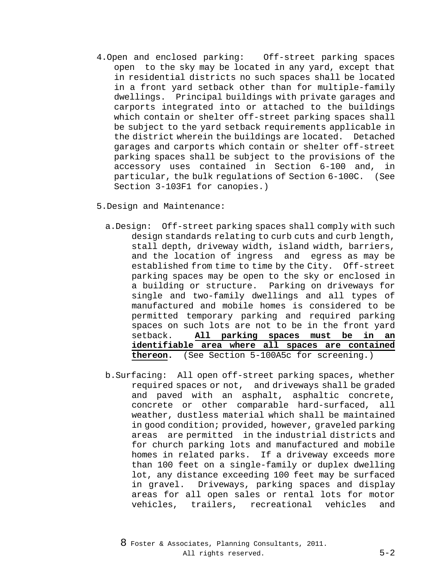- 4.Open and enclosed parking: Off-street parking spaces open to the sky may be located in any yard, except that in residential districts no such spaces shall be located in a front yard setback other than for multiple-family dwellings. Principal buildings with private garages and carports integrated into or attached to the buildings which contain or shelter off-street parking spaces shall be subject to the yard setback requirements applicable in the district wherein the buildings are located. Detached garages and carports which contain or shelter off-street parking spaces shall be subject to the provisions of the accessory uses contained in Section 6-100 and, in particular, the bulk regulations of Section 6-100C. (See Section 3-103F1 for canopies.)
- 5.Design and Maintenance:
	- a.Design: Off-street parking spaces shall comply with such design standards relating to curb cuts and curb length, stall depth, driveway width, island width, barriers, and the location of ingress and egress as may be established from time to time by the City. Off-street parking spaces may be open to the sky or enclosed in a building or structure. Parking on driveways for single and two-family dwellings and all types of manufactured and mobile homes is considered to be permitted temporary parking and required parking spaces on such lots are not to be in the front yard setback. **All parking spaces must be in an identifiable area where all spaces are contained thereon.** (See Section 5-100A5c for screening.)
	- b.Surfacing: All open off-street parking spaces, whether required spaces or not, and driveways shall be graded and paved with an asphalt, asphaltic concrete, concrete or other comparable hard-surfaced, all weather, dustless material which shall be maintained in good condition; provided, however, graveled parking areas are permitted in the industrial districts and for church parking lots and manufactured and mobile homes in related parks. If a driveway exceeds more than 100 feet on a single-family or duplex dwelling lot, any distance exceeding 100 feet may be surfaced in gravel. Driveways, parking spaces and display areas for all open sales or rental lots for motor vehicles, trailers, recreational vehicles and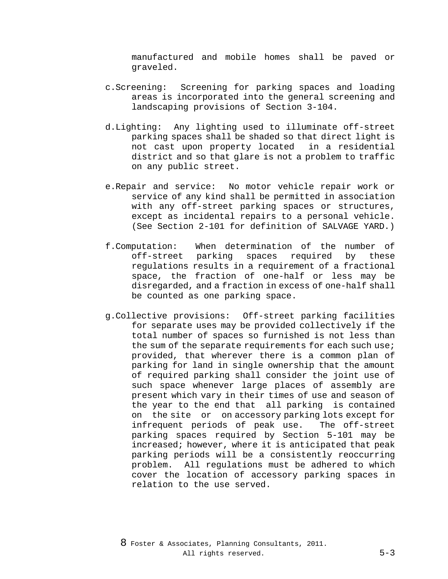manufactured and mobile homes shall be paved or graveled.

- c.Screening: Screening for parking spaces and loading areas is incorporated into the general screening and landscaping provisions of Section 3-104.
- d.Lighting: Any lighting used to illuminate off-street parking spaces shall be shaded so that direct light is not cast upon property located in a residential district and so that glare is not a problem to traffic on any public street.
- e.Repair and service: No motor vehicle repair work or service of any kind shall be permitted in association with any off-street parking spaces or structures, except as incidental repairs to a personal vehicle. (See Section 2-101 for definition of SALVAGE YARD.)
- f.Computation: When determination of the number of off-street parking spaces required regulations results in a requirement of a fractional space, the fraction of one-half or less may be disregarded, and a fraction in excess of one-half shall be counted as one parking space.
- g.Collective provisions: Off-street parking facilities for separate uses may be provided collectively if the total number of spaces so furnished is not less than the sum of the separate requirements for each such use; provided, that wherever there is a common plan of parking for land in single ownership that the amount of required parking shall consider the joint use of such space whenever large places of assembly are present which vary in their times of use and season of the year to the end that all parking is contained on the site or on accessory parking lots except for infrequent periods of peak use. The off-street parking spaces required by Section 5-101 may be increased; however, where it is anticipated that peak parking periods will be a consistently reoccurring problem. All regulations must be adhered to which cover the location of accessory parking spaces in relation to the use served.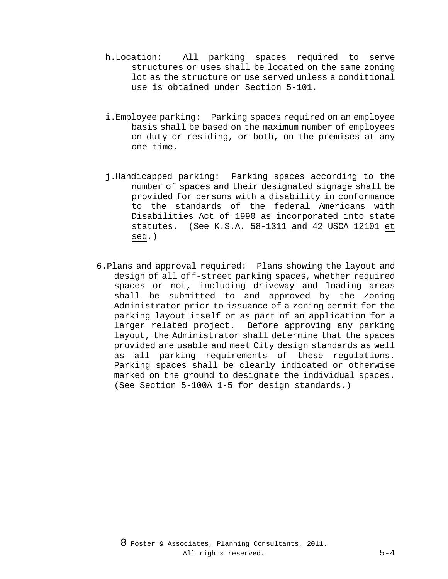- h.Location: All parking spaces required to serve structures or uses shall be located on the same zoning lot as the structure or use served unless a conditional use is obtained under Section 5-101.
- i.Employee parking: Parking spaces required on an employee basis shall be based on the maximum number of employees on duty or residing, or both, on the premises at any one time.
- j.Handicapped parking: Parking spaces according to the number of spaces and their designated signage shall be provided for persons with a disability in conformance to the standards of the federal Americans with Disabilities Act of 1990 as incorporated into state statutes. (See K.S.A. 58-1311 and 42 USCA 12101 et seq.)
- 6.Plans and approval required: Plans showing the layout and design of all off-street parking spaces, whether required spaces or not, including driveway and loading areas shall be submitted to and approved by the Zoning Administrator prior to issuance of a zoning permit for the parking layout itself or as part of an application for a larger related project. Before approving any parking layout, the Administrator shall determine that the spaces provided are usable and meet City design standards as well as all parking requirements of these regulations. Parking spaces shall be clearly indicated or otherwise marked on the ground to designate the individual spaces. (See Section 5-100A 1-5 for design standards.)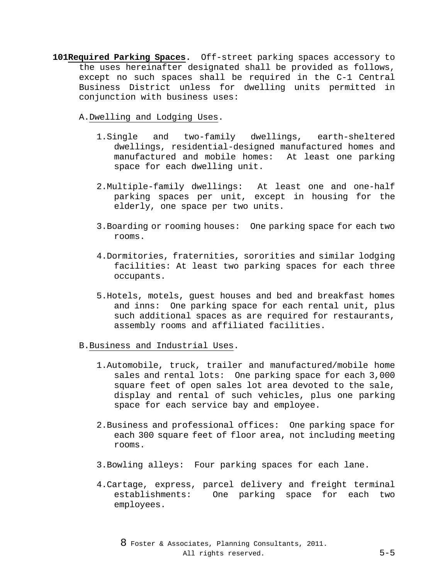**101Required Parking Spaces.** Off-street parking spaces accessory to the uses hereinafter designated shall be provided as follows, except no such spaces shall be required in the C-1 Central Business District unless for dwelling units permitted in conjunction with business uses:

A.Dwelling and Lodging Uses.

- 1.Single and two-family dwellings, earth-sheltered dwellings, residential-designed manufactured homes and manufactured and mobile homes: At least one parking space for each dwelling unit.
- 2.Multiple-family dwellings: At least one and one-half parking spaces per unit, except in housing for the elderly, one space per two units.
- 3.Boarding or rooming houses: One parking space for each two rooms.
- 4.Dormitories, fraternities, sororities and similar lodging facilities: At least two parking spaces for each three occupants.
- 5.Hotels, motels, guest houses and bed and breakfast homes and inns: One parking space for each rental unit, plus such additional spaces as are required for restaurants, assembly rooms and affiliated facilities.
- B.Business and Industrial Uses.
	- 1.Automobile, truck, trailer and manufactured/mobile home sales and rental lots: One parking space for each 3,000 square feet of open sales lot area devoted to the sale, display and rental of such vehicles, plus one parking space for each service bay and employee.
	- 2.Business and professional offices: One parking space for each 300 square feet of floor area, not including meeting rooms.
	- 3.Bowling alleys: Four parking spaces for each lane.
	- 4.Cartage, express, parcel delivery and freight terminal establishments: One parking space for each two employees.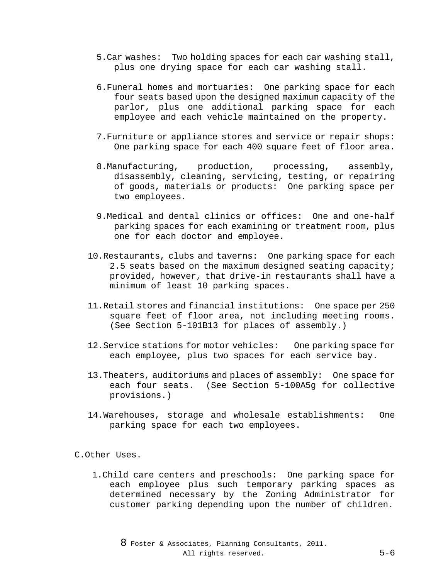- 5.Car washes: Two holding spaces for each car washing stall, plus one drying space for each car washing stall.
- 6.Funeral homes and mortuaries: One parking space for each four seats based upon the designed maximum capacity of the parlor, plus one additional parking space for each employee and each vehicle maintained on the property.
- 7.Furniture or appliance stores and service or repair shops: One parking space for each 400 square feet of floor area.
- 8.Manufacturing, production, processing, assembly, disassembly, cleaning, servicing, testing, or repairing of goods, materials or products: One parking space per two employees.
- 9.Medical and dental clinics or offices: One and one-half parking spaces for each examining or treatment room, plus one for each doctor and employee.
- 10.Restaurants, clubs and taverns: One parking space for each 2.5 seats based on the maximum designed seating capacity; provided, however, that drive-in restaurants shall have a minimum of least 10 parking spaces.
- 11.Retail stores and financial institutions: One space per 250 square feet of floor area, not including meeting rooms. (See Section 5-101B13 for places of assembly.)
- 12.Service stations for motor vehicles: One parking space for each employee, plus two spaces for each service bay.
- 13.Theaters, auditoriums and places of assembly: One space for each four seats. (See Section 5-100A5g for collective provisions.)
- 14.Warehouses, storage and wholesale establishments: One parking space for each two employees.

#### C.Other Uses.

1.Child care centers and preschools: One parking space for each employee plus such temporary parking spaces as determined necessary by the Zoning Administrator for customer parking depending upon the number of children.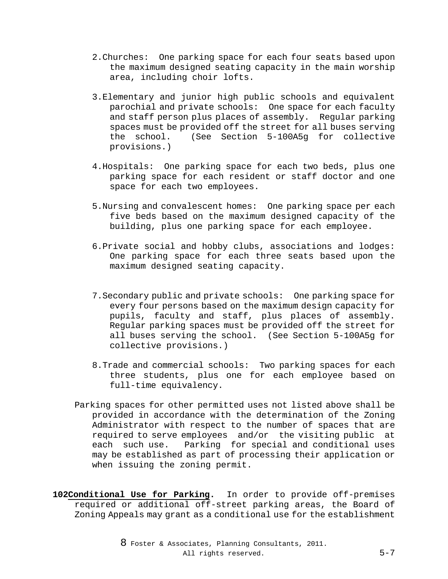- 2.Churches: One parking space for each four seats based upon the maximum designed seating capacity in the main worship area, including choir lofts.
- 3.Elementary and junior high public schools and equivalent parochial and private schools: One space for each faculty and staff person plus places of assembly. Regular parking spaces must be provided off the street for all buses serving the school. (See Section 5-100A5g for collective provisions.)
- 4.Hospitals: One parking space for each two beds, plus one parking space for each resident or staff doctor and one space for each two employees.
- 5.Nursing and convalescent homes: One parking space per each five beds based on the maximum designed capacity of the building, plus one parking space for each employee.
- 6.Private social and hobby clubs, associations and lodges: One parking space for each three seats based upon the maximum designed seating capacity.
- 7.Secondary public and private schools: One parking space for every four persons based on the maximum design capacity for pupils, faculty and staff, plus places of assembly. Regular parking spaces must be provided off the street for all buses serving the school. (See Section 5-100A5g for collective provisions.)
- 8.Trade and commercial schools: Two parking spaces for each three students, plus one for each employee based on full-time equivalency.
- Parking spaces for other permitted uses not listed above shall be provided in accordance with the determination of the Zoning Administrator with respect to the number of spaces that are required to serve employees and/or the visiting public at each such use. Parking for special and conditional uses may be established as part of processing their application or when issuing the zoning permit.
- **102Conditional Use for Parking.** In order to provide off-premises required or additional off-street parking areas, the Board of Zoning Appeals may grant as a conditional use for the establishment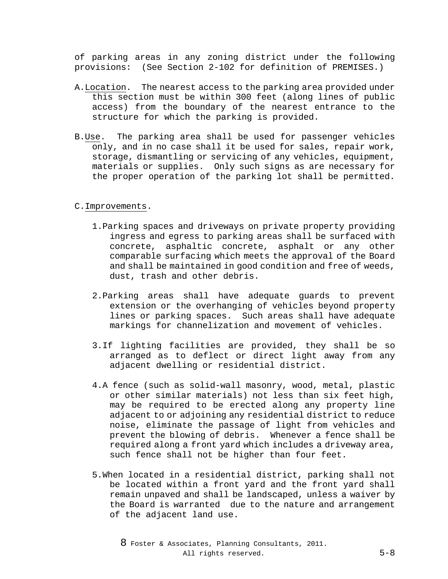of parking areas in any zoning district under the following provisions: (See Section 2-102 for definition of PREMISES.)

- A.Location. The nearest access to the parking area provided under this section must be within 300 feet (along lines of public access) from the boundary of the nearest entrance to the structure for which the parking is provided.
- B.Use. The parking area shall be used for passenger vehicles only, and in no case shall it be used for sales, repair work, storage, dismantling or servicing of any vehicles, equipment, materials or supplies. Only such signs as are necessary for the proper operation of the parking lot shall be permitted.

### C.Improvements.

- 1.Parking spaces and driveways on private property providing ingress and egress to parking areas shall be surfaced with concrete, asphaltic concrete, asphalt or any other comparable surfacing which meets the approval of the Board and shall be maintained in good condition and free of weeds, dust, trash and other debris.
- 2.Parking areas shall have adequate guards to prevent extension or the overhanging of vehicles beyond property lines or parking spaces. Such areas shall have adequate markings for channelization and movement of vehicles.
- 3.If lighting facilities are provided, they shall be so arranged as to deflect or direct light away from any adjacent dwelling or residential district.
- 4.A fence (such as solid-wall masonry, wood, metal, plastic or other similar materials) not less than six feet high, may be required to be erected along any property line adjacent to or adjoining any residential district to reduce noise, eliminate the passage of light from vehicles and prevent the blowing of debris. Whenever a fence shall be required along a front yard which includes a driveway area, such fence shall not be higher than four feet.
- 5.When located in a residential district, parking shall not be located within a front yard and the front yard shall remain unpaved and shall be landscaped, unless a waiver by the Board is warranted due to the nature and arrangement of the adjacent land use.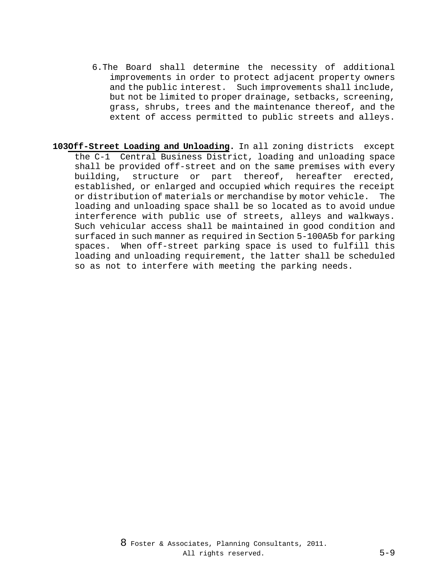- 6.The Board shall determine the necessity of additional improvements in order to protect adjacent property owners and the public interest. Such improvements shall include, but not be limited to proper drainage, setbacks, screening, grass, shrubs, trees and the maintenance thereof, and the extent of access permitted to public streets and alleys.
- **103Off-Street Loading and Unloading.** In all zoning districts except the C-1 Central Business District, loading and unloading space shall be provided off-street and on the same premises with every building, structure or part thereof, hereafter erected, established, or enlarged and occupied which requires the receipt or distribution of materials or merchandise by motor vehicle. The loading and unloading space shall be so located as to avoid undue interference with public use of streets, alleys and walkways. Such vehicular access shall be maintained in good condition and surfaced in such manner as required in Section 5-100A5b for parking spaces. When off-street parking space is used to fulfill this loading and unloading requirement, the latter shall be scheduled so as not to interfere with meeting the parking needs.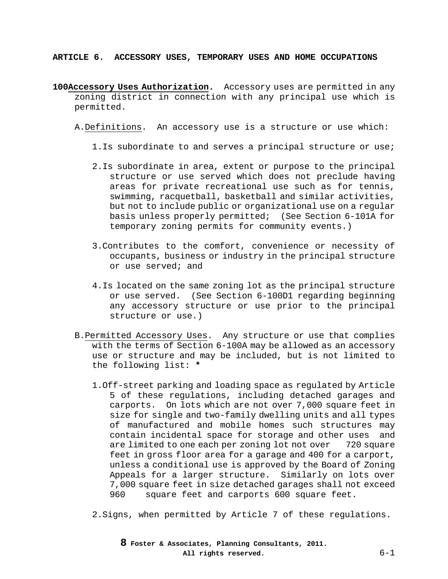**ARTICLE 6. ACCESSORY USES, TEMPORARY USES AND HOME OCCUPATIONS**

- **100Accessory Uses Authorization.** Accessory uses are permitted in any zoning district in connection with any principal use which is permitted.
	- A.Definitions. An accessory use is a structure or use which:
		- 1.Is subordinate to and serves a principal structure or use;
		- 2.Is subordinate in area, extent or purpose to the principal structure or use served which does not preclude having areas for private recreational use such as for tennis, swimming, racquetball, basketball and similar activities, but not to include public or organizational use on a regular basis unless properly permitted; (See Section 6-101A for temporary zoning permits for community events.)
		- 3.Contributes to the comfort, convenience or necessity of occupants, business or industry in the principal structure or use served; and
		- 4.Is located on the same zoning lot as the principal structure or use served. (See Section 6-100D1 regarding beginning any accessory structure or use prior to the principal structure or use.)
	- B.Permitted Accessory Uses. Any structure or use that complies with the terms of Section 6-100A may be allowed as an accessory use or structure and may be included, but is not limited to the following list: **\***
		- 1.Off-street parking and loading space as regulated by Article 5 of these regulations, including detached garages and carports. On lots which are not over 7,000 square feet in size for single and two-family dwelling units and all types of manufactured and mobile homes such structures may contain incidental space for storage and other uses and are limited to one each per zoning lot not over 720 square feet in gross floor area for a garage and 400 for a carport, unless a conditional use is approved by the Board of Zoning Appeals for a larger structure. Similarly on lots over 7,000 square feet in size detached garages shall not exceed square feet and carports 600 square feet.
		- 2.Signs, when permitted by Article 7 of these regulations.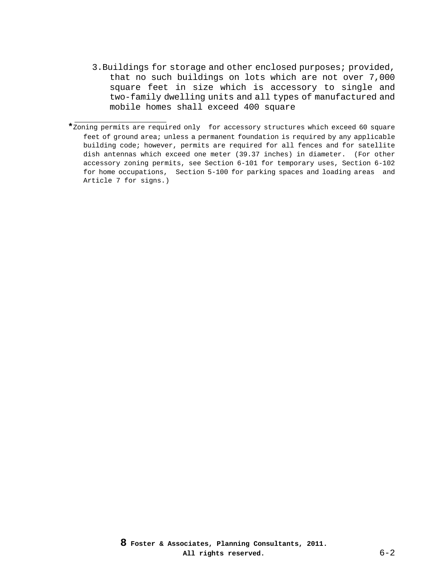3.Buildings for storage and other enclosed purposes; provided, that no such buildings on lots which are not over 7,000 square feet in size which is accessory to single and two-family dwelling units and all types of manufactured and mobile homes shall exceed 400 square

j. **\***Zoning permits are required only for accessory structures which exceed 60 square feet of ground area; unless a permanent foundation is required by any applicable building code; however, permits are required for all fences and for satellite dish antennas which exceed one meter (39.37 inches) in diameter. (For other accessory zoning permits, see Section 6-101 for temporary uses, Section 6-102 for home occupations, Section 5-100 for parking spaces and loading areas and Article 7 for signs.)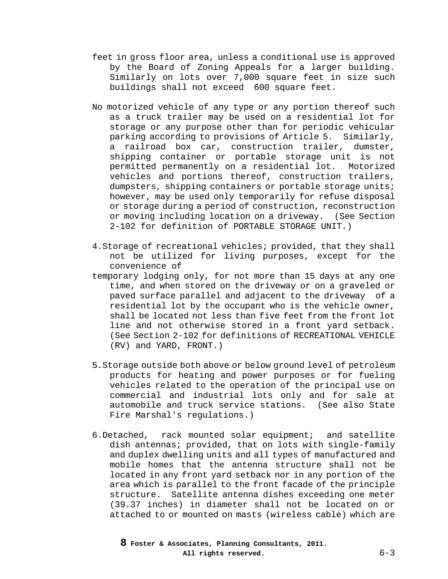- feet in gross floor area, unless a conditional use is approved by the Board of Zoning Appeals for a larger building. Similarly on lots over 7,000 square feet in size such buildings shall not exceed 600 square feet.
- No motorized vehicle of any type or any portion thereof such as a truck trailer may be used on a residential lot for storage or any purpose other than for periodic vehicular parking according to provisions of Article 5. Similarly, a railroad box car, construction trailer, dumster, shipping container or portable storage unit is not permitted permanently on a residential lot. Motorized vehicles and portions thereof, construction trailers, dumpsters, shipping containers or portable storage units; however, may be used only temporarily for refuse disposal or storage during a period of construction, reconstruction or moving including location on a driveway. (See Section 2-102 for definition of PORTABLE STORAGE UNIT.)
- 4.Storage of recreational vehicles; provided, that they shall not be utilized for living purposes, except for the convenience of
- temporary lodging only, for not more than 15 days at any one time, and when stored on the driveway or on a graveled or paved surface parallel and adjacent to the driveway of a residential lot by the occupant who is the vehicle owner, shall be located not less than five feet from the front lot line and not otherwise stored in a front yard setback. (See Section 2-102 for definitions of RECREATIONAL VEHICLE (RV) and YARD, FRONT.)
- 5.Storage outside both above or below ground level of petroleum products for heating and power purposes or for fueling vehicles related to the operation of the principal use on commercial and industrial lots only and for sale at automobile and truck service stations. (See also State Fire Marshal's regulations.)
- 6.Detached, rack mounted solar equipment; and satellite dish antennas; provided, that on lots with single-family and duplex dwelling units and all types of manufactured and mobile homes that the antenna structure shall not be located in any front yard setback nor in any portion of the area which is parallel to the front facade of the principle structure. Satellite antenna dishes exceeding one meter (39.37 inches) in diameter shall not be located on or attached to or mounted on masts (wireless cable) which are

**8 Foster & Associates, Planning Consultants, 2011. All rights reserved.** 6-3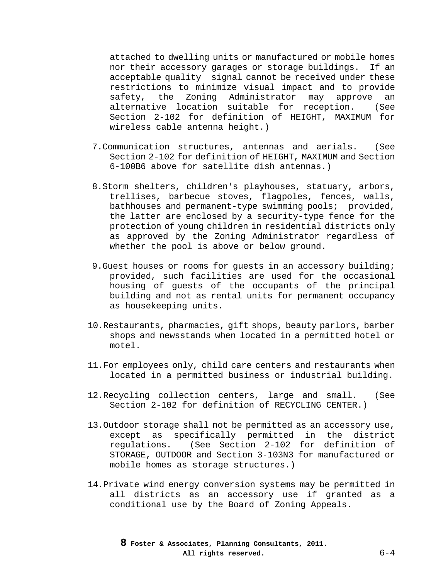attached to dwelling units or manufactured or mobile homes nor their accessory garages or storage buildings. If an acceptable quality signal cannot be received under these restrictions to minimize visual impact and to provide<br>safety, the Zoning Administrator may approve an safety, the Zoning Administrator may approve an alternative location suitable for reception. (See Section 2-102 for definition of HEIGHT, MAXIMUM for wireless cable antenna height.)

- 7.Communication structures, antennas and aerials. (See Section 2-102 for definition of HEIGHT, MAXIMUM and Section 6-100B6 above for satellite dish antennas.)
- 8.Storm shelters, children's playhouses, statuary, arbors, trellises, barbecue stoves, flagpoles, fences, walls, bathhouses and permanent-type swimming pools; provided, the latter are enclosed by a security-type fence for the protection of young children in residential districts only as approved by the Zoning Administrator regardless of whether the pool is above or below ground.
- 9.Guest houses or rooms for guests in an accessory building; provided, such facilities are used for the occasional housing of guests of the occupants of the principal building and not as rental units for permanent occupancy as housekeeping units.
- 10.Restaurants, pharmacies, gift shops, beauty parlors, barber shops and newsstands when located in a permitted hotel or motel.
- 11.For employees only, child care centers and restaurants when located in a permitted business or industrial building.
- 12.Recycling collection centers, large and small. (See Section 2-102 for definition of RECYCLING CENTER.)
- 13.Outdoor storage shall not be permitted as an accessory use, except as specifically permitted in the district regulations. (See Section 2-102 for definition of STORAGE, OUTDOOR and Section 3-103N3 for manufactured or mobile homes as storage structures.)
- 14.Private wind energy conversion systems may be permitted in all districts as an accessory use if granted as a conditional use by the Board of Zoning Appeals.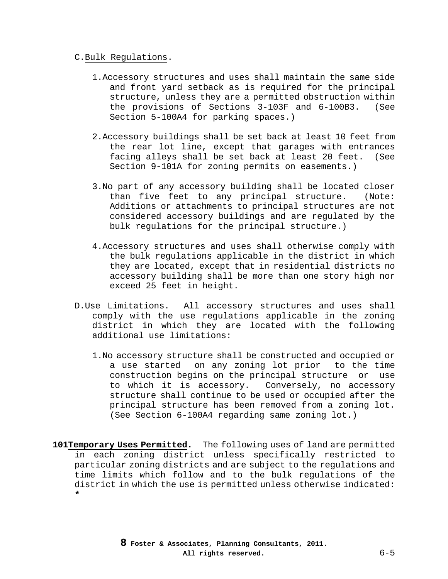### C.Bulk Regulations.

- 1.Accessory structures and uses shall maintain the same side and front yard setback as is required for the principal structure, unless they are a permitted obstruction within the provisions of Sections 3-103F and 6-100B3. (See Section 5-100A4 for parking spaces.)
- 2.Accessory buildings shall be set back at least 10 feet from the rear lot line, except that garages with entrances facing alleys shall be set back at least 20 feet. (See Section 9-101A for zoning permits on easements.)
- 3.No part of any accessory building shall be located closer than five feet to any principal structure. (Note: Additions or attachments to principal structures are not considered accessory buildings and are regulated by the bulk regulations for the principal structure.)
- 4.Accessory structures and uses shall otherwise comply with the bulk regulations applicable in the district in which they are located, except that in residential districts no accessory building shall be more than one story high nor exceed 25 feet in height.
- D.Use Limitations. All accessory structures and uses shall comply with the use regulations applicable in the zoning district in which they are located with the following additional use limitations:
	- 1.No accessory structure shall be constructed and occupied or a use started on any zoning lot prior to the time construction begins on the principal structure or use to which it is accessory. Conversely, no accessory structure shall continue to be used or occupied after the principal structure has been removed from a zoning lot. (See Section 6-100A4 regarding same zoning lot.)
- **101Temporary Uses Permitted.** The following uses of land are permitted in each zoning district unless specifically restricted to particular zoning districts and are subject to the regulations and time limits which follow and to the bulk regulations of the district in which the use is permitted unless otherwise indicated: **\***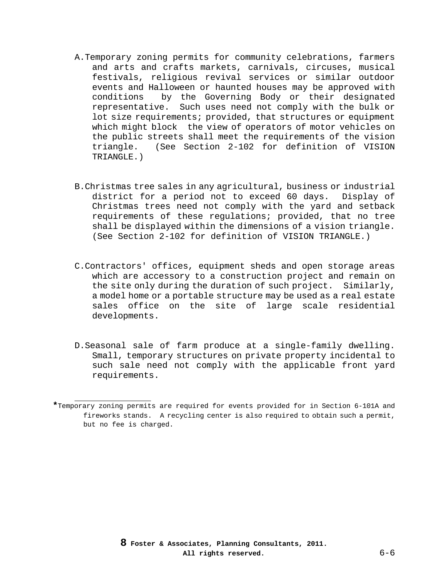- A.Temporary zoning permits for community celebrations, farmers and arts and crafts markets, carnivals, circuses, musical festivals, religious revival services or similar outdoor events and Halloween or haunted houses may be approved with<br>conditions by the Governing Body or their designated by the Governing Body or their designated representative. Such uses need not comply with the bulk or lot size requirements; provided, that structures or equipment which might block the view of operators of motor vehicles on the public streets shall meet the requirements of the vision triangle. (See Section 2-102 for definition of VISION TRIANGLE.)
- B.Christmas tree sales in any agricultural, business or industrial district for a period not to exceed 60 days. Display of Christmas trees need not comply with the yard and setback requirements of these regulations; provided, that no tree shall be displayed within the dimensions of a vision triangle. (See Section 2-102 for definition of VISION TRIANGLE.)
- C.Contractors' offices, equipment sheds and open storage areas which are accessory to a construction project and remain on the site only during the duration of such project. Similarly, a model home or a portable structure may be used as a real estate sales office on the site of large scale residential developments.
- D.Seasonal sale of farm produce at a single-family dwelling. Small, temporary structures on private property incidental to such sale need not comply with the applicable front yard requirements.

j.

**<sup>\*</sup>**Temporary zoning permits are required for events provided for in Section 6-101A and fireworks stands. A recycling center is also required to obtain such a permit, but no fee is charged.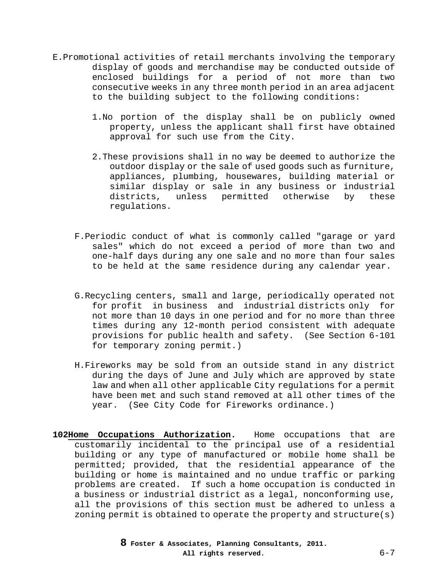- E.Promotional activities of retail merchants involving the temporary display of goods and merchandise may be conducted outside of enclosed buildings for a period of not more than two consecutive weeks in any three month period in an area adjacent to the building subject to the following conditions:
	- 1.No portion of the display shall be on publicly owned property, unless the applicant shall first have obtained approval for such use from the City.
	- 2.These provisions shall in no way be deemed to authorize the outdoor display or the sale of used goods such as furniture, appliances, plumbing, housewares, building material or similar display or sale in any business or industrial<br>districts, unless permitted otherwise by these unless permitted otherwise regulations.
	- F.Periodic conduct of what is commonly called "garage or yard sales" which do not exceed a period of more than two and one-half days during any one sale and no more than four sales to be held at the same residence during any calendar year.
	- G.Recycling centers, small and large, periodically operated not for profit in business and industrial districts only for not more than 10 days in one period and for no more than three times during any 12-month period consistent with adequate provisions for public health and safety. (See Section 6-101 for temporary zoning permit.)
	- H.Fireworks may be sold from an outside stand in any district during the days of June and July which are approved by state law and when all other applicable City regulations for a permit have been met and such stand removed at all other times of the year. (See City Code for Fireworks ordinance.)
- **102Home Occupations Authorization.** Home occupations that are customarily incidental to the principal use of a residential building or any type of manufactured or mobile home shall be permitted; provided, that the residential appearance of the building or home is maintained and no undue traffic or parking problems are created. If such a home occupation is conducted in a business or industrial district as a legal, nonconforming use, all the provisions of this section must be adhered to unless a zoning permit is obtained to operate the property and structure(s)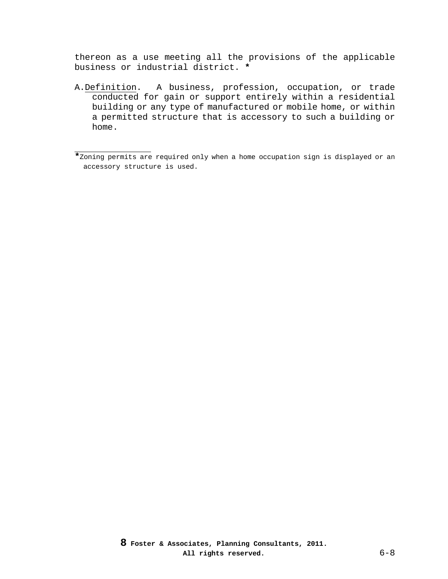thereon as a use meeting all the provisions of the applicable business or industrial district. **\***

A.Definition. A business, profession, occupation, or trade conducted for gain or support entirely within a residential building or any type of manufactured or mobile home, or within a permitted structure that is accessory to such a building or home.

j.

**<sup>\*</sup>**Zoning permits are required only when a home occupation sign is displayed or an accessory structure is used.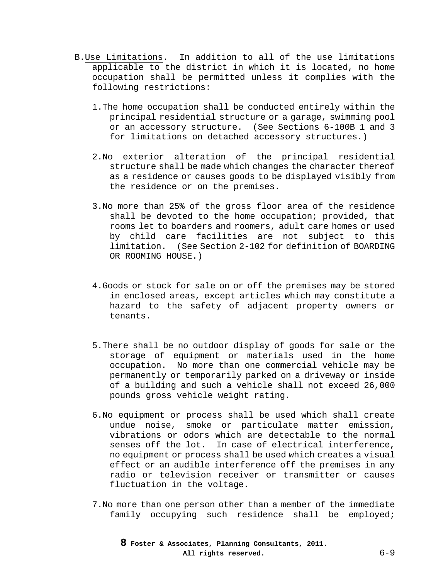- B.Use Limitations. In addition to all of the use limitations applicable to the district in which it is located, no home occupation shall be permitted unless it complies with the following restrictions:
	- 1.The home occupation shall be conducted entirely within the principal residential structure or a garage, swimming pool or an accessory structure. (See Sections 6-100B 1 and 3 for limitations on detached accessory structures.)
	- 2.No exterior alteration of the principal residential structure shall be made which changes the character thereof as a residence or causes goods to be displayed visibly from the residence or on the premises.
	- 3.No more than 25% of the gross floor area of the residence shall be devoted to the home occupation; provided, that rooms let to boarders and roomers, adult care homes or used by child care facilities are not subject to this limitation. (See Section 2-102 for definition of BOARDING OR ROOMING HOUSE.)
	- 4.Goods or stock for sale on or off the premises may be stored in enclosed areas, except articles which may constitute a hazard to the safety of adjacent property owners or tenants.
	- 5.There shall be no outdoor display of goods for sale or the storage of equipment or materials used in the home occupation. No more than one commercial vehicle may be permanently or temporarily parked on a driveway or inside of a building and such a vehicle shall not exceed 26,000 pounds gross vehicle weight rating.
	- 6.No equipment or process shall be used which shall create undue noise, smoke or particulate matter emission, vibrations or odors which are detectable to the normal senses off the lot. In case of electrical interference, no equipment or process shall be used which creates a visual effect or an audible interference off the premises in any radio or television receiver or transmitter or causes fluctuation in the voltage.
	- 7.No more than one person other than a member of the immediate family occupying such residence shall be employed;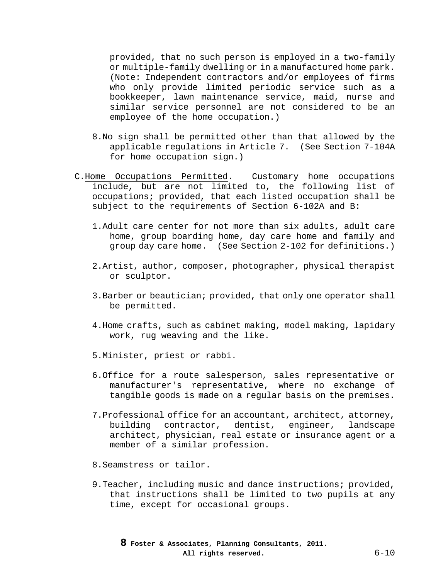provided, that no such person is employed in a two-family or multiple-family dwelling or in a manufactured home park. (Note: Independent contractors and/or employees of firms who only provide limited periodic service such as a bookkeeper, lawn maintenance service, maid, nurse and similar service personnel are not considered to be an employee of the home occupation.)

- 8.No sign shall be permitted other than that allowed by the applicable regulations in Article 7. (See Section 7-104A for home occupation sign.)
- C.Home Occupations Permitted. Customary home occupations include, but are not limited to, the following list of occupations; provided, that each listed occupation shall be subject to the requirements of Section 6-102A and B:
	- 1.Adult care center for not more than six adults, adult care home, group boarding home, day care home and family and group day care home. (See Section 2-102 for definitions.)
	- 2.Artist, author, composer, photographer, physical therapist or sculptor.
	- 3.Barber or beautician; provided, that only one operator shall be permitted.
	- 4.Home crafts, such as cabinet making, model making, lapidary work, rug weaving and the like.
	- 5.Minister, priest or rabbi.
	- 6.Office for a route salesperson, sales representative or manufacturer's representative, where no exchange of tangible goods is made on a regular basis on the premises.
	- 7.Professional office for an accountant, architect, attorney, building contractor, dentist, engineer, landscape architect, physician, real estate or insurance agent or a member of a similar profession.
	- 8.Seamstress or tailor.
	- 9.Teacher, including music and dance instructions; provided, that instructions shall be limited to two pupils at any time, except for occasional groups.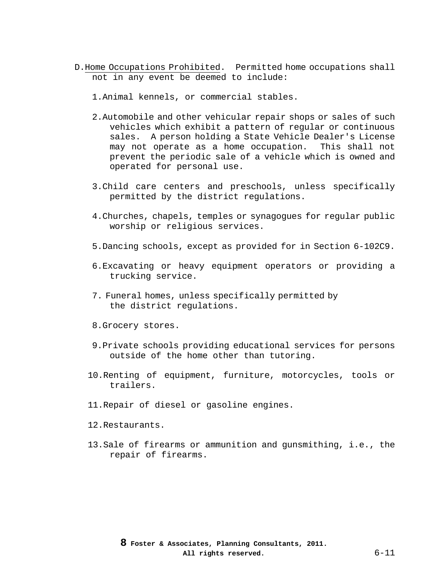- D.Home Occupations Prohibited. Permitted home occupations shall not in any event be deemed to include:
	- 1.Animal kennels, or commercial stables.
	- 2.Automobile and other vehicular repair shops or sales of such vehicles which exhibit a pattern of regular or continuous sales. A person holding a State Vehicle Dealer's License may not operate as a home occupation. This shall not prevent the periodic sale of a vehicle which is owned and operated for personal use.
	- 3.Child care centers and preschools, unless specifically permitted by the district regulations.
	- 4.Churches, chapels, temples or synagogues for regular public worship or religious services.
	- 5.Dancing schools, except as provided for in Section 6-102C9.
	- 6.Excavating or heavy equipment operators or providing a trucking service.
	- 7. Funeral homes, unless specifically permitted by the district regulations.
	- 8.Grocery stores.
	- 9.Private schools providing educational services for persons outside of the home other than tutoring.
	- 10.Renting of equipment, furniture, motorcycles, tools or trailers.
	- 11.Repair of diesel or gasoline engines.
	- 12.Restaurants.
	- 13.Sale of firearms or ammunition and gunsmithing, i.e., the repair of firearms.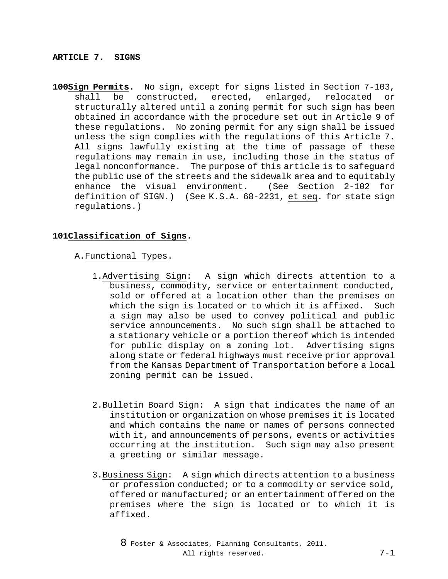#### **ARTICLE 7. SIGNS**

**100Sign Permits.** No sign, except for signs listed in Section 7-103, shall be constructed, erected, enlarged, relocated or structurally altered until a zoning permit for such sign has been obtained in accordance with the procedure set out in Article 9 of these regulations. No zoning permit for any sign shall be issued unless the sign complies with the regulations of this Article 7. All signs lawfully existing at the time of passage of these regulations may remain in use, including those in the status of legal nonconformance. The purpose of this article is to safeguard the public use of the streets and the sidewalk area and to equitably<br>enhance the visual environment. (See Section 2-102 for enhance the visual environment. definition of SIGN.) (See K.S.A. 68-2231, et seq. for state sign regulations.)

# **101Classification of Signs.**

### A.Functional Types.

- 1.Advertising Sign: A sign which directs attention to a business, commodity, service or entertainment conducted, sold or offered at a location other than the premises on which the sign is located or to which it is affixed. Such a sign may also be used to convey political and public service announcements. No such sign shall be attached to a stationary vehicle or a portion thereof which is intended for public display on a zoning lot. Advertising signs along state or federal highways must receive prior approval from the Kansas Department of Transportation before a local zoning permit can be issued.
- 2.Bulletin Board Sign: A sign that indicates the name of an institution or organization on whose premises it is located and which contains the name or names of persons connected with it, and announcements of persons, events or activities occurring at the institution. Such sign may also present a greeting or similar message.
- 3.Business Sign: A sign which directs attention to a business or profession conducted; or to a commodity or service sold, offered or manufactured; or an entertainment offered on the premises where the sign is located or to which it is affixed.
	- 8 Foster & Associates, Planning Consultants, 2011. All rights reserved. 7-1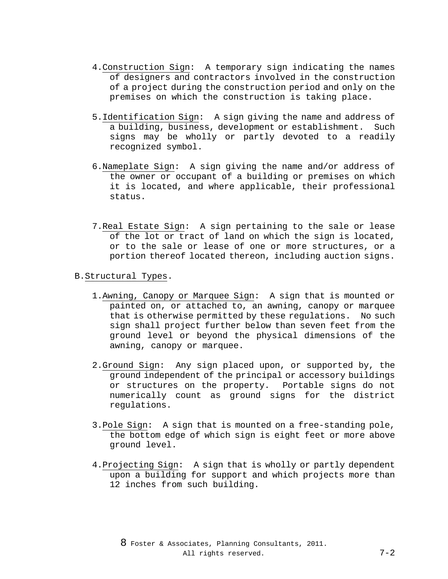- 4.Construction Sign: A temporary sign indicating the names of designers and contractors involved in the construction of a project during the construction period and only on the premises on which the construction is taking place.
- 5.Identification Sign: A sign giving the name and address of a building, business, development or establishment. Such signs may be wholly or partly devoted to a readily recognized symbol.
- 6.Nameplate Sign: A sign giving the name and/or address of the owner or occupant of a building or premises on which it is located, and where applicable, their professional status.
- 7.Real Estate Sign: A sign pertaining to the sale or lease of the lot or tract of land on which the sign is located, or to the sale or lease of one or more structures, or a portion thereof located thereon, including auction signs.

## B.Structural Types.

- 1.Awning, Canopy or Marquee Sign: A sign that is mounted or painted on, or attached to, an awning, canopy or marquee that is otherwise permitted by these regulations. No such sign shall project further below than seven feet from the ground level or beyond the physical dimensions of the awning, canopy or marquee.
- 2.Ground Sign: Any sign placed upon, or supported by, the ground independent of the principal or accessory buildings or structures on the property. Portable signs do not numerically count as ground signs for the district regulations.
- 3.Pole Sign: A sign that is mounted on a free-standing pole, the bottom edge of which sign is eight feet or more above ground level.
- 4.Projecting Sign: A sign that is wholly or partly dependent upon a building for support and which projects more than 12 inches from such building.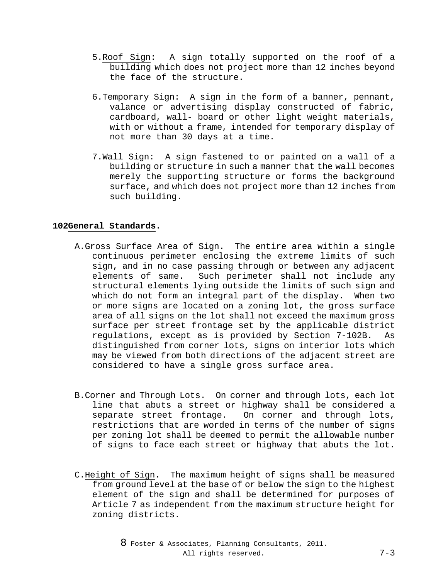- 5.Roof Sign: A sign totally supported on the roof of a building which does not project more than 12 inches beyond the face of the structure.
- 6.Temporary Sign: A sign in the form of a banner, pennant, valance or advertising display constructed of fabric, cardboard, wall- board or other light weight materials, with or without a frame, intended for temporary display of not more than 30 days at a time.
- 7.Wall Sign: A sign fastened to or painted on a wall of a building or structure in such a manner that the wall becomes merely the supporting structure or forms the background surface, and which does not project more than 12 inches from such building.

## **102General Standards.**

- A.Gross Surface Area of Sign. The entire area within a single continuous perimeter enclosing the extreme limits of such sign, and in no case passing through or between any adjacent elements of same. Such perimeter shall not include any structural elements lying outside the limits of such sign and which do not form an integral part of the display. When two or more signs are located on a zoning lot, the gross surface area of all signs on the lot shall not exceed the maximum gross surface per street frontage set by the applicable district regulations, except as is provided by Section 7-102B. As distinguished from corner lots, signs on interior lots which may be viewed from both directions of the adjacent street are considered to have a single gross surface area.
- B.Corner and Through Lots. On corner and through lots, each lot line that abuts a street or highway shall be considered a separate street frontage. On corner and through lots, restrictions that are worded in terms of the number of signs per zoning lot shall be deemed to permit the allowable number of signs to face each street or highway that abuts the lot.
- C.Height of Sign. The maximum height of signs shall be measured from ground level at the base of or below the sign to the highest element of the sign and shall be determined for purposes of Article 7 as independent from the maximum structure height for zoning districts.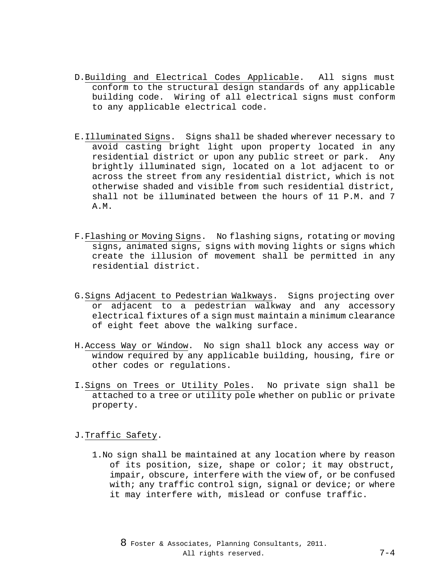- D.Building and Electrical Codes Applicable. All signs must conform to the structural design standards of any applicable building code. Wiring of all electrical signs must conform to any applicable electrical code.
- E.Illuminated Signs. Signs shall be shaded wherever necessary to avoid casting bright light upon property located in any residential district or upon any public street or park. Any brightly illuminated sign, located on a lot adjacent to or across the street from any residential district, which is not otherwise shaded and visible from such residential district, shall not be illuminated between the hours of 11 P.M. and 7 A.M.
- F.Flashing or Moving Signs. No flashing signs, rotating or moving signs, animated signs, signs with moving lights or signs which create the illusion of movement shall be permitted in any residential district.
- G.Signs Adjacent to Pedestrian Walkways. Signs projecting over or adjacent to a pedestrian walkway and any accessory electrical fixtures of a sign must maintain a minimum clearance of eight feet above the walking surface.
- H.Access Way or Window. No sign shall block any access way or window required by any applicable building, housing, fire or other codes or regulations.
- I.Signs on Trees or Utility Poles. No private sign shall be attached to a tree or utility pole whether on public or private property.

## J.Traffic Safety.

1.No sign shall be maintained at any location where by reason of its position, size, shape or color; it may obstruct, impair, obscure, interfere with the view of, or be confused with; any traffic control sign, signal or device; or where it may interfere with, mislead or confuse traffic.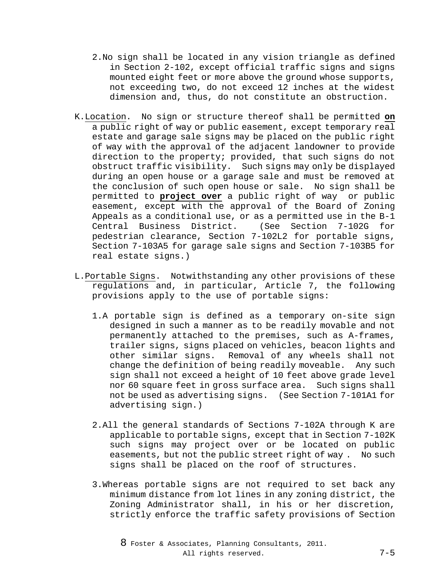- 2.No sign shall be located in any vision triangle as defined in Section 2-102, except official traffic signs and signs mounted eight feet or more above the ground whose supports, not exceeding two, do not exceed 12 inches at the widest dimension and, thus, do not constitute an obstruction.
- K.Location. No sign or structure thereof shall be permitted **on** a public right of way or public easement, except temporary real estate and garage sale signs may be placed on the public right of way with the approval of the adjacent landowner to provide direction to the property; provided, that such signs do not obstruct traffic visibility. Such signs may only be displayed during an open house or a garage sale and must be removed at the conclusion of such open house or sale. No sign shall be permitted to **project over** a public right of way or public easement, except with the approval of the Board of Zoning Appeals as a conditional use, or as a permitted use in the B-1<br>Central Business District. (See Section 7-102G for Central Business District. pedestrian clearance, Section 7-102L2 for portable signs, Section 7-103A5 for garage sale signs and Section 7-103B5 for real estate signs.)
- L.Portable Signs. Notwithstanding any other provisions of these regulations and, in particular, Article 7, the following provisions apply to the use of portable signs:
	- 1.A portable sign is defined as a temporary on-site sign designed in such a manner as to be readily movable and not permanently attached to the premises, such as A-frames, trailer signs, signs placed on vehicles, beacon lights and other similar signs. Removal of any wheels shall not change the definition of being readily moveable. Any such sign shall not exceed a height of 10 feet above grade level nor 60 square feet in gross surface area. Such signs shall not be used as advertising signs. (See Section 7-101A1 for advertising sign.)
	- 2.All the general standards of Sections 7-102A through K are applicable to portable signs, except that in Section 7-102K such signs may project over or be located on public easements, but not the public street right of way . No such signs shall be placed on the roof of structures.
	- 3.Whereas portable signs are not required to set back any minimum distance from lot lines in any zoning district, the Zoning Administrator shall, in his or her discretion, strictly enforce the traffic safety provisions of Section

8 Foster & Associates, Planning Consultants, 2011. All rights reserved. 7-5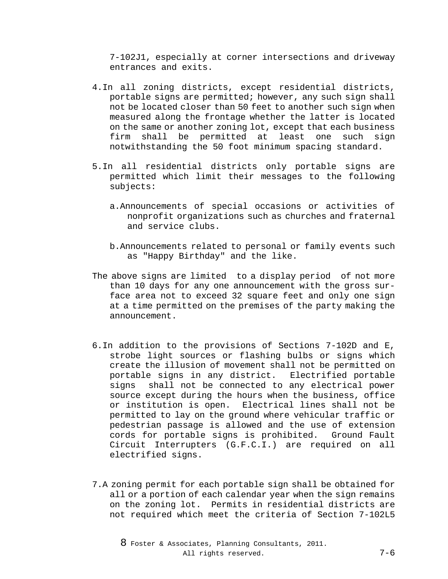7-102J1, especially at corner intersections and driveway entrances and exits.

- 4.In all zoning districts, except residential districts, portable signs are permitted; however, any such sign shall not be located closer than 50 feet to another such sign when measured along the frontage whether the latter is located on the same or another zoning lot, except that each business firm shall be permitted at least one such sign notwithstanding the 50 foot minimum spacing standard.
- 5.In all residential districts only portable signs are permitted which limit their messages to the following subjects:
	- a.Announcements of special occasions or activities of nonprofit organizations such as churches and fraternal and service clubs.
	- b.Announcements related to personal or family events such as "Happy Birthday" and the like.
- The above signs are limited to a display period of not more than 10 days for any one announcement with the gross surface area not to exceed 32 square feet and only one sign at a time permitted on the premises of the party making the announcement.
- 6.In addition to the provisions of Sections 7-102D and E, strobe light sources or flashing bulbs or signs which create the illusion of movement shall not be permitted on portable signs in any district. Electrified portable signs shall not be connected to any electrical power source except during the hours when the business, office or institution is open. Electrical lines shall not be permitted to lay on the ground where vehicular traffic or pedestrian passage is allowed and the use of extension cords for portable signs is prohibited. Ground Fault Circuit Interrupters (G.F.C.I.) are required on all electrified signs.
- 7.A zoning permit for each portable sign shall be obtained for all or a portion of each calendar year when the sign remains on the zoning lot. Permits in residential districts are not required which meet the criteria of Section 7-102L5

8 Foster & Associates, Planning Consultants, 2011. All rights reserved. 7-6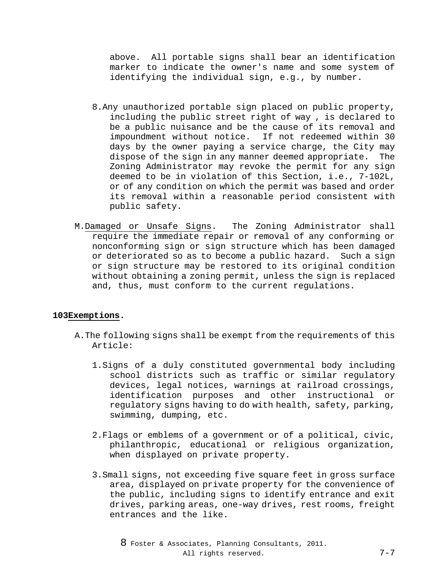above. All portable signs shall bear an identification marker to indicate the owner's name and some system of identifying the individual sign, e.g., by number.

- 8.Any unauthorized portable sign placed on public property, including the public street right of way , is declared to be a public nuisance and be the cause of its removal and impoundment without notice. If not redeemed within 30 days by the owner paying a service charge, the City may dispose of the sign in any manner deemed appropriate. The Zoning Administrator may revoke the permit for any sign deemed to be in violation of this Section, i.e., 7-102L, or of any condition on which the permit was based and order its removal within a reasonable period consistent with public safety.
- M.Damaged or Unsafe Signs. The Zoning Administrator shall require the immediate repair or removal of any conforming or nonconforming sign or sign structure which has been damaged or deteriorated so as to become a public hazard. Such a sign or sign structure may be restored to its original condition without obtaining a zoning permit, unless the sign is replaced and, thus, must conform to the current regulations.

# **103Exemptions.**

- A.The following signs shall be exempt from the requirements of this Article:
	- 1.Signs of a duly constituted governmental body including school districts such as traffic or similar regulatory devices, legal notices, warnings at railroad crossings, identification purposes and other instructional or regulatory signs having to do with health, safety, parking, swimming, dumping, etc.
	- 2.Flags or emblems of a government or of a political, civic, philanthropic, educational or religious organization, when displayed on private property.
	- 3.Small signs, not exceeding five square feet in gross surface area, displayed on private property for the convenience of the public, including signs to identify entrance and exit drives, parking areas, one-way drives, rest rooms, freight entrances and the like.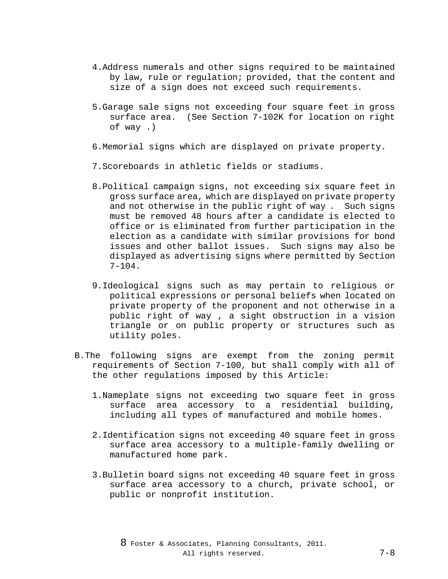- 4.Address numerals and other signs required to be maintained by law, rule or regulation; provided, that the content and size of a sign does not exceed such requirements.
- 5.Garage sale signs not exceeding four square feet in gross surface area. (See Section 7-102K for location on right of way .)
- 6.Memorial signs which are displayed on private property.
- 7.Scoreboards in athletic fields or stadiums.
- 8.Political campaign signs, not exceeding six square feet in gross surface area, which are displayed on private property and not otherwise in the public right of way . Such signs must be removed 48 hours after a candidate is elected to office or is eliminated from further participation in the election as a candidate with similar provisions for bond issues and other ballot issues. Such signs may also be displayed as advertising signs where permitted by Section  $7-104.$
- 9.Ideological signs such as may pertain to religious or political expressions or personal beliefs when located on private property of the proponent and not otherwise in a public right of way , a sight obstruction in a vision triangle or on public property or structures such as utility poles.
- B.The following signs are exempt from the zoning permit requirements of Section 7-100, but shall comply with all of the other regulations imposed by this Article:
	- 1.Nameplate signs not exceeding two square feet in gross surface area accessory to a residential building, including all types of manufactured and mobile homes.
	- 2.Identification signs not exceeding 40 square feet in gross surface area accessory to a multiple-family dwelling or manufactured home park.
	- 3.Bulletin board signs not exceeding 40 square feet in gross surface area accessory to a church, private school, or public or nonprofit institution.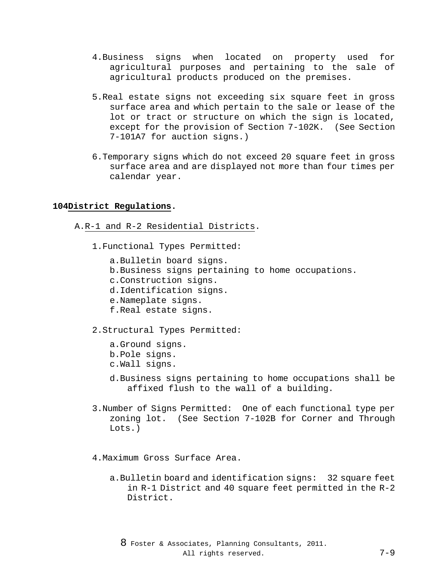- 4.Business signs when located on property used for agricultural purposes and pertaining to the sale of agricultural products produced on the premises.
- 5.Real estate signs not exceeding six square feet in gross surface area and which pertain to the sale or lease of the lot or tract or structure on which the sign is located, except for the provision of Section 7-102K. (See Section 7-101A7 for auction signs.)
- 6.Temporary signs which do not exceed 20 square feet in gross surface area and are displayed not more than four times per calendar year.

## **104District Regulations.**

- A.R-1 and R-2 Residential Districts.
	- 1.Functional Types Permitted:

a.Bulletin board signs. b.Business signs pertaining to home occupations. c.Construction signs. d.Identification signs. e.Nameplate signs. f.Real estate signs. 2.Structural Types Permitted:

a.Ground signs. b.Pole signs. c.Wall signs.

- d.Business signs pertaining to home occupations shall be affixed flush to the wall of a building.
- 3.Number of Signs Permitted: One of each functional type per zoning lot. (See Section 7-102B for Corner and Through Lots.)
- 4.Maximum Gross Surface Area.
	- a.Bulletin board and identification signs: 32 square feet in R-1 District and 40 square feet permitted in the R-2 District.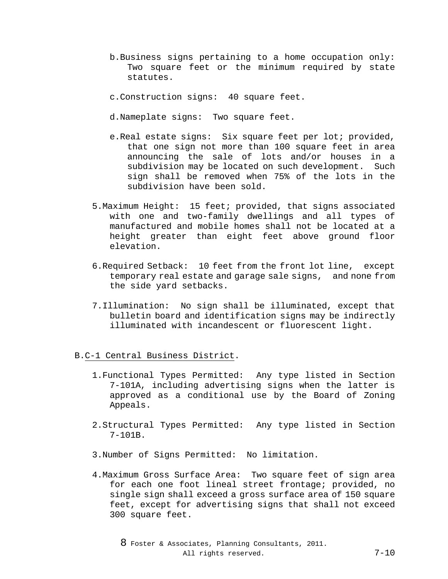- b.Business signs pertaining to a home occupation only: Two square feet or the minimum required by state statutes.
- c.Construction signs: 40 square feet.
- d.Nameplate signs: Two square feet.
- e.Real estate signs: Six square feet per lot; provided, that one sign not more than 100 square feet in area announcing the sale of lots and/or houses in a subdivision may be located on such development. Such sign shall be removed when 75% of the lots in the subdivision have been sold.
- 5.Maximum Height: 15 feet; provided, that signs associated with one and two-family dwellings and all types of manufactured and mobile homes shall not be located at a height greater than eight feet above ground floor elevation.
- 6.Required Setback: 10 feet from the front lot line, except temporary real estate and garage sale signs, and none from the side yard setbacks.
- 7.Illumination: No sign shall be illuminated, except that bulletin board and identification signs may be indirectly illuminated with incandescent or fluorescent light.

#### B.C-1 Central Business District.

- 1.Functional Types Permitted: Any type listed in Section 7-101A, including advertising signs when the latter is approved as a conditional use by the Board of Zoning Appeals.
- 2.Structural Types Permitted: Any type listed in Section 7-101B.
- 3.Number of Signs Permitted: No limitation.
- 4.Maximum Gross Surface Area: Two square feet of sign area for each one foot lineal street frontage; provided, no single sign shall exceed a gross surface area of 150 square feet, except for advertising signs that shall not exceed 300 square feet.

8 Foster & Associates, Planning Consultants, 2011. All rights reserved. 7-10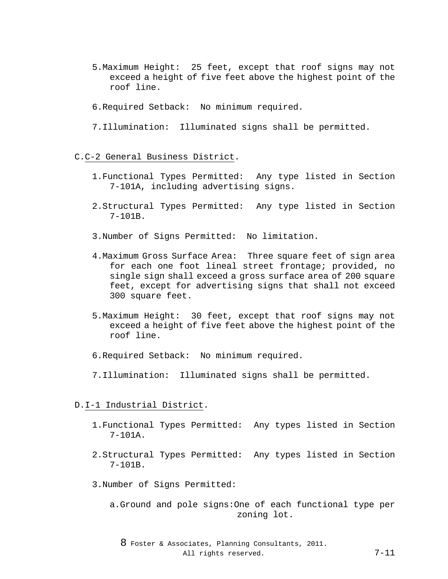- 5.Maximum Height: 25 feet, except that roof signs may not exceed a height of five feet above the highest point of the roof line.
- 6.Required Setback: No minimum required.
- 7.Illumination: Illuminated signs shall be permitted.

#### C.C-2 General Business District.

- 1.Functional Types Permitted: Any type listed in Section 7-101A, including advertising signs.
- 2.Structural Types Permitted: Any type listed in Section 7-101B.
- 3.Number of Signs Permitted: No limitation.
- 4.Maximum Gross Surface Area: Three square feet of sign area for each one foot lineal street frontage; provided, no single sign shall exceed a gross surface area of 200 square feet, except for advertising signs that shall not exceed 300 square feet.
- 5.Maximum Height: 30 feet, except that roof signs may not exceed a height of five feet above the highest point of the roof line.
- 6.Required Setback: No minimum required.
- 7.Illumination: Illuminated signs shall be permitted.

#### D.I-1 Industrial District.

- 1.Functional Types Permitted: Any types listed in Section 7-101A.
- 2.Structural Types Permitted: Any types listed in Section 7-101B.
- 3.Number of Signs Permitted:
	- a.Ground and pole signs:One of each functional type per zoning lot.

8 Foster & Associates, Planning Consultants, 2011. All rights reserved. 7-11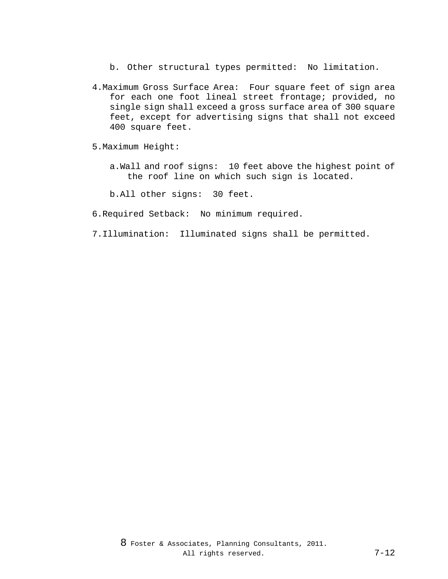- b. Other structural types permitted: No limitation.
- 4.Maximum Gross Surface Area: Four square feet of sign area for each one foot lineal street frontage; provided, no single sign shall exceed a gross surface area of 300 square feet, except for advertising signs that shall not exceed 400 square feet.
- 5.Maximum Height:
	- a.Wall and roof signs: 10 feet above the highest point of the roof line on which such sign is located.

b.All other signs: 30 feet.

- 6.Required Setback: No minimum required.
- 7.Illumination: Illuminated signs shall be permitted.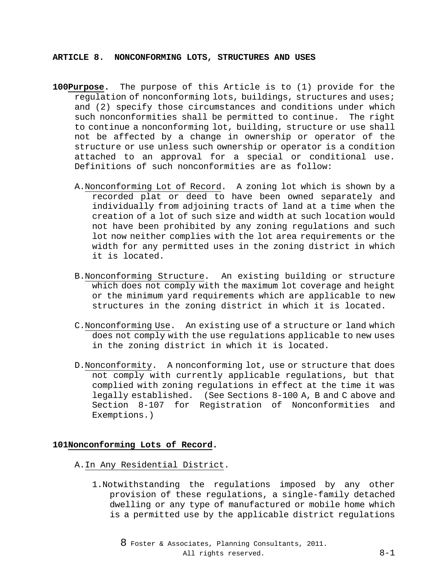**ARTICLE 8. NONCONFORMING LOTS, STRUCTURES AND USES**

- **100Purpose.** The purpose of this Article is to (1) provide for the regulation of nonconforming lots, buildings, structures and uses; and (2) specify those circumstances and conditions under which such nonconformities shall be permitted to continue. The right to continue a nonconforming lot, building, structure or use shall not be affected by a change in ownership or operator of the structure or use unless such ownership or operator is a condition attached to an approval for a special or conditional use. Definitions of such nonconformities are as follow:
	- A.Nonconforming Lot of Record. A zoning lot which is shown by a recorded plat or deed to have been owned separately and individually from adjoining tracts of land at a time when the creation of a lot of such size and width at such location would not have been prohibited by any zoning regulations and such lot now neither complies with the lot area requirements or the width for any permitted uses in the zoning district in which it is located.
	- B.Nonconforming Structure. An existing building or structure which does not comply with the maximum lot coverage and height or the minimum yard requirements which are applicable to new structures in the zoning district in which it is located.
	- C.Nonconforming Use. An existing use of a structure or land which does not comply with the use regulations applicable to new uses in the zoning district in which it is located.
	- D.Nonconformity. A nonconforming lot, use or structure that does not comply with currently applicable regulations, but that complied with zoning regulations in effect at the time it was legally established. (See Sections 8-100 A, B and C above and Section 8-107 for Registration of Nonconformities and Exemptions.)

# **101Nonconforming Lots of Record.**

## A.In Any Residential District.

1.Notwithstanding the regulations imposed by any other provision of these regulations, a single-family detached dwelling or any type of manufactured or mobile home which is a permitted use by the applicable district regulations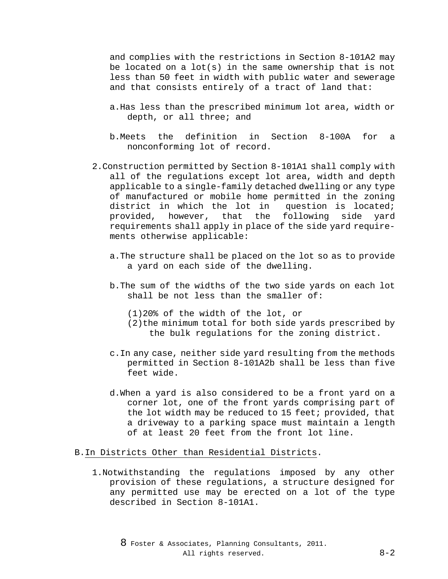and complies with the restrictions in Section 8-101A2 may be located on a  $lot(s)$  in the same ownership that is not less than 50 feet in width with public water and sewerage and that consists entirely of a tract of land that:

- a.Has less than the prescribed minimum lot area, width or depth, or all three; and
- b.Meets the definition in Section 8-100A for a nonconforming lot of record.
- 2.Construction permitted by Section 8-101A1 shall comply with all of the regulations except lot area, width and depth applicable to a single-family detached dwelling or any type of manufactured or mobile home permitted in the zoning district in which the lot in question is located; provided, however, that the following side yard requirements shall apply in place of the side yard requirements otherwise applicable:
	- a.The structure shall be placed on the lot so as to provide a yard on each side of the dwelling.
	- b.The sum of the widths of the two side yards on each lot shall be not less than the smaller of:
		- (1)20% of the width of the lot, or
		- (2)the minimum total for both side yards prescribed by the bulk regulations for the zoning district.
	- c.In any case, neither side yard resulting from the methods permitted in Section 8-101A2b shall be less than five feet wide.
	- d.When a yard is also considered to be a front yard on a corner lot, one of the front yards comprising part of the lot width may be reduced to 15 feet; provided, that a driveway to a parking space must maintain a length of at least 20 feet from the front lot line.

#### B.In Districts Other than Residential Districts.

1.Notwithstanding the regulations imposed by any other provision of these regulations, a structure designed for any permitted use may be erected on a lot of the type described in Section 8-101A1.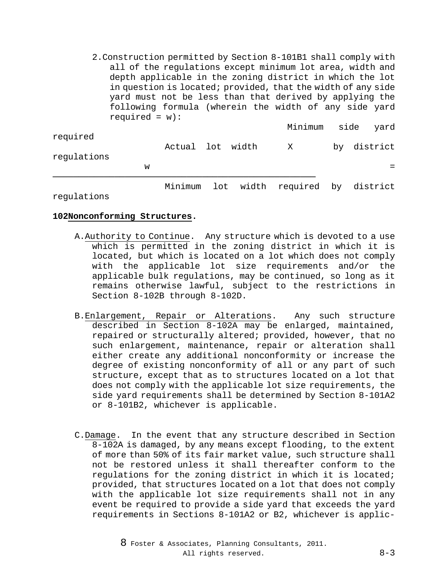2.Construction permitted by Section 8-101B1 shall comply with all of the regulations except minimum lot area, width and depth applicable in the zoning district in which the lot in question is located; provided, that the width of any side yard must not be less than that derived by applying the following formula (wherein the width of any side yard required =  $w$ ):

|             |   |                  |  | Minimum side yard |  |             |
|-------------|---|------------------|--|-------------------|--|-------------|
| required    |   | Actual lot width |  | $\mathbf{X}$      |  | by district |
| regulations |   |                  |  |                   |  |             |
|             | W |                  |  |                   |  |             |
|             |   |                  |  |                   |  |             |

Minimum lot width required by district

regulations

### **102Nonconforming Structures.**

- A.Authority to Continue. Any structure which is devoted to a use which is permitted in the zoning district in which it is located, but which is located on a lot which does not comply with the applicable lot size requirements and/or the applicable bulk regulations, may be continued, so long as it remains otherwise lawful, subject to the restrictions in Section 8-102B through 8-102D.
- B.Enlargement, Repair or Alterations. Any such structure described in Section 8-102A may be enlarged, maintained, repaired or structurally altered; provided, however, that no such enlargement, maintenance, repair or alteration shall either create any additional nonconformity or increase the degree of existing nonconformity of all or any part of such structure, except that as to structures located on a lot that does not comply with the applicable lot size requirements, the side yard requirements shall be determined by Section 8-101A2 or 8-101B2, whichever is applicable.
- C.Damage. In the event that any structure described in Section 8-102A is damaged, by any means except flooding, to the extent of more than 50% of its fair market value, such structure shall not be restored unless it shall thereafter conform to the regulations for the zoning district in which it is located; provided, that structures located on a lot that does not comply with the applicable lot size requirements shall not in any event be required to provide a side yard that exceeds the yard requirements in Sections 8-101A2 or B2, whichever is applic-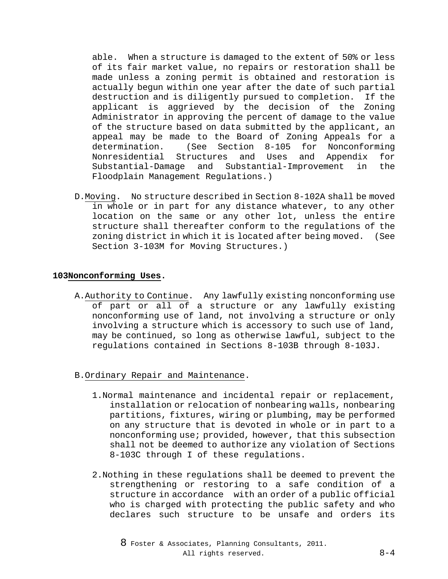able. When a structure is damaged to the extent of 50% or less of its fair market value, no repairs or restoration shall be made unless a zoning permit is obtained and restoration is actually begun within one year after the date of such partial<br>destruction and is diligently pursued to completion. If the destruction and is diligently pursued to completion. applicant is aggrieved by the decision of the Zoning Administrator in approving the percent of damage to the value of the structure based on data submitted by the applicant, an appeal may be made to the Board of Zoning Appeals for a<br>determination. (See Section 8-105 for Nonconforming (See Section 8-105 for Nonconfor<br>Structures and Uses and Appendix Nonresidential Structures and Uses and Appendix for and Substantial-Improvement in Floodplain Management Regulations.)

D.Moving. No structure described in Section 8-102A shall be moved in whole or in part for any distance whatever, to any other location on the same or any other lot, unless the entire structure shall thereafter conform to the regulations of the zoning district in which it is located after being moved. (See Section 3-103M for Moving Structures.)

## **103Nonconforming Uses.**

- A.Authority to Continue. Any lawfully existing nonconforming use of part or all of a structure or any lawfully existing nonconforming use of land, not involving a structure or only involving a structure which is accessory to such use of land, may be continued, so long as otherwise lawful, subject to the regulations contained in Sections 8-103B through 8-103J.
- B.Ordinary Repair and Maintenance.
	- 1.Normal maintenance and incidental repair or replacement, installation or relocation of nonbearing walls, nonbearing partitions, fixtures, wiring or plumbing, may be performed on any structure that is devoted in whole or in part to a nonconforming use; provided, however, that this subsection shall not be deemed to authorize any violation of Sections 8-103C through I of these regulations.
	- 2.Nothing in these regulations shall be deemed to prevent the strengthening or restoring to a safe condition of a structure in accordance with an order of a public official who is charged with protecting the public safety and who declares such structure to be unsafe and orders its

8 Foster & Associates, Planning Consultants, 2011. All rights reserved. 8-4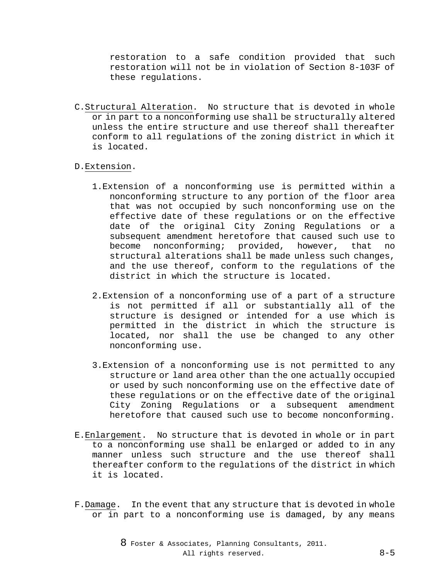restoration to a safe condition provided that such restoration will not be in violation of Section 8-103F of these regulations.

C.Structural Alteration. No structure that is devoted in whole or in part to a nonconforming use shall be structurally altered unless the entire structure and use thereof shall thereafter conform to all regulations of the zoning district in which it is located.

## D.Extension.

- 1.Extension of a nonconforming use is permitted within a nonconforming structure to any portion of the floor area that was not occupied by such nonconforming use on the effective date of these regulations or on the effective date of the original City Zoning Regulations or a subsequent amendment heretofore that caused such use to become nonconforming; provided, however, that no structural alterations shall be made unless such changes, and the use thereof, conform to the regulations of the district in which the structure is located.
- 2.Extension of a nonconforming use of a part of a structure is not permitted if all or substantially all of the structure is designed or intended for a use which is permitted in the district in which the structure is located, nor shall the use be changed to any other nonconforming use.
- 3.Extension of a nonconforming use is not permitted to any structure or land area other than the one actually occupied or used by such nonconforming use on the effective date of these regulations or on the effective date of the original City Zoning Regulations or a subsequent amendment heretofore that caused such use to become nonconforming.
- E.Enlargement. No structure that is devoted in whole or in part to a nonconforming use shall be enlarged or added to in any manner unless such structure and the use thereof shall thereafter conform to the regulations of the district in which it is located.
- F.Damage. In the event that any structure that is devoted in whole or in part to a nonconforming use is damaged, by any means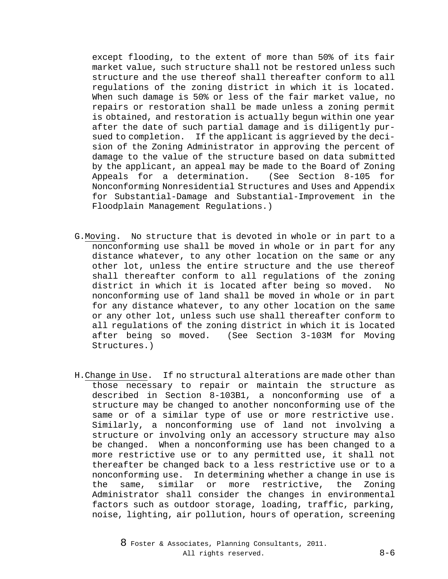except flooding, to the extent of more than 50% of its fair market value, such structure shall not be restored unless such structure and the use thereof shall thereafter conform to all regulations of the zoning district in which it is located. When such damage is 50% or less of the fair market value, no repairs or restoration shall be made unless a zoning permit is obtained, and restoration is actually begun within one year after the date of such partial damage and is diligently pursued to completion. If the applicant is aggrieved by the decision of the Zoning Administrator in approving the percent of damage to the value of the structure based on data submitted by the applicant, an appeal may be made to the Board of Zoning Appeals for a determination. (See Section 8-105 for Nonconforming Nonresidential Structures and Uses and Appendix for Substantial-Damage and Substantial-Improvement in the Floodplain Management Regulations.)

- G.Moving. No structure that is devoted in whole or in part to a nonconforming use shall be moved in whole or in part for any distance whatever, to any other location on the same or any other lot, unless the entire structure and the use thereof shall thereafter conform to all regulations of the zoning district in which it is located after being so moved. No nonconforming use of land shall be moved in whole or in part for any distance whatever, to any other location on the same or any other lot, unless such use shall thereafter conform to all regulations of the zoning district in which it is located<br>after being so moved. (See Section 3-103M for Moving (See Section 3-103M for Moving Structures.)
- H.Change in Use. If no structural alterations are made other than those necessary to repair or maintain the structure as described in Section 8-103B1, a nonconforming use of a structure may be changed to another nonconforming use of the same or of a similar type of use or more restrictive use. Similarly, a nonconforming use of land not involving a structure or involving only an accessory structure may also be changed. When a nonconforming use has been changed to a more restrictive use or to any permitted use, it shall not thereafter be changed back to a less restrictive use or to a nonconforming use. In determining whether a change in use is the same, similar or more restrictive, the Zoning Administrator shall consider the changes in environmental factors such as outdoor storage, loading, traffic, parking, noise, lighting, air pollution, hours of operation, screening
	- 8 Foster & Associates, Planning Consultants, 2011. All rights reserved. 8-6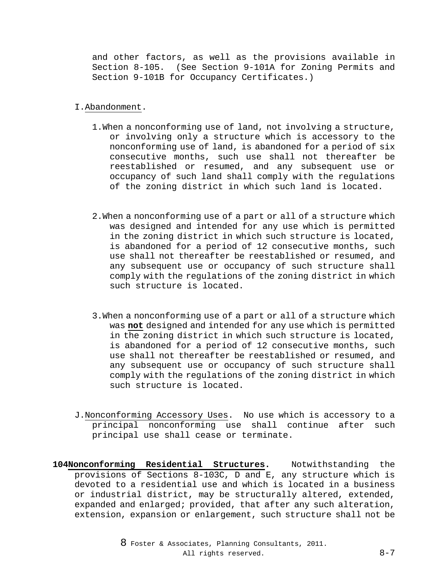and other factors, as well as the provisions available in Section 8-105. (See Section 9-101A for Zoning Permits and Section 9-101B for Occupancy Certificates.)

## I.Abandonment.

- 1.When a nonconforming use of land, not involving a structure, or involving only a structure which is accessory to the nonconforming use of land, is abandoned for a period of six consecutive months, such use shall not thereafter be reestablished or resumed, and any subsequent use or occupancy of such land shall comply with the regulations of the zoning district in which such land is located.
- 2.When a nonconforming use of a part or all of a structure which was designed and intended for any use which is permitted in the zoning district in which such structure is located, is abandoned for a period of 12 consecutive months, such use shall not thereafter be reestablished or resumed, and any subsequent use or occupancy of such structure shall comply with the regulations of the zoning district in which such structure is located.
- 3.When a nonconforming use of a part or all of a structure which was **not** designed and intended for any use which is permitted in the zoning district in which such structure is located, is abandoned for a period of 12 consecutive months, such use shall not thereafter be reestablished or resumed, and any subsequent use or occupancy of such structure shall comply with the regulations of the zoning district in which such structure is located.
- J.Nonconforming Accessory Uses. No use which is accessory to a principal nonconforming use shall continue after such principal use shall cease or terminate.
- **104Nonconforming Residential Structures.** Notwithstanding the provisions of Sections 8-103C, D and E, any structure which is devoted to a residential use and which is located in a business or industrial district, may be structurally altered, extended, expanded and enlarged; provided, that after any such alteration, extension, expansion or enlargement, such structure shall not be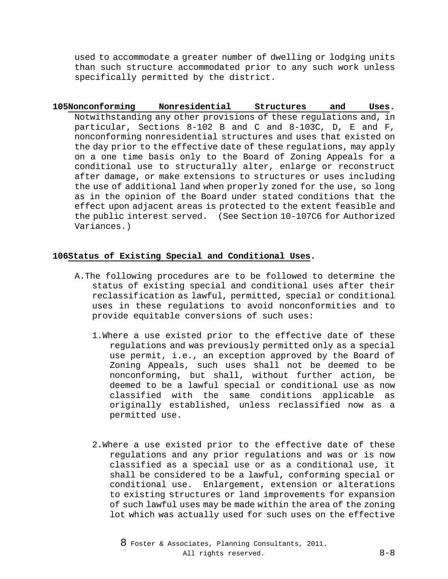used to accommodate a greater number of dwelling or lodging units than such structure accommodated prior to any such work unless specifically permitted by the district.

**105Nonconforming Nonresidential Structures and Uses.** Notwithstanding any other provisions of these regulations and, in particular, Sections 8-102 B and C and 8-103C, D, E and F, nonconforming nonresidential structures and uses that existed on the day prior to the effective date of these regulations, may apply on a one time basis only to the Board of Zoning Appeals for a conditional use to structurally alter, enlarge or reconstruct after damage, or make extensions to structures or uses including the use of additional land when properly zoned for the use, so long as in the opinion of the Board under stated conditions that the effect upon adjacent areas is protected to the extent feasible and the public interest served. (See Section 10-107C6 for Authorized Variances.)

## **106Status of Existing Special and Conditional Uses.**

- A.The following procedures are to be followed to determine the status of existing special and conditional uses after their reclassification as lawful, permitted, special or conditional uses in these regulations to avoid nonconformities and to provide equitable conversions of such uses:
	- 1.Where a use existed prior to the effective date of these regulations and was previously permitted only as a special use permit, i.e., an exception approved by the Board of Zoning Appeals, such uses shall not be deemed to be nonconforming, but shall, without further action, be deemed to be a lawful special or conditional use as now classified with the same conditions applicable as originally established, unless reclassified now as a permitted use.
	- 2.Where a use existed prior to the effective date of these regulations and any prior regulations and was or is now classified as a special use or as a conditional use, it shall be considered to be a lawful, conforming special or conditional use. Enlargement, extension or alterations to existing structures or land improvements for expansion of such lawful uses may be made within the area of the zoning lot which was actually used for such uses on the effective

8 Foster & Associates, Planning Consultants, 2011. All rights reserved. 8-8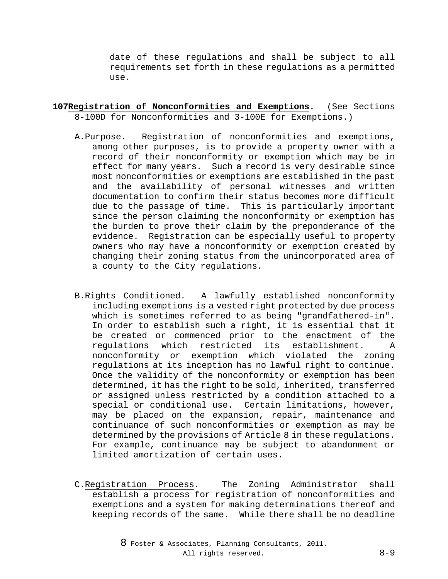date of these regulations and shall be subject to all requirements set forth in these regulations as a permitted use.

- **107Registration of Nonconformities and Exemptions.** (See Sections 8-100D for Nonconformities and 3-100E for Exemptions.)
	- A.Purpose. Registration of nonconformities and exemptions, among other purposes, is to provide a property owner with a record of their nonconformity or exemption which may be in effect for many years. Such a record is very desirable since most nonconformities or exemptions are established in the past and the availability of personal witnesses and written documentation to confirm their status becomes more difficult due to the passage of time. This is particularly important since the person claiming the nonconformity or exemption has the burden to prove their claim by the preponderance of the evidence. Registration can be especially useful to property owners who may have a nonconformity or exemption created by changing their zoning status from the unincorporated area of a county to the City regulations.
	- B.Rights Conditioned. A lawfully established nonconformity including exemptions is a vested right protected by due process which is sometimes referred to as being "grandfathered-in". In order to establish such a right, it is essential that it be created or commenced prior to the enactment of the regulations which restricted its establishment. A nonconformity or exemption which violated the zoning regulations at its inception has no lawful right to continue. Once the validity of the nonconformity or exemption has been determined, it has the right to be sold, inherited, transferred or assigned unless restricted by a condition attached to a special or conditional use. Certain limitations, however, may be placed on the expansion, repair, maintenance and continuance of such nonconformities or exemption as may be determined by the provisions of Article 8 in these regulations. For example, continuance may be subject to abandonment or limited amortization of certain uses.
	- C.Registration Process. The Zoning Administrator shall establish a process for registration of nonconformities and exemptions and a system for making determinations thereof and keeping records of the same. While there shall be no deadline

8 Foster & Associates, Planning Consultants, 2011. All rights reserved. 8-9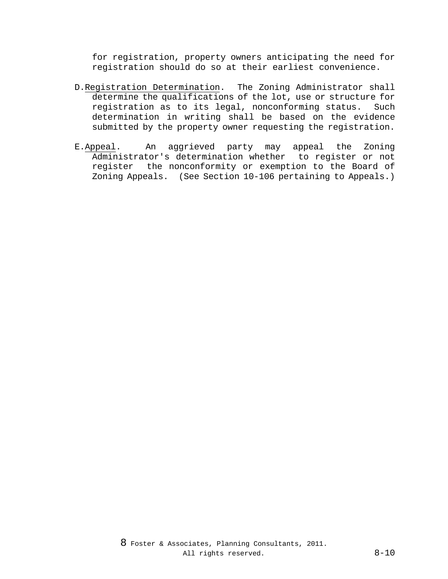for registration, property owners anticipating the need for registration should do so at their earliest convenience.

- D.Registration Determination. The Zoning Administrator shall determine the qualifications of the lot, use or structure for registration as to its legal, nonconforming status. Such determination in writing shall be based on the evidence submitted by the property owner requesting the registration.
- E.Appeal. An aggrieved party may appeal the Zoning Administrator's determination whether to register or not register the nonconformity or exemption to the Board of Zoning Appeals. (See Section 10-106 pertaining to Appeals.)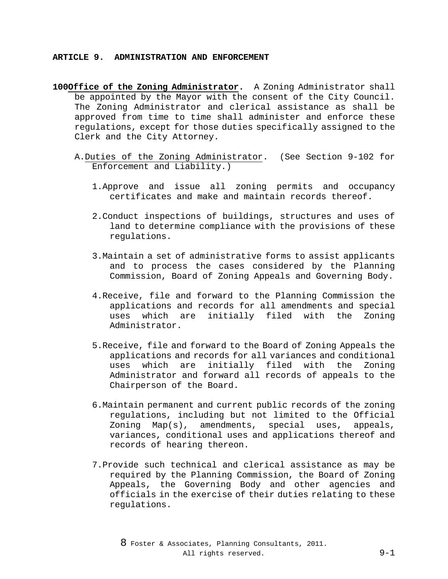#### **ARTICLE 9. ADMINISTRATION AND ENFORCEMENT**

- **100Office of the Zoning Administrator.** A Zoning Administrator shall be appointed by the Mayor with the consent of the City Council. The Zoning Administrator and clerical assistance as shall be approved from time to time shall administer and enforce these regulations, except for those duties specifically assigned to the Clerk and the City Attorney.
	- A.Duties of the Zoning Administrator. (See Section 9-102 for Enforcement and Liability.)
		- 1.Approve and issue all zoning permits and occupancy certificates and make and maintain records thereof.
		- 2.Conduct inspections of buildings, structures and uses of land to determine compliance with the provisions of these regulations.
		- 3.Maintain a set of administrative forms to assist applicants and to process the cases considered by the Planning Commission, Board of Zoning Appeals and Governing Body.
		- 4.Receive, file and forward to the Planning Commission the applications and records for all amendments and special uses which are initially filed with the Zoning Administrator.
		- 5.Receive, file and forward to the Board of Zoning Appeals the applications and records for all variances and conditional uses which are initially filed with the Zoning Administrator and forward all records of appeals to the Chairperson of the Board.
		- 6.Maintain permanent and current public records of the zoning regulations, including but not limited to the Official Zoning Map(s), amendments, special uses, appeals, variances, conditional uses and applications thereof and records of hearing thereon.
		- 7.Provide such technical and clerical assistance as may be required by the Planning Commission, the Board of Zoning Appeals, the Governing Body and other agencies and officials in the exercise of their duties relating to these regulations.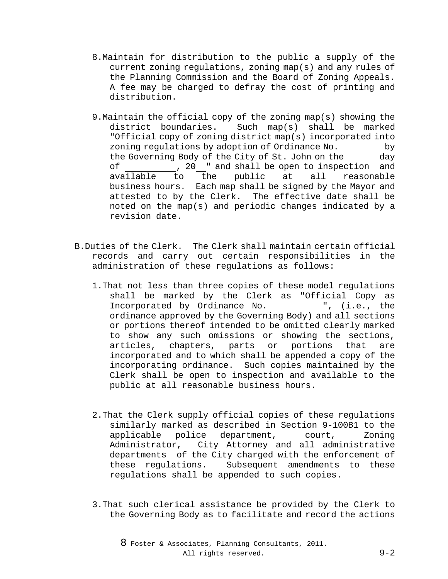- 8.Maintain for distribution to the public a supply of the current zoning regulations, zoning map(s) and any rules of the Planning Commission and the Board of Zoning Appeals. A fee may be charged to defray the cost of printing and distribution.
- 9.Maintain the official copy of the zoning map(s) showing the district boundaries. Such map(s) shall be marked "Official copy of zoning district map(s) incorporated into zoning regulations by adoption of Ordinance No. by the Governing Body of the City of St. John on the \_\_\_\_\_\_ day of 10.1000 of 10.2000 of 10.2000 mm and available to the public at all reasonable the public at all business hours. Each map shall be signed by the Mayor and attested to by the Clerk. The effective date shall be noted on the map(s) and periodic changes indicated by a revision date.
- B.Duties of the Clerk. The Clerk shall maintain certain official records and carry out certain responsibilities in the administration of these regulations as follows:
	- 1.That not less than three copies of these model regulations shall be marked by the Clerk as "Official Copy as Incorporated by Ordinance No. ", (i.e., the ordinance approved by the Governing Body) and all sections or portions thereof intended to be omitted clearly marked to show any such omissions or showing the sections, articles, chapters, parts or portions that are incorporated and to which shall be appended a copy of the incorporating ordinance. Such copies maintained by the Clerk shall be open to inspection and available to the public at all reasonable business hours.
	- 2.That the Clerk supply official copies of these regulations similarly marked as described in Section 9-100B1 to the applicable police department, court, Zoning Administrator, City Attorney and all administrative departments of the City charged with the enforcement of these regulations. Subsequent amendments to these regulations shall be appended to such copies.
	- 3.That such clerical assistance be provided by the Clerk to the Governing Body as to facilitate and record the actions

8 Foster & Associates, Planning Consultants, 2011. All rights reserved. 9-2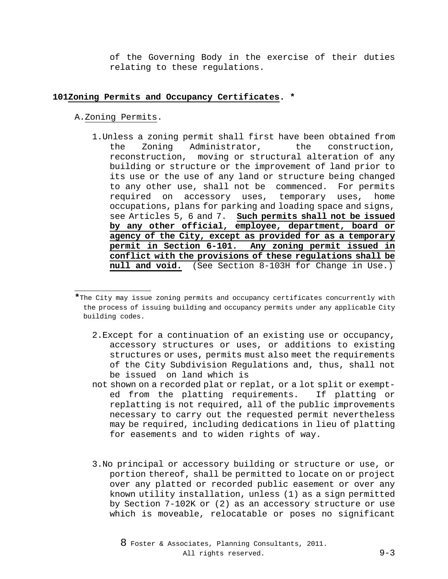of the Governing Body in the exercise of their duties relating to these regulations.

### **101Zoning Permits and Occupancy Certificates. \***

A.Zoning Permits.

j.

1.Unless a zoning permit shall first have been obtained from the Zoning Administrator, the construction, reconstruction, moving or structural alteration of any building or structure or the improvement of land prior to its use or the use of any land or structure being changed to any other use, shall not be commenced. For permits required on accessory uses, temporary uses, home occupations, plans for parking and loading space and signs, see Articles 5, 6 and 7. **Such permits shall not be issued by any other official, employee, department, board or agency of the City, except as provided for as a temporary permit in Section 6-101. Any zoning permit issued in conflict with the provisions of these regulations shall be null and void.** (See Section 8-103H for Change in Use.)

**\***The City may issue zoning permits and occupancy certificates concurrently with the process of issuing building and occupancy permits under any applicable City building codes.

- 2.Except for a continuation of an existing use or occupancy, accessory structures or uses, or additions to existing structures or uses, permits must also meet the requirements of the City Subdivision Regulations and, thus, shall not be issued on land which is
- not shown on a recorded plat or replat, or a lot split or exempted from the platting requirements. If platting or replatting is not required, all of the public improvements necessary to carry out the requested permit nevertheless may be required, including dedications in lieu of platting for easements and to widen rights of way.
- 3.No principal or accessory building or structure or use, or portion thereof, shall be permitted to locate on or project over any platted or recorded public easement or over any known utility installation, unless (1) as a sign permitted by Section 7-102K or (2) as an accessory structure or use which is moveable, relocatable or poses no significant

8 Foster & Associates, Planning Consultants, 2011. All rights reserved. 9-3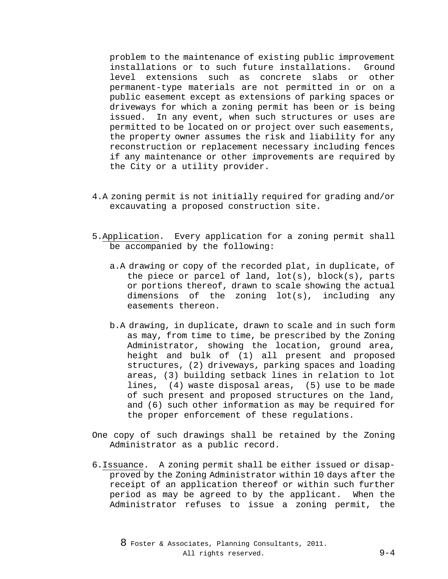problem to the maintenance of existing public improvement<br>installations or to such future installations. Ground installations or to such future installations.<br>level extensions such as concrete slabs o extensions such as concrete slabs or other permanent-type materials are not permitted in or on a public easement except as extensions of parking spaces or driveways for which a zoning permit has been or is being issued. In any event, when such structures or uses are permitted to be located on or project over such easements, the property owner assumes the risk and liability for any reconstruction or replacement necessary including fences if any maintenance or other improvements are required by the City or a utility provider.

- 4.A zoning permit is not initially required for grading and/or excauvating a proposed construction site.
- 5.Application. Every application for a zoning permit shall be accompanied by the following:
	- a.A drawing or copy of the recorded plat, in duplicate, of the piece or parcel of land,  $lot(s)$ ,  $block(s)$ , parts or portions thereof, drawn to scale showing the actual dimensions of the zoning lot(s), including any easements thereon.
	- b.A drawing, in duplicate, drawn to scale and in such form as may, from time to time, be prescribed by the Zoning Administrator, showing the location, ground area, height and bulk of (1) all present and proposed structures, (2) driveways, parking spaces and loading areas, (3) building setback lines in relation to lot lines, (4) waste disposal areas, (5) use to be made of such present and proposed structures on the land, and (6) such other information as may be required for the proper enforcement of these regulations.
- One copy of such drawings shall be retained by the Zoning Administrator as a public record.
- 6.Issuance. A zoning permit shall be either issued or disapproved by the Zoning Administrator within 10 days after the receipt of an application thereof or within such further period as may be agreed to by the applicant. When the Administrator refuses to issue a zoning permit, the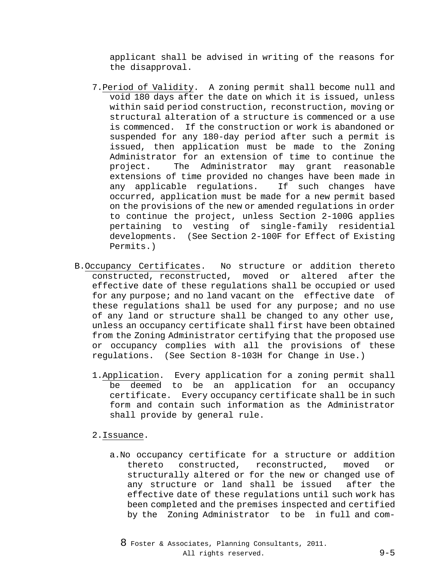applicant shall be advised in writing of the reasons for the disapproval.

- 7.Period of Validity. A zoning permit shall become null and void 180 days after the date on which it is issued, unless within said period construction, reconstruction, moving or structural alteration of a structure is commenced or a use is commenced. If the construction or work is abandoned or suspended for any 180-day period after such a permit is issued, then application must be made to the Zoning Administrator for an extension of time to continue the<br>project. The Administrator may grant reasonable The Administrator may grant reasonable extensions of time provided no changes have been made in<br>any applicable requlations. If such changes have any applicable requlations. occurred, application must be made for a new permit based on the provisions of the new or amended regulations in order to continue the project, unless Section 2-100G applies pertaining to vesting of single-family residential developments. (See Section 2-100F for Effect of Existing Permits.)
- B.Occupancy Certificates. No structure or addition thereto constructed, reconstructed, moved or altered after the effective date of these regulations shall be occupied or used for any purpose; and no land vacant on the effective date of these regulations shall be used for any purpose; and no use of any land or structure shall be changed to any other use, unless an occupancy certificate shall first have been obtained from the Zoning Administrator certifying that the proposed use or occupancy complies with all the provisions of these regulations. (See Section 8-103H for Change in Use.)
	- 1.Application. Every application for a zoning permit shall be deemed to be an application for an occupancy certificate. Every occupancy certificate shall be in such form and contain such information as the Administrator shall provide by general rule.
	- 2.Issuance.
		- a.No occupancy certificate for a structure or addition thereto constructed, reconstructed, moved or structurally altered or for the new or changed use of any structure or land shall be issued after the effective date of these regulations until such work has been completed and the premises inspected and certified by the Zoning Administrator to be in full and com-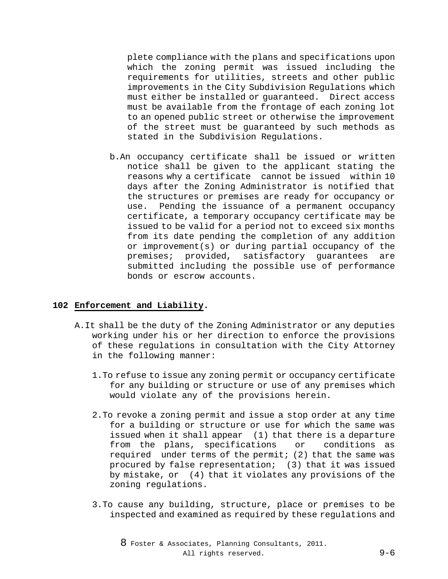plete compliance with the plans and specifications upon which the zoning permit was issued including the requirements for utilities, streets and other public improvements in the City Subdivision Regulations which must either be installed or guaranteed. Direct access must be available from the frontage of each zoning lot to an opened public street or otherwise the improvement of the street must be guaranteed by such methods as stated in the Subdivision Regulations.

b.An occupancy certificate shall be issued or written notice shall be given to the applicant stating the reasons why a certificate cannot be issued within 10 days after the Zoning Administrator is notified that the structures or premises are ready for occupancy or use. Pending the issuance of a permanent occupancy certificate, a temporary occupancy certificate may be issued to be valid for a period not to exceed six months from its date pending the completion of any addition or improvement(s) or during partial occupancy of the premises; provided, satisfactory guarantees are submitted including the possible use of performance bonds or escrow accounts.

# **102 Enforcement and Liability.**

- A.It shall be the duty of the Zoning Administrator or any deputies working under his or her direction to enforce the provisions of these regulations in consultation with the City Attorney in the following manner:
	- 1.To refuse to issue any zoning permit or occupancy certificate for any building or structure or use of any premises which would violate any of the provisions herein.
	- 2.To revoke a zoning permit and issue a stop order at any time for a building or structure or use for which the same was issued when it shall appear (1) that there is a departure<br>from the plans, specifications or conditions as from the plans, specifications or required under terms of the permit; (2) that the same was procured by false representation; (3) that it was issued by mistake, or (4) that it violates any provisions of the zoning regulations.
	- 3.To cause any building, structure, place or premises to be inspected and examined as required by these regulations and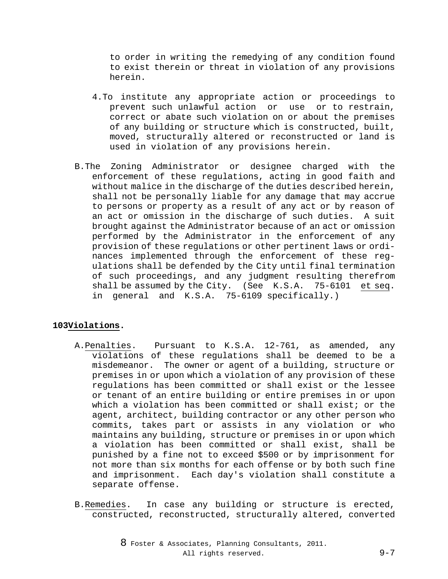to order in writing the remedying of any condition found to exist therein or threat in violation of any provisions herein.

- 4.To institute any appropriate action or proceedings to prevent such unlawful action or use or to restrain, correct or abate such violation on or about the premises of any building or structure which is constructed, built, moved, structurally altered or reconstructed or land is used in violation of any provisions herein.
- B.The Zoning Administrator or designee charged with the enforcement of these regulations, acting in good faith and without malice in the discharge of the duties described herein, shall not be personally liable for any damage that may accrue to persons or property as a result of any act or by reason of an act or omission in the discharge of such duties. A suit brought against the Administrator because of an act or omission performed by the Administrator in the enforcement of any provision of these regulations or other pertinent laws or ordinances implemented through the enforcement of these regulations shall be defended by the City until final termination of such proceedings, and any judgment resulting therefrom shall be assumed by the City. (See K.S.A. 75-6101 et seq. in general and K.S.A. 75-6109 specifically.)

# **103Violations.**

- A.Penalties. Pursuant to K.S.A. 12-761, as amended, any violations of these regulations shall be deemed to be a misdemeanor. The owner or agent of a building, structure or premises in or upon which a violation of any provision of these regulations has been committed or shall exist or the lessee or tenant of an entire building or entire premises in or upon which a violation has been committed or shall exist; or the agent, architect, building contractor or any other person who commits, takes part or assists in any violation or who maintains any building, structure or premises in or upon which a violation has been committed or shall exist, shall be punished by a fine not to exceed \$500 or by imprisonment for not more than six months for each offense or by both such fine and imprisonment. Each day's violation shall constitute a separate offense.
- B.Remedies. In case any building or structure is erected, constructed, reconstructed, structurally altered, converted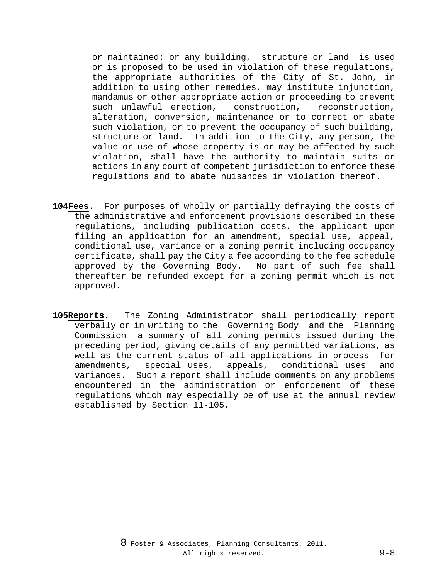or maintained; or any building, structure or land is used or is proposed to be used in violation of these regulations, the appropriate authorities of the City of St. John, in addition to using other remedies, may institute injunction, mandamus or other appropriate action or proceeding to prevent such unlawful erection, construction, reconstruction, alteration, conversion, maintenance or to correct or abate such violation, or to prevent the occupancy of such building, structure or land. In addition to the City, any person, the value or use of whose property is or may be affected by such violation, shall have the authority to maintain suits or actions in any court of competent jurisdiction to enforce these regulations and to abate nuisances in violation thereof.

- **104Fees.** For purposes of wholly or partially defraying the costs of the administrative and enforcement provisions described in these regulations, including publication costs, the applicant upon filing an application for an amendment, special use, appeal, conditional use, variance or a zoning permit including occupancy certificate, shall pay the City a fee according to the fee schedule approved by the Governing Body. No part of such fee shall thereafter be refunded except for a zoning permit which is not approved.
- **105Reports.** The Zoning Administrator shall periodically report verbally or in writing to the Governing Body and the Planning Commission a summary of all zoning permits issued during the preceding period, giving details of any permitted variations, as well as the current status of all applications in process for<br>amendments, special uses, appeals, conditional uses and amendments, special uses, appeals, conditional uses and variances. Such a report shall include comments on any problems encountered in the administration or enforcement of these regulations which may especially be of use at the annual review established by Section 11-105.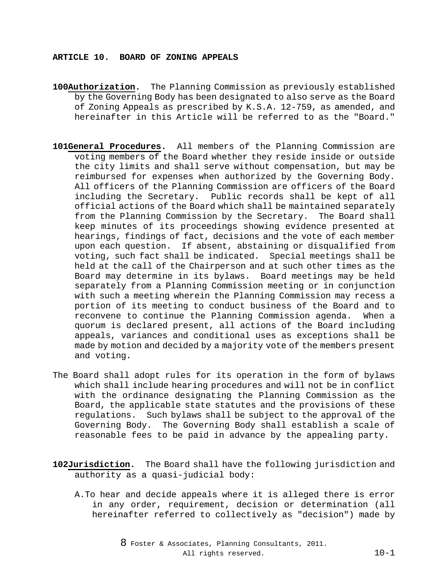#### **ARTICLE 10. BOARD OF ZONING APPEALS**

- **100Authorization.** The Planning Commission as previously established by the Governing Body has been designated to also serve as the Board of Zoning Appeals as prescribed by K.S.A. 12-759, as amended, and hereinafter in this Article will be referred to as the "Board."
- **101General Procedures.** All members of the Planning Commission are voting members of the Board whether they reside inside or outside the city limits and shall serve without compensation, but may be reimbursed for expenses when authorized by the Governing Body. All officers of the Planning Commission are officers of the Board including the Secretary. Public records shall be kept of all official actions of the Board which shall be maintained separately from the Planning Commission by the Secretary. The Board shall keep minutes of its proceedings showing evidence presented at hearings, findings of fact, decisions and the vote of each member upon each question. If absent, abstaining or disqualified from voting, such fact shall be indicated. Special meetings shall be held at the call of the Chairperson and at such other times as the Board may determine in its bylaws. Board meetings may be held separately from a Planning Commission meeting or in conjunction with such a meeting wherein the Planning Commission may recess a portion of its meeting to conduct business of the Board and to reconvene to continue the Planning Commission agenda. When a quorum is declared present, all actions of the Board including appeals, variances and conditional uses as exceptions shall be made by motion and decided by a majority vote of the members present and voting.
- The Board shall adopt rules for its operation in the form of bylaws which shall include hearing procedures and will not be in conflict with the ordinance designating the Planning Commission as the Board, the applicable state statutes and the provisions of these regulations. Such bylaws shall be subject to the approval of the Governing Body. The Governing Body shall establish a scale of reasonable fees to be paid in advance by the appealing party.
- **102Jurisdiction.** The Board shall have the following jurisdiction and authority as a quasi-judicial body:
	- A.To hear and decide appeals where it is alleged there is error in any order, requirement, decision or determination (all hereinafter referred to collectively as "decision") made by

8 Foster & Associates, Planning Consultants, 2011. All rights reserved. 10-1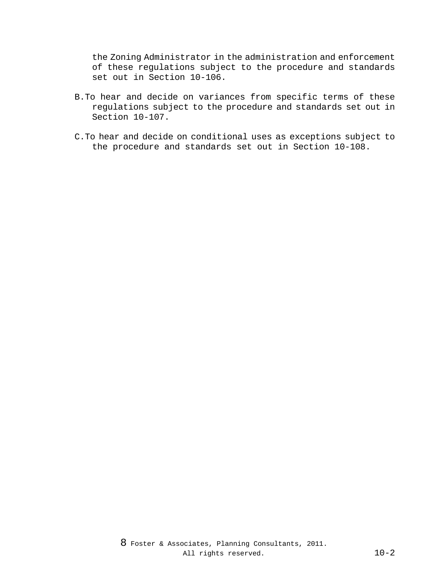the Zoning Administrator in the administration and enforcement of these regulations subject to the procedure and standards set out in Section 10-106.

- B.To hear and decide on variances from specific terms of these regulations subject to the procedure and standards set out in Section 10-107.
- C.To hear and decide on conditional uses as exceptions subject to the procedure and standards set out in Section 10-108.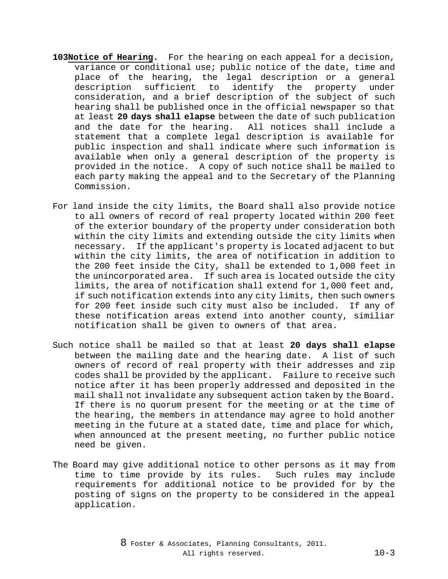- **103Notice of Hearing.** For the hearing on each appeal for a decision, variance or conditional use; public notice of the date, time and place of the hearing, the legal description or a general description sufficient to identify the property under consideration, and a brief description of the subject of such hearing shall be published once in the official newspaper so that at least **20 days shall elapse** between the date of such publication and the date for the hearing. All notices shall include a statement that a complete legal description is available for public inspection and shall indicate where such information is available when only a general description of the property is provided in the notice. A copy of such notice shall be mailed to each party making the appeal and to the Secretary of the Planning Commission.
- For land inside the city limits, the Board shall also provide notice to all owners of record of real property located within 200 feet of the exterior boundary of the property under consideration both within the city limits and extending outside the city limits when necessary. If the applicant's property is located adjacent to but within the city limits, the area of notification in addition to the 200 feet inside the City, shall be extended to 1,000 feet in the unincorporated area. If such area is located outside the city limits, the area of notification shall extend for 1,000 feet and, if such notification extends into any city limits, then such owners for 200 feet inside such city must also be included. If any of these notification areas extend into another county, similiar notification shall be given to owners of that area.
- Such notice shall be mailed so that at least **20 days shall elapse** between the mailing date and the hearing date. A list of such owners of record of real property with their addresses and zip codes shall be provided by the applicant. Failure to receive such notice after it has been properly addressed and deposited in the mail shall not invalidate any subsequent action taken by the Board. If there is no quorum present for the meeting or at the time of the hearing, the members in attendance may agree to hold another meeting in the future at a stated date, time and place for which, when announced at the present meeting, no further public notice need be given.
- The Board may give additional notice to other persons as it may from time to time provide by its rules. Such rules may include requirements for additional notice to be provided for by the posting of signs on the property to be considered in the appeal application.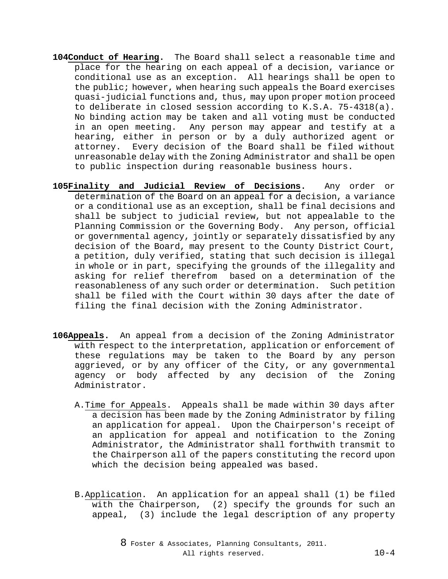- **104Conduct of Hearing.** The Board shall select a reasonable time and place for the hearing on each appeal of a decision, variance or conditional use as an exception. All hearings shall be open to the public; however, when hearing such appeals the Board exercises quasi-judicial functions and, thus, may upon proper motion proceed to deliberate in closed session according to K.S.A. 75-4318(a). No binding action may be taken and all voting must be conducted in an open meeting. Any person may appear and testify at a hearing, either in person or by a duly authorized agent or attorney. Every decision of the Board shall be filed without unreasonable delay with the Zoning Administrator and shall be open to public inspection during reasonable business hours.
- **105Finality and Judicial Review of Decisions.** Any order or determination of the Board on an appeal for a decision, a variance or a conditional use as an exception, shall be final decisions and shall be subject to judicial review, but not appealable to the Planning Commission or the Governing Body. Any person, official or governmental agency, jointly or separately dissatisfied by any decision of the Board, may present to the County District Court, a petition, duly verified, stating that such decision is illegal in whole or in part, specifying the grounds of the illegality and asking for relief therefrom based on a determination of the reasonableness of any such order or determination. Such petition shall be filed with the Court within 30 days after the date of filing the final decision with the Zoning Administrator.
- **106Appeals.** An appeal from a decision of the Zoning Administrator with respect to the interpretation, application or enforcement of these regulations may be taken to the Board by any person aggrieved, or by any officer of the City, or any governmental agency or body affected by any decision of the Zoning Administrator.
	- A.Time for Appeals. Appeals shall be made within 30 days after a decision has been made by the Zoning Administrator by filing an application for appeal. Upon the Chairperson's receipt of an application for appeal and notification to the Zoning Administrator, the Administrator shall forthwith transmit to the Chairperson all of the papers constituting the record upon which the decision being appealed was based.
	- B.Application. An application for an appeal shall (1) be filed with the Chairperson, (2) specify the grounds for such an appeal, (3) include the legal description of any property

8 Foster & Associates, Planning Consultants, 2011. All rights reserved. 10-4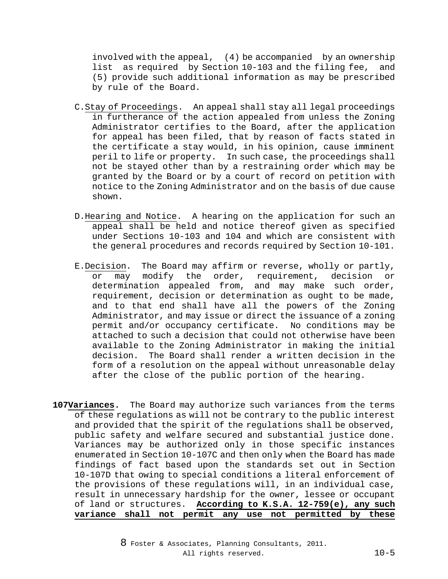involved with the appeal, (4) be accompanied by an ownership list as required by Section 10-103 and the filing fee, (5) provide such additional information as may be prescribed by rule of the Board.

- C.Stay of Proceedings. An appeal shall stay all legal proceedings in furtherance of the action appealed from unless the Zoning Administrator certifies to the Board, after the application for appeal has been filed, that by reason of facts stated in the certificate a stay would, in his opinion, cause imminent peril to life or property. In such case, the proceedings shall not be stayed other than by a restraining order which may be granted by the Board or by a court of record on petition with notice to the Zoning Administrator and on the basis of due cause shown.
- D.Hearing and Notice. A hearing on the application for such an appeal shall be held and notice thereof given as specified under Sections 10-103 and 104 and which are consistent with the general procedures and records required by Section 10-101.
- E.Decision. The Board may affirm or reverse, wholly or partly, or may modify the order, requirement, decision or determination appealed from, and may make such order, requirement, decision or determination as ought to be made, and to that end shall have all the powers of the Zoning Administrator, and may issue or direct the issuance of a zoning permit and/or occupancy certificate. No conditions may be attached to such a decision that could not otherwise have been available to the Zoning Administrator in making the initial The Board shall render a written decision in the form of a resolution on the appeal without unreasonable delay after the close of the public portion of the hearing.
- **107Variances.** The Board may authorize such variances from the terms of these regulations as will not be contrary to the public interest and provided that the spirit of the regulations shall be observed, public safety and welfare secured and substantial justice done. Variances may be authorized only in those specific instances enumerated in Section 10-107C and then only when the Board has made findings of fact based upon the standards set out in Section 10-107D that owing to special conditions a literal enforcement of the provisions of these regulations will, in an individual case, result in unnecessary hardship for the owner, lessee or occupant of land or structures. **According to K.S.A. 12-759(e), any such variance shall not permit any use not permitted by these**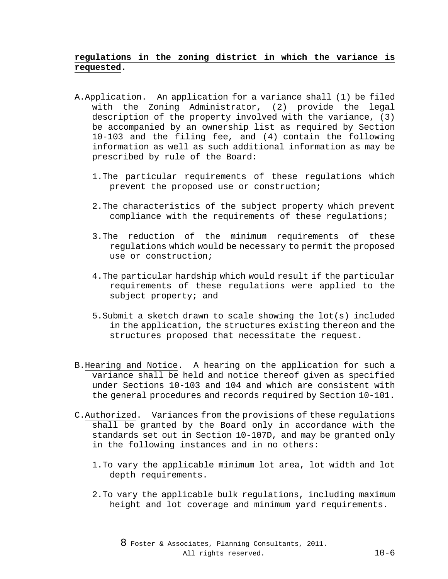# **regulations in the zoning district in which the variance is requested.**

- A.Application. An application for a variance shall (1) be filed with the Zoning Administrator, (2) provide the legal description of the property involved with the variance, (3) be accompanied by an ownership list as required by Section 10-103 and the filing fee, and (4) contain the following information as well as such additional information as may be prescribed by rule of the Board:
	- 1.The particular requirements of these regulations which prevent the proposed use or construction;
	- 2.The characteristics of the subject property which prevent compliance with the requirements of these regulations;
	- 3.The reduction of the minimum requirements of these regulations which would be necessary to permit the proposed use or construction;
	- 4.The particular hardship which would result if the particular requirements of these regulations were applied to the subject property; and
	- 5.Submit a sketch drawn to scale showing the lot(s) included in the application, the structures existing thereon and the structures proposed that necessitate the request.
- B.Hearing and Notice. A hearing on the application for such a variance shall be held and notice thereof given as specified under Sections 10-103 and 104 and which are consistent with the general procedures and records required by Section 10-101.
- C.Authorized. Variances from the provisions of these regulations shall be granted by the Board only in accordance with the standards set out in Section 10-107D, and may be granted only in the following instances and in no others:
	- 1.To vary the applicable minimum lot area, lot width and lot depth requirements.
	- 2.To vary the applicable bulk regulations, including maximum height and lot coverage and minimum yard requirements.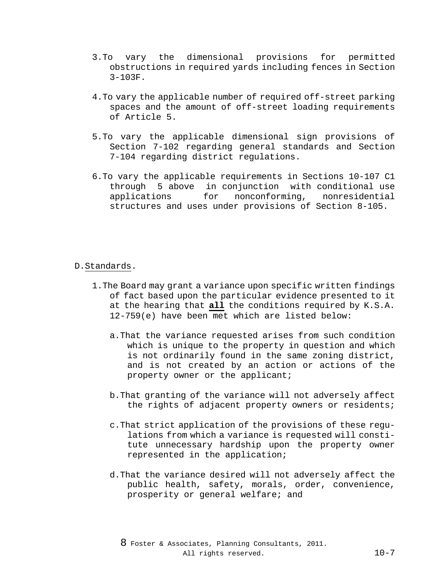- 3.To vary the dimensional provisions for permitted obstructions in required yards including fences in Section 3-103F.
- 4.To vary the applicable number of required off-street parking spaces and the amount of off-street loading requirements of Article 5.
- 5.To vary the applicable dimensional sign provisions of Section 7-102 regarding general standards and Section 7-104 regarding district regulations.
- 6.To vary the applicable requirements in Sections 10-107 C1 through 5 above in conjunction with conditional use<br>applications for nonconforming, nonresidential nonconforming, structures and uses under provisions of Section 8-105.

## D.Standards.

- 1.The Board may grant a variance upon specific written findings of fact based upon the particular evidence presented to it at the hearing that **all** the conditions required by K.S.A. 12-759(e) have been met which are listed below:
	- a.That the variance requested arises from such condition which is unique to the property in question and which is not ordinarily found in the same zoning district, and is not created by an action or actions of the property owner or the applicant;
	- b.That granting of the variance will not adversely affect the rights of adjacent property owners or residents;
	- c.That strict application of the provisions of these regulations from which a variance is requested will constitute unnecessary hardship upon the property owner represented in the application;
	- d.That the variance desired will not adversely affect the public health, safety, morals, order, convenience, prosperity or general welfare; and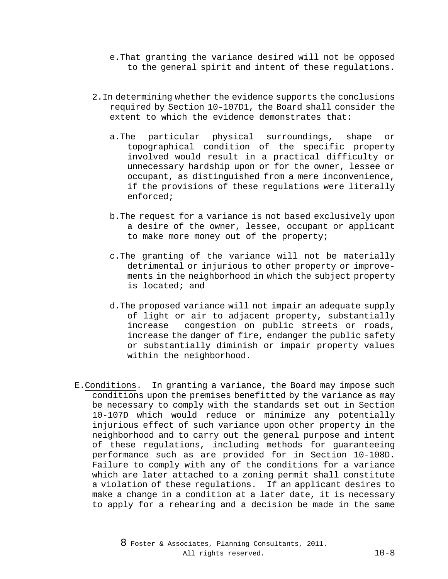- e.That granting the variance desired will not be opposed to the general spirit and intent of these regulations.
- 2.In determining whether the evidence supports the conclusions required by Section 10-107D1, the Board shall consider the extent to which the evidence demonstrates that:
	- a.The particular physical surroundings, shape or topographical condition of the specific property involved would result in a practical difficulty or unnecessary hardship upon or for the owner, lessee or occupant, as distinguished from a mere inconvenience, if the provisions of these regulations were literally enforced;
	- b.The request for a variance is not based exclusively upon a desire of the owner, lessee, occupant or applicant to make more money out of the property;
	- c.The granting of the variance will not be materially detrimental or injurious to other property or improvements in the neighborhood in which the subject property is located; and
	- d.The proposed variance will not impair an adequate supply of light or air to adjacent property, substantially increase congestion on public streets or roads, increase the danger of fire, endanger the public safety or substantially diminish or impair property values within the neighborhood.
- E.Conditions. In granting a variance, the Board may impose such conditions upon the premises benefitted by the variance as may be necessary to comply with the standards set out in Section 10-107D which would reduce or minimize any potentially injurious effect of such variance upon other property in the neighborhood and to carry out the general purpose and intent of these regulations, including methods for guaranteeing performance such as are provided for in Section 10-108D. Failure to comply with any of the conditions for a variance which are later attached to a zoning permit shall constitute a violation of these regulations. If an applicant desires to make a change in a condition at a later date, it is necessary to apply for a rehearing and a decision be made in the same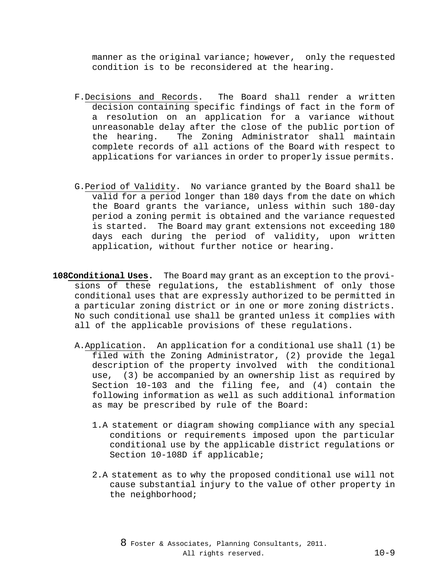manner as the original variance; however, only the requested condition is to be reconsidered at the hearing.

- F.Decisions and Records. The Board shall render a written decision containing specific findings of fact in the form of a resolution on an application for a variance without unreasonable delay after the close of the public portion of the hearing. The Zoning Administrator shall maintain complete records of all actions of the Board with respect to applications for variances in order to properly issue permits.
- G.Period of Validity. No variance granted by the Board shall be valid for a period longer than 180 days from the date on which the Board grants the variance, unless within such 180-day period a zoning permit is obtained and the variance requested is started. The Board may grant extensions not exceeding 180 days each during the period of validity, upon written application, without further notice or hearing.
- **108Conditional Uses.** The Board may grant as an exception to the provisions of these regulations, the establishment of only those conditional uses that are expressly authorized to be permitted in a particular zoning district or in one or more zoning districts. No such conditional use shall be granted unless it complies with all of the applicable provisions of these regulations.
	- A.Application. An application for a conditional use shall (1) be filed with the Zoning Administrator, (2) provide the legal description of the property involved with the conditional use, (3) be accompanied by an ownership list as required by Section 10-103 and the filing fee, and (4) contain the following information as well as such additional information as may be prescribed by rule of the Board:
		- 1.A statement or diagram showing compliance with any special conditions or requirements imposed upon the particular conditional use by the applicable district regulations or Section 10-108D if applicable;
		- 2.A statement as to why the proposed conditional use will not cause substantial injury to the value of other property in the neighborhood;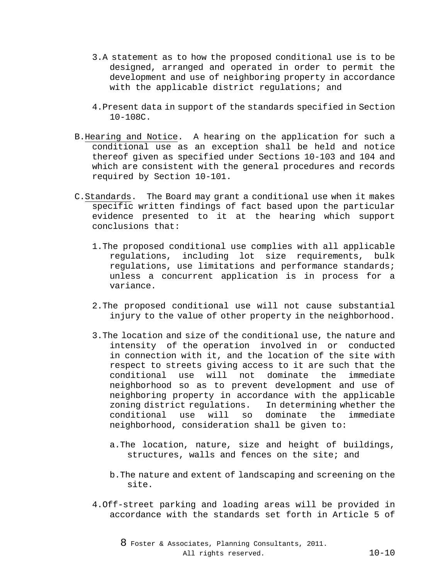- 3.A statement as to how the proposed conditional use is to be designed, arranged and operated in order to permit the development and use of neighboring property in accordance with the applicable district regulations; and
- 4.Present data in support of the standards specified in Section 10-108C.
- B.Hearing and Notice. A hearing on the application for such a conditional use as an exception shall be held and notice thereof given as specified under Sections 10-103 and 104 and which are consistent with the general procedures and records required by Section 10-101.
- C.Standards. The Board may grant a conditional use when it makes specific written findings of fact based upon the particular evidence presented to it at the hearing which support conclusions that:
	- 1.The proposed conditional use complies with all applicable regulations, including lot size requirements, bulk regulations, use limitations and performance standards; unless a concurrent application is in process for a variance.
	- 2.The proposed conditional use will not cause substantial injury to the value of other property in the neighborhood.
	- 3.The location and size of the conditional use, the nature and intensity of the operation involved in or conducted in connection with it, and the location of the site with respect to streets giving access to it are such that the conditional use will not dominate the immediate neighborhood so as to prevent development and use of neighboring property in accordance with the applicable zoning district regulations. In determining whether the conditional use will so dominate the immediate neighborhood, consideration shall be given to:
		- a.The location, nature, size and height of buildings, structures, walls and fences on the site; and
		- b.The nature and extent of landscaping and screening on the site.
	- 4.Off-street parking and loading areas will be provided in accordance with the standards set forth in Article 5 of

8 Foster & Associates, Planning Consultants, 2011. All rights reserved. 10-10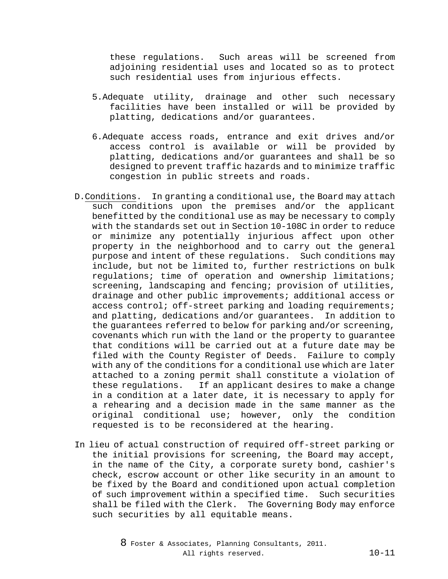these regulations. Such areas will be screened from adjoining residential uses and located so as to protect such residential uses from injurious effects.

- 5.Adequate utility, drainage and other such necessary facilities have been installed or will be provided by platting, dedications and/or guarantees.
- 6.Adequate access roads, entrance and exit drives and/or access control is available or will be provided by platting, dedications and/or guarantees and shall be so designed to prevent traffic hazards and to minimize traffic congestion in public streets and roads.
- D.Conditions. In granting a conditional use, the Board may attach such conditions upon the premises and/or the applicant benefitted by the conditional use as may be necessary to comply with the standards set out in Section 10-108C in order to reduce or minimize any potentially injurious affect upon other property in the neighborhood and to carry out the general purpose and intent of these regulations. Such conditions may include, but not be limited to, further restrictions on bulk regulations; time of operation and ownership limitations; screening, landscaping and fencing; provision of utilities, drainage and other public improvements; additional access or access control; off-street parking and loading requirements; and platting, dedications and/or guarantees. In addition to the guarantees referred to below for parking and/or screening, covenants which run with the land or the property to guarantee that conditions will be carried out at a future date may be filed with the County Register of Deeds. Failure to comply with any of the conditions for a conditional use which are later attached to a zoning permit shall constitute a violation of these regulations. If an applicant desires to make a change in a condition at a later date, it is necessary to apply for a rehearing and a decision made in the same manner as the original conditional use; however, only the condition requested is to be reconsidered at the hearing.
- In lieu of actual construction of required off-street parking or the initial provisions for screening, the Board may accept, in the name of the City, a corporate surety bond, cashier's check, escrow account or other like security in an amount to be fixed by the Board and conditioned upon actual completion of such improvement within a specified time. Such securities shall be filed with the Clerk. The Governing Body may enforce such securities by all equitable means.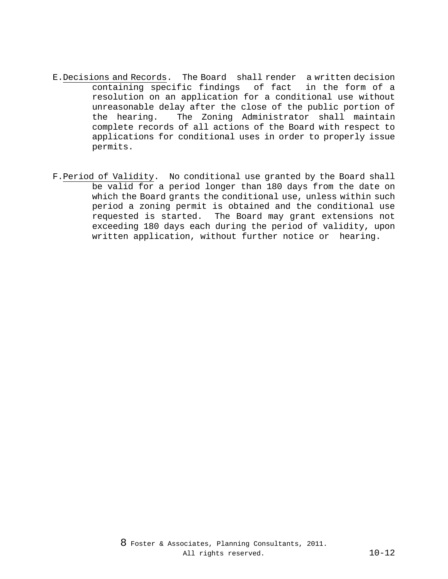- E.Decisions and Records. The Board shall render a written decision containing specific findings of fact in the form of a resolution on an application for a conditional use without unreasonable delay after the close of the public portion of the hearing. The Zoning Administrator shall maintain complete records of all actions of the Board with respect to applications for conditional uses in order to properly issue permits.
- F.Period of Validity. No conditional use granted by the Board shall be valid for a period longer than 180 days from the date on which the Board grants the conditional use, unless within such period a zoning permit is obtained and the conditional use requested is started. The Board may grant extensions not exceeding 180 days each during the period of validity, upon written application, without further notice or hearing.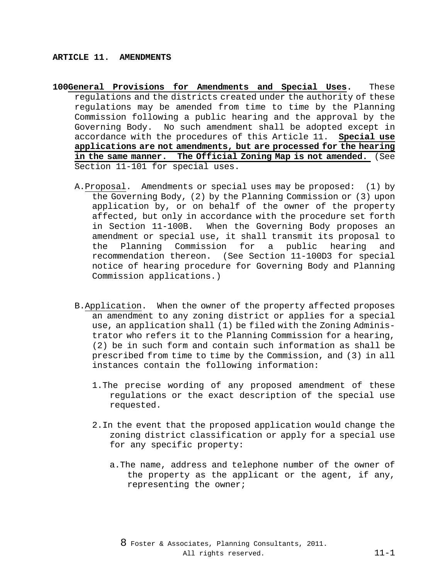- **100General Provisions for Amendments and Special Uses.** These regulations and the districts created under the authority of these regulations may be amended from time to time by the Planning Commission following a public hearing and the approval by the Governing Body. No such amendment shall be adopted except in accordance with the procedures of this Article 11. **Special use applications are not amendments, but are processed for the hearing in the same manner. The Official Zoning Map is not amended.** (See Section 11-101 for special uses.
	- A.Proposal. Amendments or special uses may be proposed: (1) by the Governing Body, (2) by the Planning Commission or (3) upon application by, or on behalf of the owner of the property affected, but only in accordance with the procedure set forth in Section 11-100B. When the Governing Body proposes an amendment or special use, it shall transmit its proposal to<br>the Planning Commission for a public hearing and the Planning Commission for a recommendation thereon. (See Section 11-100D3 for special notice of hearing procedure for Governing Body and Planning Commission applications.)
	- B.Application. When the owner of the property affected proposes an amendment to any zoning district or applies for a special use, an application shall (1) be filed with the Zoning Administrator who refers it to the Planning Commission for a hearing, (2) be in such form and contain such information as shall be prescribed from time to time by the Commission, and (3) in all instances contain the following information:
		- 1.The precise wording of any proposed amendment of these regulations or the exact description of the special use requested.
		- 2.In the event that the proposed application would change the zoning district classification or apply for a special use for any specific property:
			- a.The name, address and telephone number of the owner of the property as the applicant or the agent, if any, representing the owner;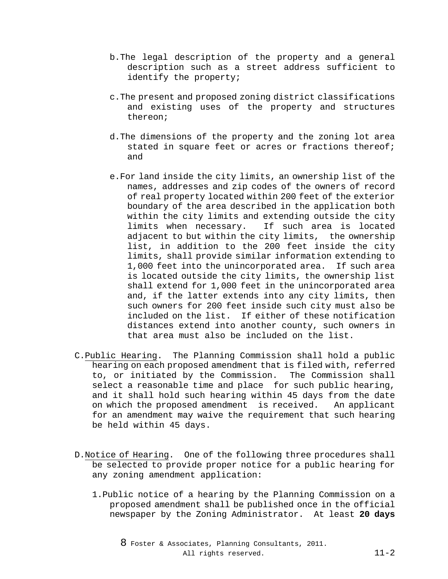- b.The legal description of the property and a general description such as a street address sufficient to identify the property;
- c.The present and proposed zoning district classifications and existing uses of the property and structures thereon;
- d.The dimensions of the property and the zoning lot area stated in square feet or acres or fractions thereof; and
- e.For land inside the city limits, an ownership list of the names, addresses and zip codes of the owners of record of real property located within 200 feet of the exterior boundary of the area described in the application both within the city limits and extending outside the city<br>limits when necessary. If such area is located If such area is located adjacent to but within the city limits, the ownership list, in addition to the 200 feet inside the city limits, shall provide similar information extending to 1,000 feet into the unincorporated area. If such area is located outside the city limits, the ownership list shall extend for 1,000 feet in the unincorporated area and, if the latter extends into any city limits, then such owners for 200 feet inside such city must also be included on the list. If either of these notification distances extend into another county, such owners in that area must also be included on the list.
- C.Public Hearing. The Planning Commission shall hold a public hearing on each proposed amendment that is filed with, referred to, or initiated by the Commission. The Commission shall select a reasonable time and place for such public hearing, and it shall hold such hearing within 45 days from the date on which the proposed amendment is received. An applicant for an amendment may waive the requirement that such hearing be held within 45 days.
- D.Notice of Hearing. One of the following three procedures shall be selected to provide proper notice for a public hearing for any zoning amendment application:
	- 1.Public notice of a hearing by the Planning Commission on a proposed amendment shall be published once in the official newspaper by the Zoning Administrator. At least **20 days**

8 Foster & Associates, Planning Consultants, 2011. All rights reserved. 11-2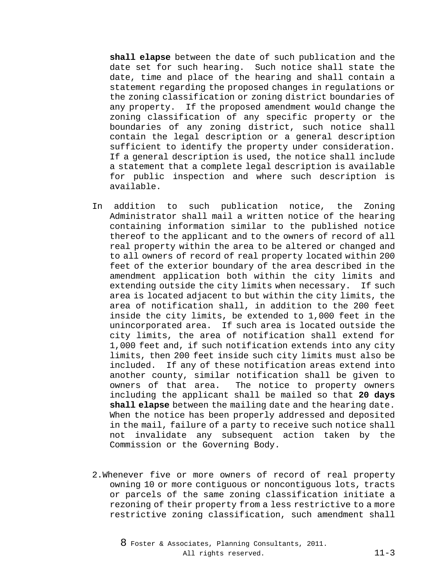**shall elapse** between the date of such publication and the date set for such hearing. Such notice shall state the date, time and place of the hearing and shall contain a statement regarding the proposed changes in regulations or the zoning classification or zoning district boundaries of any property. If the proposed amendment would change the zoning classification of any specific property or the boundaries of any zoning district, such notice shall contain the legal description or a general description sufficient to identify the property under consideration. If a general description is used, the notice shall include a statement that a complete legal description is available for public inspection and where such description is available.

- In addition to such publication notice, the Zoning Administrator shall mail a written notice of the hearing containing information similar to the published notice thereof to the applicant and to the owners of record of all real property within the area to be altered or changed and to all owners of record of real property located within 200 feet of the exterior boundary of the area described in the amendment application both within the city limits and extending outside the city limits when necessary. If such area is located adjacent to but within the city limits, the area of notification shall, in addition to the 200 feet inside the city limits, be extended to 1,000 feet in the unincorporated area. If such area is located outside the city limits, the area of notification shall extend for 1,000 feet and, if such notification extends into any city limits, then 200 feet inside such city limits must also be included. If any of these notification areas extend into another county, similar notification shall be given to The notice to property owners including the applicant shall be mailed so that **20 days shall elapse** between the mailing date and the hearing date. When the notice has been properly addressed and deposited in the mail, failure of a party to receive such notice shall not invalidate any subsequent action taken by the Commission or the Governing Body.
- 2.Whenever five or more owners of record of real property owning 10 or more contiguous or noncontiguous lots, tracts or parcels of the same zoning classification initiate a rezoning of their property from a less restrictive to a more restrictive zoning classification, such amendment shall
	- 8 Foster & Associates, Planning Consultants, 2011. All rights reserved. 11-3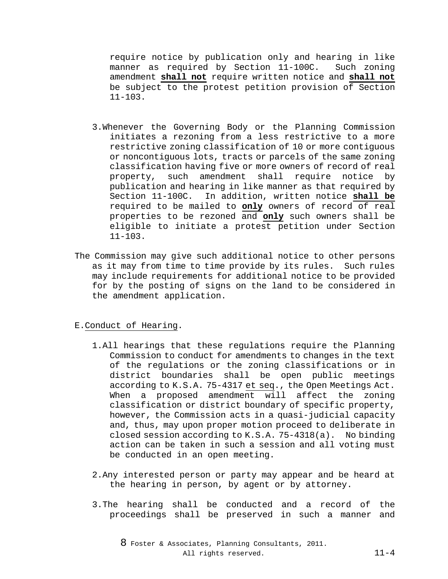require notice by publication only and hearing in like manner as required by Section 11-100C. Such zoning amendment **shall not** require written notice and **shall not** be subject to the protest petition provision of Section 11-103.

- 3.Whenever the Governing Body or the Planning Commission initiates a rezoning from a less restrictive to a more restrictive zoning classification of 10 or more contiguous or noncontiguous lots, tracts or parcels of the same zoning classification having five or more owners of record of real<br>property, such amendment shall require notice by such amendment shall require notice by publication and hearing in like manner as that required by Section 11-100C. In addition, written notice **shall be** required to be mailed to **only** owners of record of real properties to be rezoned and **only** such owners shall be eligible to initiate a protest petition under Section 11-103.
- The Commission may give such additional notice to other persons as it may from time to time provide by its rules. Such rules may include requirements for additional notice to be provided for by the posting of signs on the land to be considered in the amendment application.

### E.Conduct of Hearing.

- 1.All hearings that these regulations require the Planning Commission to conduct for amendments to changes in the text of the regulations or the zoning classifications or in district boundaries shall be open public meetings according to K.S.A. 75-4317 et seq., the Open Meetings Act. When a proposed amendment will affect the zoning classification or district boundary of specific property, however, the Commission acts in a quasi-judicial capacity and, thus, may upon proper motion proceed to deliberate in closed session according to K.S.A. 75-4318(a). No binding action can be taken in such a session and all voting must be conducted in an open meeting.
- 2.Any interested person or party may appear and be heard at the hearing in person, by agent or by attorney.
- 3.The hearing shall be conducted and a record of the proceedings shall be preserved in such a manner and

8 Foster & Associates, Planning Consultants, 2011. All rights reserved. 11-4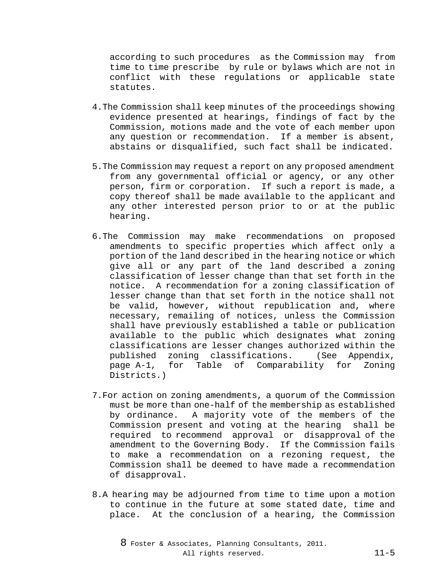according to such procedures as the Commission may from time to time prescribe by rule or bylaws which are not in conflict with these regulations or applicable state statutes.

- 4.The Commission shall keep minutes of the proceedings showing evidence presented at hearings, findings of fact by the Commission, motions made and the vote of each member upon any question or recommendation. If a member is absent, abstains or disqualified, such fact shall be indicated.
- 5.The Commission may request a report on any proposed amendment from any governmental official or agency, or any other person, firm or corporation. If such a report is made, a copy thereof shall be made available to the applicant and any other interested person prior to or at the public hearing.
- 6.The Commission may make recommendations on proposed amendments to specific properties which affect only a portion of the land described in the hearing notice or which give all or any part of the land described a zoning classification of lesser change than that set forth in the notice. A recommendation for a zoning classification of lesser change than that set forth in the notice shall not be valid, however, without republication and, where necessary, remailing of notices, unless the Commission shall have previously established a table or publication available to the public which designates what zoning classifications are lesser changes authorized within the published zoning classifications. (See Appendix, page A-1, for Table of Comparability for Zoning Districts.)
- 7.For action on zoning amendments, a quorum of the Commission must be more than one-half of the membership as established by ordinance. A majority vote of the members of the Commission present and voting at the hearing shall be required to recommend approval or disapproval of the amendment to the Governing Body. If the Commission fails to make a recommendation on a rezoning request, the Commission shall be deemed to have made a recommendation of disapproval.
- 8.A hearing may be adjourned from time to time upon a motion to continue in the future at some stated date, time and place. At the conclusion of a hearing, the Commission

8 Foster & Associates, Planning Consultants, 2011. All rights reserved. 11-5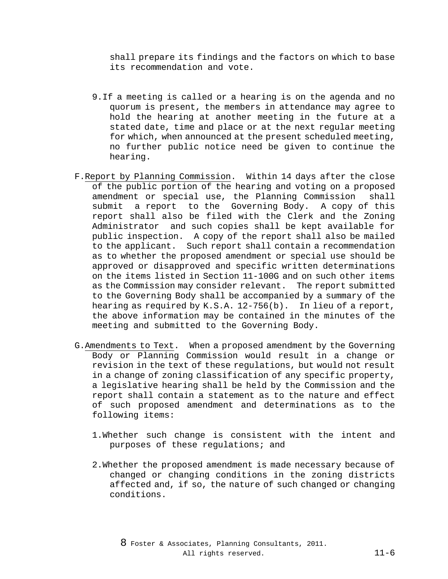shall prepare its findings and the factors on which to base its recommendation and vote.

- 9.If a meeting is called or a hearing is on the agenda and no quorum is present, the members in attendance may agree to hold the hearing at another meeting in the future at a stated date, time and place or at the next regular meeting for which, when announced at the present scheduled meeting, no further public notice need be given to continue the hearing.
- F.Report by Planning Commission. Within 14 days after the close of the public portion of the hearing and voting on a proposed amendment or special use, the Planning Commission shall submit a report to the Governing Body. A copy of this report shall also be filed with the Clerk and the Zoning Administrator and such copies shall be kept available for public inspection. A copy of the report shall also be mailed to the applicant. Such report shall contain a recommendation as to whether the proposed amendment or special use should be approved or disapproved and specific written determinations on the items listed in Section 11-100G and on such other items as the Commission may consider relevant. The report submitted to the Governing Body shall be accompanied by a summary of the hearing as required by K.S.A. 12-756(b). In lieu of a report, the above information may be contained in the minutes of the meeting and submitted to the Governing Body.
- G.Amendments to Text. When a proposed amendment by the Governing Body or Planning Commission would result in a change or revision in the text of these regulations, but would not result in a change of zoning classification of any specific property, a legislative hearing shall be held by the Commission and the report shall contain a statement as to the nature and effect of such proposed amendment and determinations as to the following items:
	- 1.Whether such change is consistent with the intent and purposes of these regulations; and
	- 2.Whether the proposed amendment is made necessary because of changed or changing conditions in the zoning districts affected and, if so, the nature of such changed or changing conditions.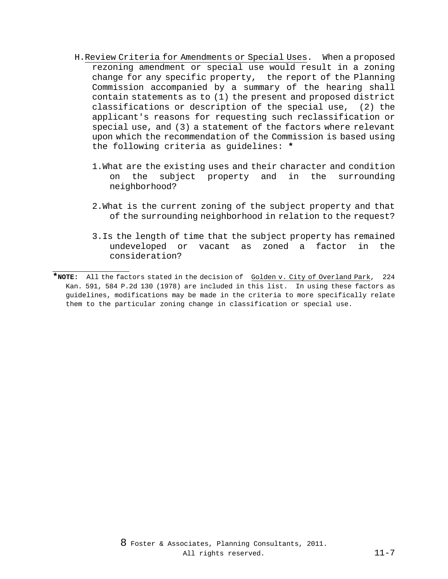- H.Review Criteria for Amendments or Special Uses. When a proposed rezoning amendment or special use would result in a zoning change for any specific property, the report of the Planning Commission accompanied by a summary of the hearing shall contain statements as to (1) the present and proposed district classifications or description of the special use, (2) the applicant's reasons for requesting such reclassification or special use, and (3) a statement of the factors where relevant upon which the recommendation of the Commission is based using the following criteria as guidelines: **\***
	- 1. What are the existing uses and their character and condition<br>on the subject property and in the surrounding on the subject property and in the surrounding neighborhood?
	- 2.What is the current zoning of the subject property and that of the surrounding neighborhood in relation to the request?
	- 3.Is the length of time that the subject property has remained undeveloped or vacant as zoned a factor in the consideration?

j.

**<sup>\*</sup>NOTE:** All the factors stated in the decision of Golden v. City of Overland Park, 224 Kan. 591, 584 P.2d 130 (1978) are included in this list. In using these factors as guidelines, modifications may be made in the criteria to more specifically relate them to the particular zoning change in classification or special use.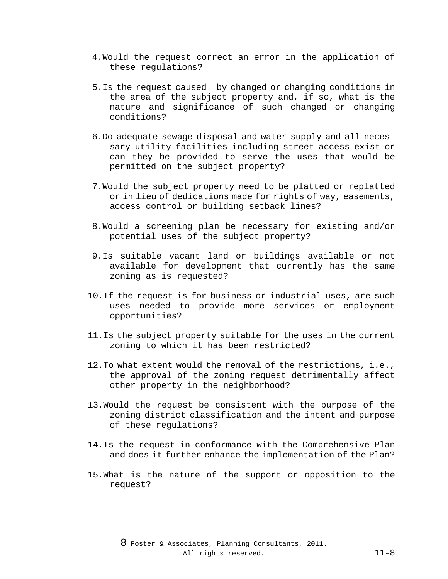- 4.Would the request correct an error in the application of these regulations?
- 5.Is the request caused by changed or changing conditions in the area of the subject property and, if so, what is the nature and significance of such changed or changing conditions?
- 6.Do adequate sewage disposal and water supply and all necessary utility facilities including street access exist or can they be provided to serve the uses that would be permitted on the subject property?
- 7.Would the subject property need to be platted or replatted or in lieu of dedications made for rights of way, easements, access control or building setback lines?
- 8.Would a screening plan be necessary for existing and/or potential uses of the subject property?
- 9.Is suitable vacant land or buildings available or not available for development that currently has the same zoning as is requested?
- 10.If the request is for business or industrial uses, are such uses needed to provide more services or employment opportunities?
- 11.Is the subject property suitable for the uses in the current zoning to which it has been restricted?
- 12.To what extent would the removal of the restrictions, i.e., the approval of the zoning request detrimentally affect other property in the neighborhood?
- 13.Would the request be consistent with the purpose of the zoning district classification and the intent and purpose of these regulations?
- 14.Is the request in conformance with the Comprehensive Plan and does it further enhance the implementation of the Plan?
- 15.What is the nature of the support or opposition to the request?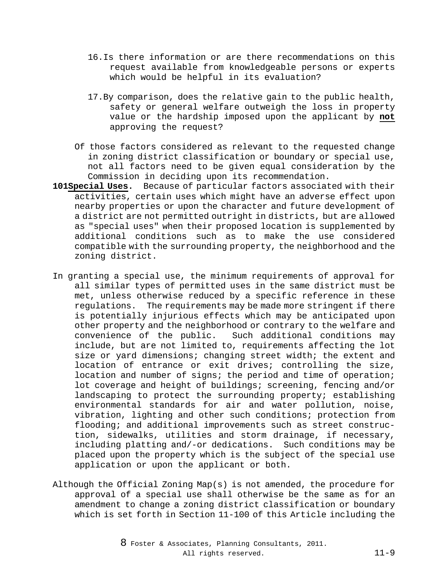- 16.Is there information or are there recommendations on this request available from knowledgeable persons or experts which would be helpful in its evaluation?
- 17.By comparison, does the relative gain to the public health, safety or general welfare outweigh the loss in property value or the hardship imposed upon the applicant by **not** approving the request?
- Of those factors considered as relevant to the requested change in zoning district classification or boundary or special use, not all factors need to be given equal consideration by the Commission in deciding upon its recommendation.
- **101Special Uses.** Because of particular factors associated with their activities, certain uses which might have an adverse effect upon nearby properties or upon the character and future development of a district are not permitted outright in districts, but are allowed as "special uses" when their proposed location is supplemented by additional conditions such as to make the use considered compatible with the surrounding property, the neighborhood and the zoning district.
- In granting a special use, the minimum requirements of approval for all similar types of permitted uses in the same district must be met, unless otherwise reduced by a specific reference in these regulations. The requirements may be made more stringent if there is potentially injurious effects which may be anticipated upon other property and the neighborhood or contrary to the welfare and<br>convenience of the public. Such additional conditions may Such additional conditions may include, but are not limited to, requirements affecting the lot size or yard dimensions; changing street width; the extent and location of entrance or exit drives; controlling the size, location and number of signs; the period and time of operation; lot coverage and height of buildings; screening, fencing and/or landscaping to protect the surrounding property; establishing environmental standards for air and water pollution, noise, vibration, lighting and other such conditions; protection from flooding; and additional improvements such as street construction, sidewalks, utilities and storm drainage, if necessary, including platting and/-or dedications. Such conditions may be placed upon the property which is the subject of the special use application or upon the applicant or both.
- Although the Official Zoning Map(s) is not amended, the procedure for approval of a special use shall otherwise be the same as for an amendment to change a zoning district classification or boundary which is set forth in Section 11-100 of this Article including the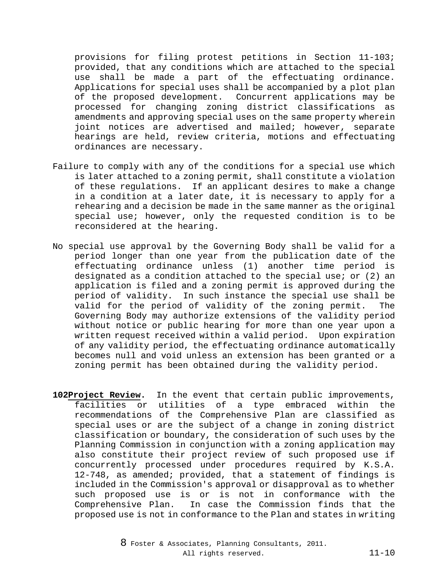provisions for filing protest petitions in Section 11-103; provided, that any conditions which are attached to the special use shall be made a part of the effectuating ordinance. Applications for special uses shall be accompanied by a plot plan of the proposed development. Concurrent applications may be processed for changing zoning district classifications as amendments and approving special uses on the same property wherein joint notices are advertised and mailed; however, separate hearings are held, review criteria, motions and effectuating ordinances are necessary.

- Failure to comply with any of the conditions for a special use which is later attached to a zoning permit, shall constitute a violation of these regulations. If an applicant desires to make a change in a condition at a later date, it is necessary to apply for a rehearing and a decision be made in the same manner as the original special use; however, only the requested condition is to be reconsidered at the hearing.
- No special use approval by the Governing Body shall be valid for a period longer than one year from the publication date of the effectuating ordinance unless (1) another time period is designated as a condition attached to the special use; or  $(2)$  an application is filed and a zoning permit is approved during the period of validity. In such instance the special use shall be<br>valid for the period of validity of the zoning permit. The valid for the period of validity of the zoning permit. Governing Body may authorize extensions of the validity period without notice or public hearing for more than one year upon a written request received within a valid period. Upon expiration of any validity period, the effectuating ordinance automatically becomes null and void unless an extension has been granted or a zoning permit has been obtained during the validity period.
- **102Project Review.** In the event that certain public improvements, facilities or utilities of a type embraced within the recommendations of the Comprehensive Plan are classified as special uses or are the subject of a change in zoning district classification or boundary, the consideration of such uses by the Planning Commission in conjunction with a zoning application may also constitute their project review of such proposed use if concurrently processed under procedures required by K.S.A. 12-748, as amended; provided, that a statement of findings is included in the Commission's approval or disapproval as to whether such proposed use is or is not in conformance with the<br>Comprehensive Plan. In case the Commission finds that the In case the Commission finds that the proposed use is not in conformance to the Plan and states in writing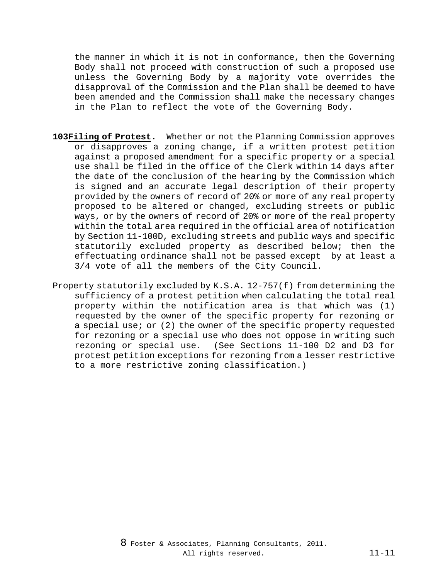the manner in which it is not in conformance, then the Governing Body shall not proceed with construction of such a proposed use unless the Governing Body by a majority vote overrides the disapproval of the Commission and the Plan shall be deemed to have been amended and the Commission shall make the necessary changes in the Plan to reflect the vote of the Governing Body.

- **103Filing of Protest.** Whether or not the Planning Commission approves or disapproves a zoning change, if a written protest petition against a proposed amendment for a specific property or a special use shall be filed in the office of the Clerk within 14 days after the date of the conclusion of the hearing by the Commission which is signed and an accurate legal description of their property provided by the owners of record of 20% or more of any real property proposed to be altered or changed, excluding streets or public ways, or by the owners of record of 20% or more of the real property within the total area required in the official area of notification by Section 11-100D, excluding streets and public ways and specific statutorily excluded property as described below; then the effectuating ordinance shall not be passed except by at least a 3/4 vote of all the members of the City Council.
- Property statutorily excluded by K.S.A. 12-757(f) from determining the sufficiency of a protest petition when calculating the total real property within the notification area is that which was (1) requested by the owner of the specific property for rezoning or a special use; or (2) the owner of the specific property requested for rezoning or a special use who does not oppose in writing such rezoning or special use. (See Sections 11-100 D2 and D3 for protest petition exceptions for rezoning from a lesser restrictive to a more restrictive zoning classification.)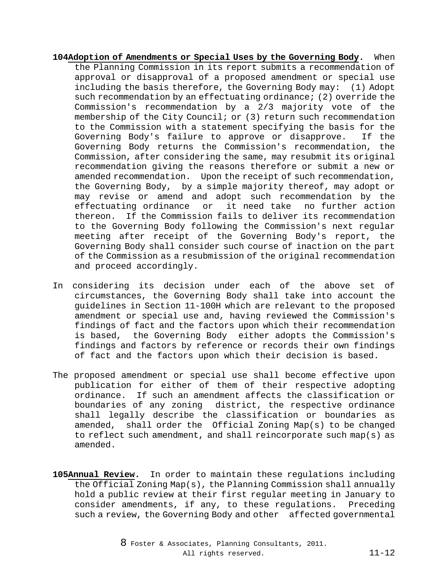- **104Adoption of Amendments or Special Uses by the Governing Body.** When the Planning Commission in its report submits a recommendation of approval or disapproval of a proposed amendment or special use including the basis therefore, the Governing Body may: (1) Adopt such recommendation by an effectuating ordinance; (2) override the Commission's recommendation by a 2/3 majority vote of the membership of the City Council; or (3) return such recommendation to the Commission with a statement specifying the basis for the Governing Body's failure to approve or disapprove. If the Governing Body returns the Commission's recommendation, the Commission, after considering the same, may resubmit its original recommendation giving the reasons therefore or submit a new or amended recommendation. Upon the receipt of such recommendation, the Governing Body, by a simple majority thereof, may adopt or may revise or amend and adopt such recommendation by the effectuating ordinance or it need take no further action thereon. If the Commission fails to deliver its recommendation to the Governing Body following the Commission's next regular meeting after receipt of the Governing Body's report, the Governing Body shall consider such course of inaction on the part of the Commission as a resubmission of the original recommendation and proceed accordingly.
- In considering its decision under each of the above set of circumstances, the Governing Body shall take into account the guidelines in Section 11-100H which are relevant to the proposed amendment or special use and, having reviewed the Commission's findings of fact and the factors upon which their recommendation is based, the Governing Body either adopts the Commission's findings and factors by reference or records their own findings of fact and the factors upon which their decision is based.
- The proposed amendment or special use shall become effective upon publication for either of them of their respective adopting ordinance. If such an amendment affects the classification or boundaries of any zoning district, the respective ordinance shall legally describe the classification or boundaries as amended, shall order the Official Zoning Map(s) to be changed to reflect such amendment, and shall reincorporate such map(s) as amended.
- **105Annual Review.** In order to maintain these regulations including the Official Zoning Map(s), the Planning Commission shall annually hold a public review at their first regular meeting in January to consider amendments, if any, to these regulations. Preceding such a review, the Governing Body and other affected governmental

8 Foster & Associates, Planning Consultants, 2011. All rights reserved. 11-12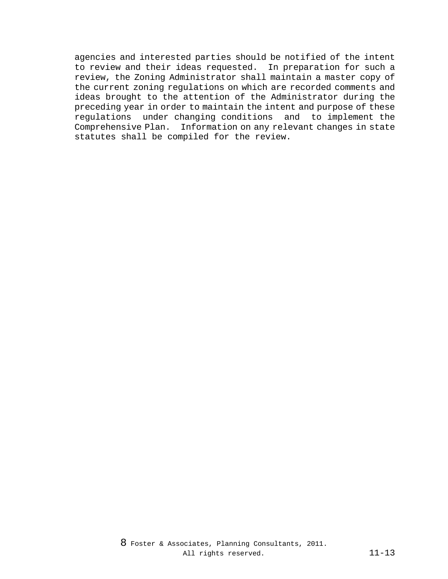agencies and interested parties should be notified of the intent to review and their ideas requested. In preparation for such a review, the Zoning Administrator shall maintain a master copy of the current zoning regulations on which are recorded comments and ideas brought to the attention of the Administrator during the preceding year in order to maintain the intent and purpose of these regulations under changing conditions and to implement the Comprehensive Plan. Information on any relevant changes in state statutes shall be compiled for the review.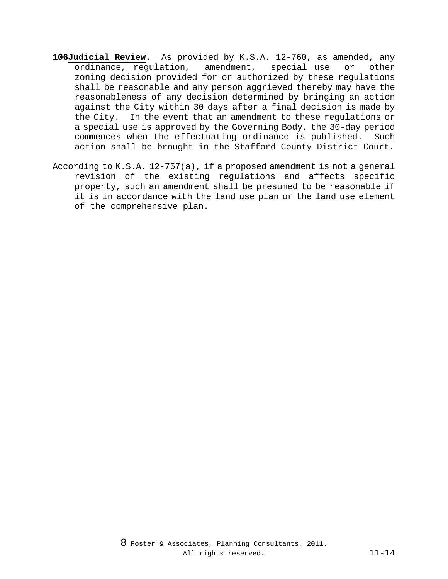- **106Judicial Review.** As provided by K.S.A. 12-760, as amended, any ordinance, regulation, amendment, special use or other zoning decision provided for or authorized by these regulations shall be reasonable and any person aggrieved thereby may have the reasonableness of any decision determined by bringing an action against the City within 30 days after a final decision is made by the City. In the event that an amendment to these regulations or a special use is approved by the Governing Body, the 30-day period commences when the effectuating ordinance is published. Such action shall be brought in the Stafford County District Court.
- According to K.S.A. 12-757(a), if a proposed amendment is not a general revision of the existing regulations and affects specific property, such an amendment shall be presumed to be reasonable if it is in accordance with the land use plan or the land use element of the comprehensive plan.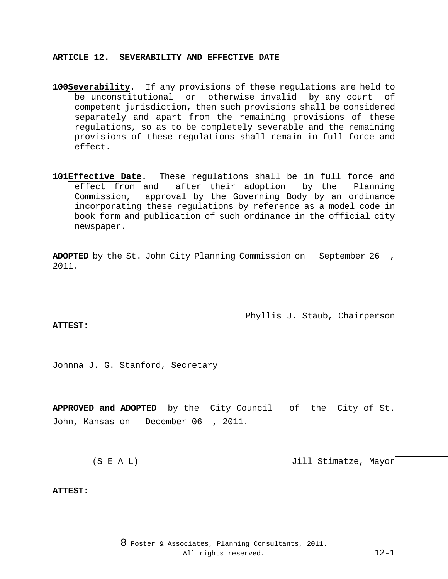# **ARTICLE 12. SEVERABILITY AND EFFECTIVE DATE**

- 100Severability. If any provisions of these regulations are held to<br>be unconstitutional or otherwise invalid by any court of be unconstitutional or otherwise invalid by any court competent jurisdiction, then such provisions shall be considered separately and apart from the remaining provisions of these regulations, so as to be completely severable and the remaining provisions of these regulations shall remain in full force and effect.
- 101**Effective Date.** These regulations shall be in full force and effect from and after their adoption by the Planning effect from and after their adoption by the Planning<br>Commission, approval by the Governing Body by an ordinance approval by the Governing Body by an ordinance incorporating these regulations by reference as a model code in book form and publication of such ordinance in the official city newspaper.

**ADOPTED** by the St. John City Planning Commission on September 26 , 2011.

> j. Phyllis J. Staub, Chairperson

# **ATTEST:**

j. Johnna J. G. Stanford, Secretary

**APPROVED and ADOPTED** by the City Council of the City of St. John, Kansas on December 06 , 2011.

j. (S E A L) Jill Stimatze, Mayor

# **ATTEST:**

j.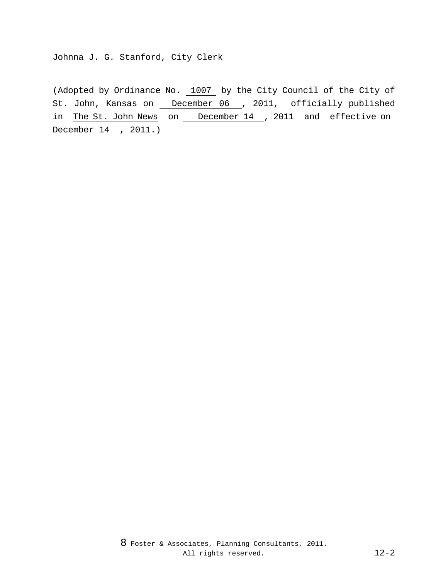Johnna J. G. Stanford, City Clerk

(Adopted by Ordinance No. 1007 by the City Council of the City of St. John, Kansas on \_\_ December 06 \_, 2011, officially published in The St. John News on December 14 , 2011 and effective on December 14 , 2011.)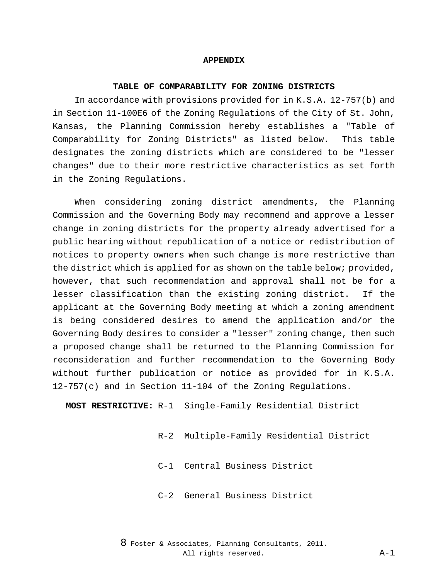## **APPENDIX**

#### **TABLE OF COMPARABILITY FOR ZONING DISTRICTS**

In accordance with provisions provided for in K.S.A. 12-757(b) and in Section 11-100E6 of the Zoning Regulations of the City of St. John, Kansas, the Planning Commission hereby establishes a "Table of Comparability for Zoning Districts" as listed below. This table designates the zoning districts which are considered to be "lesser changes" due to their more restrictive characteristics as set forth in the Zoning Regulations.

When considering zoning district amendments, the Planning Commission and the Governing Body may recommend and approve a lesser change in zoning districts for the property already advertised for a public hearing without republication of a notice or redistribution of notices to property owners when such change is more restrictive than the district which is applied for as shown on the table below; provided, however, that such recommendation and approval shall not be for a lesser classification than the existing zoning district. If the applicant at the Governing Body meeting at which a zoning amendment is being considered desires to amend the application and/or the Governing Body desires to consider a "lesser" zoning change, then such a proposed change shall be returned to the Planning Commission for reconsideration and further recommendation to the Governing Body without further publication or notice as provided for in K.S.A. 12-757(c) and in Section 11-104 of the Zoning Regulations.

**MOST RESTRICTIVE:** R-1 Single-Family Residential District

- R-2 Multiple-Family Residential District
- C-1 Central Business District
- C-2 General Business District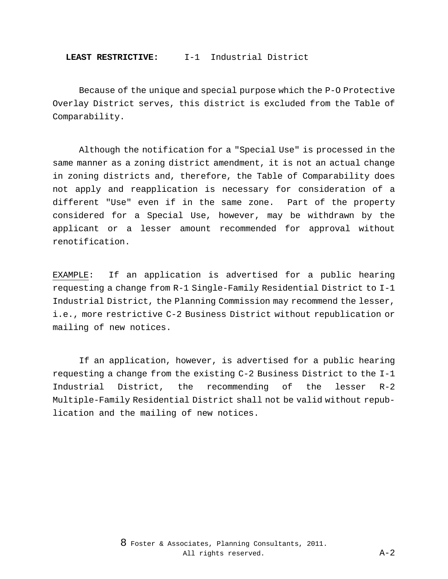Because of the unique and special purpose which the P-O Protective Overlay District serves, this district is excluded from the Table of Comparability.

Although the notification for a "Special Use" is processed in the same manner as a zoning district amendment, it is not an actual change in zoning districts and, therefore, the Table of Comparability does not apply and reapplication is necessary for consideration of a different "Use" even if in the same zone. Part of the property considered for a Special Use, however, may be withdrawn by the applicant or a lesser amount recommended for approval without renotification.

EXAMPLE: If an application is advertised for a public hearing requesting a change from R-1 Single-Family Residential District to I-1 Industrial District, the Planning Commission may recommend the lesser, i.e., more restrictive C-2 Business District without republication or mailing of new notices.

If an application, however, is advertised for a public hearing requesting a change from the existing C-2 Business District to the I-1 Industrial District, the recommending of the lesser R-2 Multiple-Family Residential District shall not be valid without republication and the mailing of new notices.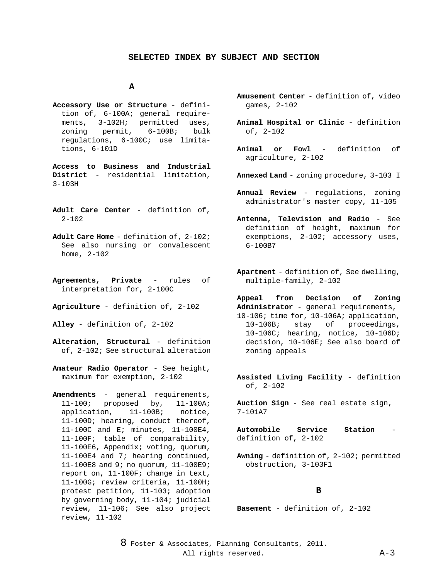## **SELECTED INDEX BY SUBJECT AND SECTION**

# **A**

**Accessory Use or Structure** - definition of, 6-100A; general requirements, 3-102H; permitted uses,<br>zoning permit, 6-100B; bulk  $6-100B;$ regulations, 6-100C; use limitations, 6-101D

**Access to Business and Industrial District** - residential limitation, 3-103H

- **Adult Care Center** definition of,  $2 - 102$
- **Adult Care Home** definition of, 2-102; See also nursing or convalescent home, 2-102
- **Agreements, Private** rules of interpretation for, 2-100C
- **Agriculture** definition of, 2-102

**Alley** - definition of, 2-102

- **Alteration, Structural** definition of, 2-102; See structural alteration
- **Amateur Radio Operator** See height, maximum for exemption, 2-102

**Amendments** - general requirements, 11-100; proposed by, 11-100A; application, 11-100B; notice, 11-100D; hearing, conduct thereof, 11-100C and E; minutes, 11-100E4, 11-100F; table of comparability, 11-100E6, Appendix; voting, quorum, 11-100E4 and 7; hearing continued, 11-100E8 and 9; no quorum, 11-100E9; report on, 11-100F; change in text, 11-100G; review criteria, 11-100H; protest petition, 11-103; adoption by governing body, 11-104; judicial review, 11-106; See also project review, 11-102

- **Amusement Center** definition of, video games, 2-102
- **Animal Hospital or Clinic** definition of, 2-102
- **Animal or Fowl** definition of agriculture, 2-102
- **Annexed Land** zoning procedure, 3-103 I
- **Annual Review** regulations, zoning administrator's master copy, 11-105
- **Antenna, Television and Radio** See definition of height, maximum for exemptions, 2-102; accessory uses, 6-100B7
- **Apartment** definition of, See dwelling, multiple-family, 2-102

**Appeal from Decision of Zoning Administrator** - general requirements, 10-106; time for, 10-106A; application,<br>10-106B; stay of proceedings, proceedings, 10-106C; hearing, notice, 10-106D; decision, 10-106E; See also board of zoning appeals

**Assisted Living Facility** - definition of, 2-102

**Auction Sign** - See real estate sign, 7-101A7

Automobile Service Station definition of, 2-102

**Awning** - definition of, 2-102; permitted obstruction, 3-103F1

## **B**

**Basement** - definition of, 2-102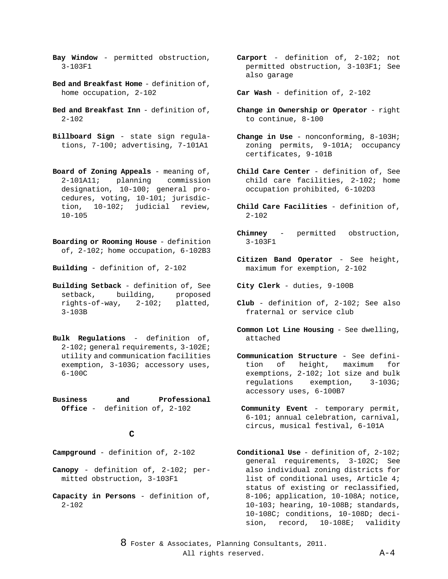- **Bay Window** permitted obstruction, 3-103F1
- **Bed and Breakfast Home** definition of, home occupation, 2-102
- **Bed and Breakfast Inn** definition of,  $2 - 102$
- **Billboard Sign** state sign regulations, 7-100; advertising, 7-101A1
- **Board of Zoning Appeals** meaning of,<br>2-101A11; planning commission planning designation, 10-100; general procedures, voting, 10-101; jurisdiction, 10-102; judicial review, 10-105
- **Boarding or Rooming House** definition of, 2-102; home occupation, 6-102B3

**Building** - definition of, 2-102

- **Building Setback** definition of, See setback, building, proposed rights-of-way, 2-102; platted, 3-103B
- **Bulk Regulations** definition of, 2-102; general requirements, 3-102E; utility and communication facilities exemption, 3-103G; accessory uses, 6-100C
- **Business and Professional Office** - definition of, 2-102

# **C**

- **Campground** definition of, 2-102
- **Canopy** definition of, 2-102; permitted obstruction, 3-103F1
- **Capacity in Persons** definition of,  $2 - 102$
- **Carport** definition of, 2-102; not permitted obstruction, 3-103F1; See also garage
- **Car Wash** definition of, 2-102
- **Change in Ownership or Operator** right to continue, 8-100
- **Change in Use** nonconforming, 8-103H; zoning permits, 9-101A; occupancy certificates, 9-101B
- **Child Care Center** definition of, See child care facilities, 2-102; home occupation prohibited, 6-102D3
- **Child Care Facilities** definition of, 2-102
- **Chimney** permitted obstruction, 3-103F1
- **Citizen Band Operator** See height, maximum for exemption, 2-102

**City Clerk** - duties, 9-100B

- **Club**  definition of, 2-102; See also fraternal or service club
- **Common Lot Line Housing** See dwelling, attached
- **Communication Structure** See definition of height, maximum for exemptions, 2-102; lot size and bulk regulations exemption, 3-103G; accessory uses, 6-100B7
	- **Community Event** temporary permit, 6-101; annual celebration, carnival, circus, musical festival, 6-101A
- **Conditional Use** definition of, 2-102; general requirements, 3-102C; See also individual zoning districts for list of conditional uses, Article 4; status of existing or reclassified, 8-106; application, 10-108A; notice, 10-103; hearing, 10-108B; standards, 10-108C; conditions, 10-108D; decision, record, 10-108E; validity
- 8 Foster & Associates, Planning Consultants, 2011. All rights reserved.  $A-4$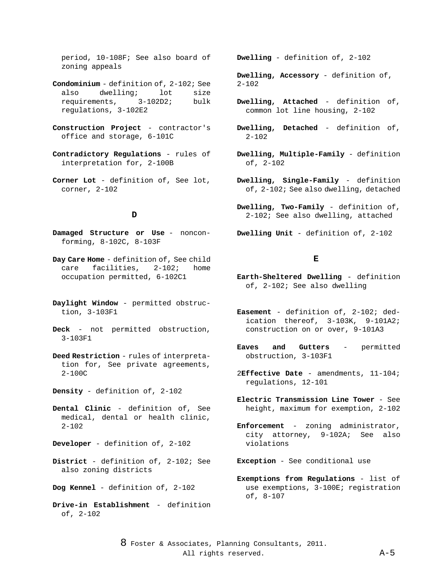period, 10-108F; See also board of zoning appeals

- **Condominium** definition of, 2-102; See also dwelling; lot size<br>requirements, 3-102D2; bulk requirements, 3-102D2; bulk regulations, 3-102E2
- **Construction Project** contractor's office and storage, 6-101C
- **Contradictory Regulations** rules of interpretation for, 2-100B
- **Corner Lot** definition of, See lot, corner, 2-102

#### **D**

- **Damaged Structure or Use** nonconforming, 8-102C, 8-103F
- **Day Care Home** definition of, See child care facilities, 2-102; home occupation permitted, 6-102C1
- **Daylight Window** permitted obstruction, 3-103F1
- **Deck** not permitted obstruction, 3-103F1
- **Deed Restriction** rules of interpretation for, See private agreements, 2-100C
- **Density** definition of, 2-102
- **Dental Clinic** definition of, See medical, dental or health clinic, 2-102
- **Developer** definition of, 2-102
- **District** definition of, 2-102; See also zoning districts
- **Dog Kennel** definition of, 2-102
- **Drive-in Establishment** definition of, 2-102

**Dwelling** - definition of, 2-102

**Dwelling, Accessory** - definition of, 2-102

- **Dwelling, Attached** definition of, common lot line housing, 2-102
- **Dwelling, Detached** definition of, 2-102
- **Dwelling, Multiple-Family** definition of, 2-102
- **Dwelling, Single-Family** definition of, 2-102; See also dwelling, detached
- **Dwelling, Two-Family** definition of, 2-102; See also dwelling, attached
- **Dwelling Unit** definition of, 2-102

## **E**

- **Earth-Sheltered Dwelling** definition of, 2-102; See also dwelling
- **Easement** definition of, 2-102; dedication thereof, 3-103K, 9-101A2; construction on or over, 9-101A3
- **Eaves and Gutters** permitted obstruction, 3-103F1
- 2**Effective Date** amendments, 11-104; regulations, 12-101
- **Electric Transmission Line Tower** See height, maximum for exemption, 2-102
- **Enforcement** zoning administrator, city attorney, 9-102A; See also violations
- **Exception** See conditional use
- **Exemptions from Regulations** list of use exemptions, 3-100E; registration of, 8-107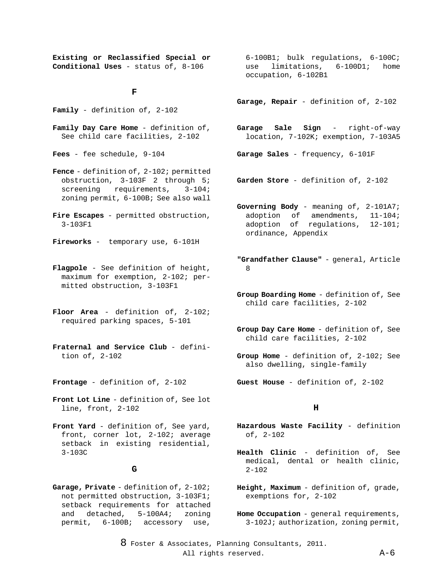**Existing or Reclassified Special or Conditional Uses** - status of, 8-106

#### **F**

**Family** - definition of, 2-102

**Family Day Care Home** - definition of, See child care facilities, 2-102

**Fees** - fee schedule, 9-104

- **Fence** definition of, 2-102; permitted obstruction, 3-103F 2 through 5;<br>screening requirements, 3-104; requirements, 3-104; zoning permit, 6-100B; See also wall
- **Fire Escapes** permitted obstruction, 3-103F1
- **Fireworks** temporary use, 6-101H
- **Flagpole** See definition of height, maximum for exemption, 2-102; permitted obstruction, 3-103F1
- **Floor Area** definition of, 2-102; required parking spaces, 5-101
- **Fraternal and Service Club** definition of, 2-102

**Frontage** - definition of, 2-102

- **Front Lot Line** definition of, See lot line, front, 2-102
- **Front Yard** definition of, See yard, front, corner lot, 2-102; average setback in existing residential, 3-103C

#### **G**

**Garage, Private** - definition of, 2-102; not permitted obstruction, 3-103F1; setback requirements for attached<br>and detached, 5-100A4; zoning  $detached, 5-100A4;$ permit, 6-100B; accessory use,

 $6-100B1$ ; bulk regulations,  $6-100C$ ;<br>use limitations.  $6-100D1$ ; home use limitations, 6-100D1; home occupation, 6-102B1

**Garage, Repair** - definition of, 2-102

- **Garage Sale Sign** right-of-way location, 7-102K; exemption, 7-103A5
- **Garage Sales** frequency, 6-101F
- **Garden Store** definition of, 2-102
- **Governing Body** meaning of, 2-101A7; adoption of amendments, 11-104;<br>adoption of regulations, 12-101; adoption of regulations, ordinance, Appendix
- **"Grandfather Clause"** general, Article 8
- **Group Boarding Home** definition of, See child care facilities, 2-102
- **Group Day Care Home** definition of, See child care facilities, 2-102
- **Group Home** definition of, 2-102; See also dwelling, single-family
- **Guest House** definition of, 2-102

## **H**

- **Hazardous Waste Facility** definition of, 2-102
- **Health Clinic** definition of, See medical, dental or health clinic, 2-102
- **Height, Maximum** definition of, grade, exemptions for, 2-102

**Home Occupation** - general requirements, 3-102J; authorization, zoning permit,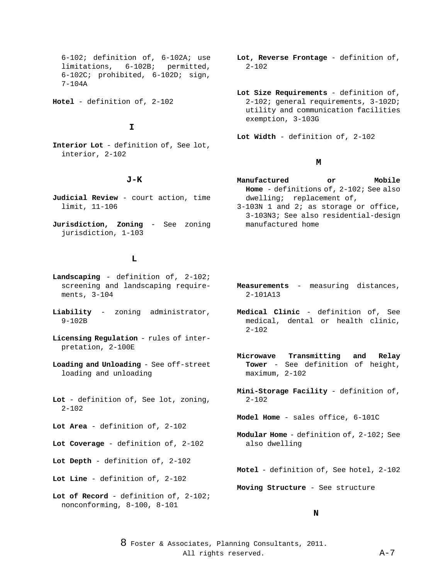$6-102$ ; definition of,  $6-102A$ ; use<br>limitations,  $6-102B$ ; permitted, 6-102B; permitted, 6-102C; prohibited, 6-102D; sign, 7-104A

**Hotel** - definition of, 2-102

#### **I**

**Interior Lot** - definition of, See lot, interior, 2-102

# **J-K**

- **Judicial Review** court action, time limit, 11-106
- **Jurisdiction, Zoning** See zoning jurisdiction, 1-103

# **L**

**Landscaping** - definition of, 2-102; screening and landscaping requirements, 3-104

- **Liability** zoning administrator, 9-102B
- **Licensing Regulation** rules of interpretation, 2-100E
- **Loading and Unloading** See off-street loading and unloading
- **Lot** definition of, See lot, zoning, 2-102

**Lot Area** - definition of, 2-102

- **Lot Coverage** definition of, 2-102
- **Lot Depth** definition of, 2-102
- **Lot Line** definition of, 2-102
- **Lot of Record** definition of, 2-102; nonconforming, 8-100, 8-101
- **Lot, Reverse Frontage** definition of, 2-102
- **Lot Size Requirements** definition of, 2-102; general requirements, 3-102D; utility and communication facilities exemption, 3-103G

**Lot Width** - definition of, 2-102

# **M**

- **Manufactured or Mobile Home** - definitions of, 2-102; See also dwelling; replacement of,
- 3-103N 1 and 2; as storage or office, 3-103N3; See also residential-design manufactured home
- **Measurements** measuring distances, 2-101A13
- **Medical Clinic** definition of, See medical, dental or health clinic, 2-102
- **Microwave Transmitting and Relay Tower** - See definition of height, maximum, 2-102
- **Mini-Storage Facility** definition of,  $2 - 102$

**Model Home** - sales office, 6-101C

**Modular Home** - definition of, 2-102; See also dwelling

**Motel** - definition of, See hotel, 2-102

**Moving Structure** - See structure

#### **N**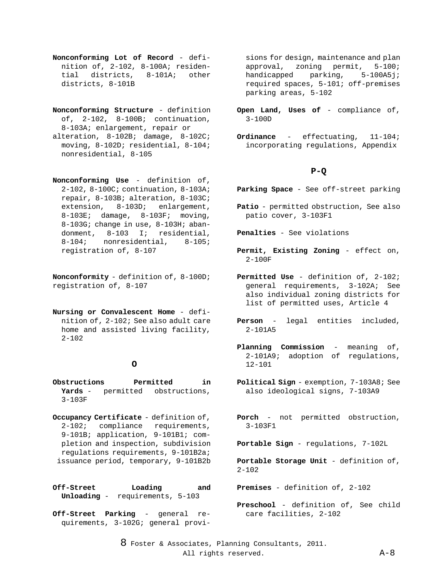- **Nonconforming Lot of Record** definition of, 2-102, 8-100A; residen-<br>tial districts. 8-101A; other districts, 8-101A; districts, 8-101B
- **Nonconforming Structure**  definition of, 2-102, 8-100B; continuation, 8-103A; enlargement, repair or alteration, 8-102B; damage, 8-102C; moving, 8-102D; residential, 8-104; nonresidential, 8-105
- **Nonconforming Use** definition of, 2-102, 8-100C; continuation, 8-103A; repair, 8-103B; alteration, 8-103C; extension, 8-103D; enlargement, 8-103E; damage, 8-103F; moving, 8-103G; change in use, 8-103H; abandonment, 8-103 I; residential,<br>8-104; nonresidential, 8-105; nonresidential, registration of, 8-107

**Nonconformity** - definition of, 8-100D; registration of, 8-107

**Nursing or Convalescent Home** - definition of, 2-102; See also adult care home and assisted living facility, 2-102

## **O**

- **Obstructions Permitted in Yards** - permitted obstructions, 3-103F
- **Occupancy Certificate** definition of, 2-102; compliance requirements, 9-101B; application, 9-101B1; completion and inspection, subdivision regulations requirements, 9-101B2a; issuance period, temporary, 9-101B2b

**Off-Street Loading and Unloading** - requirements, 5-103

**Off-Street Parking** - general requirements, 3-102G; general provi-

sions for design, maintenance and plan approval, zoning permit, 5-100; handicapped parking, 5-100A5j; required spaces, 5-101; off-premises parking areas, 5-102

- **Open Land, Uses of** compliance of, 3-100D
- **Ordinance** effectuating, 11-104; incorporating regulations, Appendix

# **P-Q**

- **Parking Space** See off-street parking
- **Patio** permitted obstruction, See also patio cover, 3-103F1
- **Penalties** See violations
- **Permit, Existing Zoning** effect on,  $2 - 100F$
- **Permitted Use** definition of, 2-102; general requirements, 3-102A; See also individual zoning districts for list of permitted uses, Article 4
- **Person** legal entities included, 2-101A5
- **Planning Commission** meaning of, 2-101A9; adoption of regulations, 12-101
- **Political Sign** exemption, 7-103A8; See also ideological signs, 7-103A9
- **Porch** not permitted obstruction, 3-103F1
- **Portable Sign** regulations, 7-102L
- **Portable Storage Unit** definition of,  $2 - 102$

**Premises** - definition of, 2-102

**Preschool** - definition of, See child care facilities, 2-102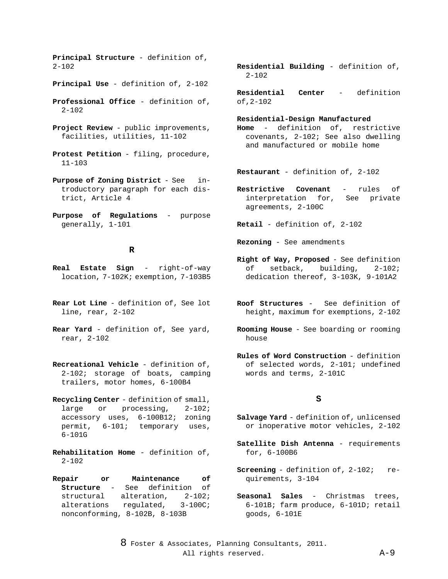**Principal Structure** - definition of,  $2 - 102$ 

- **Principal Use** definition of, 2-102
- **Professional Office** definition of,  $2 - 102$
- **Project Review** public improvements, facilities, utilities, 11-102
- **Protest Petition** filing, procedure, 11-103
- **Purpose of Zoning District** See introductory paragraph for each district, Article 4
- **Purpose of Regulations** purpose generally, 1-101

# **R**

- **Real Estate Sign** right-of-way location, 7-102K; exemption, 7-103B5
- **Rear Lot Line** definition of, See lot line, rear, 2-102
- **Rear Yard** definition of, See yard, rear, 2-102
- **Recreational Vehicle**  definition of, 2-102; storage of boats, camping trailers, motor homes, 6-100B4
- **Recycling Center** definition of small,<br>large or processing,  $2-102i$ large or processing, accessory uses, 6-100B12; zoning permit, 6-101; temporary uses, 6-101G
- **Rehabilitation Home** definition of,  $2 - 102$
- **Repair or Maintenance of Structure** - See definition of structural alteration, 2-102; alterations regulated, 3-100C; nonconforming, 8-102B, 8-103B
- **Residential Building** definition of, 2-102
- **Residential Center** definition of,2-102

#### **Residential-Design Manufactured**

- **Home** definition of, restrictive covenants, 2-102; See also dwelling and manufactured or mobile home
- **Restaurant** definition of, 2-102
- **Restrictive Covenant** rules of interpretation for, See private agreements, 2-100C
- **Retail** definition of, 2-102
- **Rezoning** See amendments
- **Right of Way, Proposed** See definition of setback, building, 2-102; dedication thereof, 3-103K, 9-101A2
- **Roof Structures** See definition of height, maximum for exemptions, 2-102
- **Rooming House** See boarding or rooming house
- **Rules of Word Construction** definition of selected words, 2-101; undefined words and terms, 2-101C

#### **S**

- **Salvage Yard** definition of, unlicensed or inoperative motor vehicles, 2-102
- **Satellite Dish Antenna** requirements for, 6-100B6
- **Screening** definition of, 2-102; requirements, 3-104
- **Seasonal Sales** Christmas trees, 6-101B; farm produce, 6-101D; retail goods, 6-101E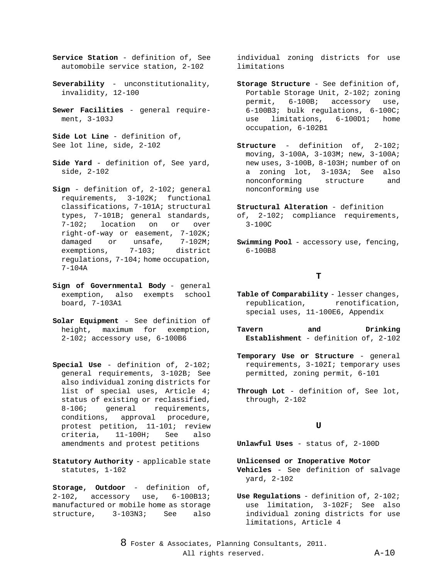- **Service Station** definition of, See automobile service station, 2-102
- **Severability** unconstitutionality, invalidity, 12-100
- **Sewer Facilities** general requirement, 3-103J
- **Side Lot Line** definition of, See lot line, side, 2-102
- **Side Yard** definition of, See yard, side, 2-102
- **Sign** definition of, 2-102; general requirements, 3-102K; functional classifications, 7-101A; structural types, 7-101B; general standards,<br>7-102; location on or over or over right-of-way or easement, 7-102K;<br>damaged or unsafe, 7-102M; unsafe,<br>7-103; exemptions, 7-103; district regulations, 7-104; home occupation, 7-104A
- **Sign of Governmental Body** general exemption, also exempts school board, 7-103A1
- **Solar Equipment** See definition of height, maximum for exemption, 2-102; accessory use, 6-100B6
- **Special Use** definition of, 2-102; general requirements, 3-102B; See also individual zoning districts for list of special uses, Article 4; status of existing or reclassified, 8-106; general requirements, conditions, approval procedure, protest petition, 11-101; review criteria, 11-100H; See also amendments and protest petitions
- **Statutory Authority** applicable state statutes, 1-102
- **Storage, Outdoor** definition of, 2-102, accessory use, 6-100B13; manufactured or mobile home as storage structure, 3-103N3; See also

individual zoning districts for use limitations

- **Storage Structure** See definition of, Portable Storage Unit, 2-102; zoning permit, 6-100B; accessory use,  $6-100B3$ ; bulk regulations,  $6-100C$ ;<br>use limitations,  $6-100D1$ ; home use limitations, 6-100D1; home occupation, 6-102B1
- **Structure** definition of, 2-102; moving, 3-100A, 3-103M; new, 3-100A; new uses, 3-100B, 8-103H; number of on a zoning lot, 3-103A; See also nonconforming structure and nonconforming use
- **Structural Alteration** definition of, 2-102; compliance requirements, 3-100C
- **Swimming Pool** accessory use, fencing, 6-100B8

# **T**

- Table of Comparability lesser changes, republication, renotification, special uses, 11-100E6, Appendix
- **Tavern and Drinking Establishment** - definition of, 2-102
- **Temporary Use or Structure** general requirements, 3-102I; temporary uses permitted, zoning permit, 6-101
- **Through Lot** definition of, See lot, through, 2-102

# **U**

**Unlawful Uses** - status of, 2-100D

- **Unlicensed or Inoperative Motor Vehicles** - See definition of salvage yard, 2-102
- **Use Regulations** definition of, 2-102; use limitation, 3-102F; See also individual zoning districts for use limitations, Article 4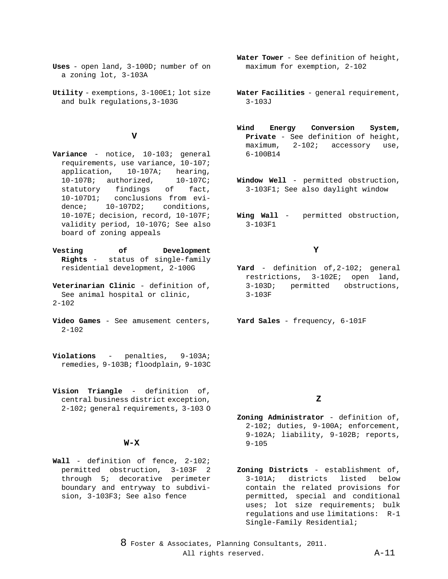- **Uses** open land, 3-100D; number of on a zoning lot, 3-103A
- **Utility** exemptions, 3-100E1; lot size and bulk regulations,3-103G

#### **V**

- **Variance** notice, 10-103; general requirements, use variance, 10-107; 10-107A; hearing,<br>orized, 10-107C; 10-107B; authorized, 10<br>statutory findings of statutory findings of fact, 10-107D1; conclusions from evidence; 10-107D2; conditions, 10-107E; decision, record, 10-107F; validity period, 10-107G; See also board of zoning appeals
- **Vesting of Development Rights** - status of single-family residential development, 2-100G
- **Veterinarian Clinic** definition of, See animal hospital or clinic,  $2 - 102$
- **Video Games** See amusement centers,  $2 - 102$
- **Violations** penalties, 9-103A; remedies, 9-103B; floodplain, 9-103C
- **Vision Triangle** definition of, central business district exception, 2-102; general requirements, 3-103 O

#### **W-X**

**Wall** - definition of fence, 2-102; permitted obstruction, 3-103F 2 through 5; decorative perimeter boundary and entryway to subdivision, 3-103F3; See also fence

- **Water Tower** See definition of height, maximum for exemption, 2-102
- **Water Facilities** general requirement, 3-103J
- **Wind Energy Conversion System, Private** - See definition of height,  $2-102$ ; accessory use, 6-100B14
- **Window Well** permitted obstruction, 3-103F1; See also daylight window
- **Wing Wall** permitted obstruction, 3-103F1

# **Y**

**Yard** - definition of,2-102; general restrictions, 3-102E; open land, 3-103D; permitted obstructions, 3-103F

**Yard Sales** - frequency, 6-101F

## **Z**

- **Zoning Administrator** definition of, 2-102; duties, 9-100A; enforcement, 9-102A; liability, 9-102B; reports, 9-105
- **Zoning Districts** establishment of,<br>3-101A; districts listed below 3-101A; districts contain the related provisions for permitted, special and conditional uses; lot size requirements; bulk regulations and use limitations: R-1 Single-Family Residential;
- 8 Foster & Associates, Planning Consultants, 2011. All rights reserved. A-11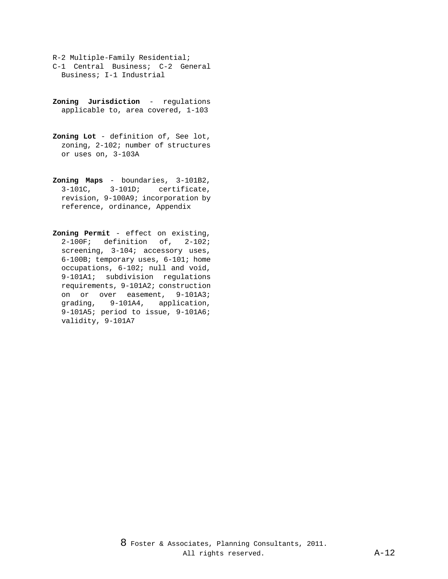- R-2 Multiple-Family Residential; C-1 Central Business; C-2 General Business; I-1 Industrial
- **Zoning Jurisdiction** regulations applicable to, area covered, 1-103
- **Zoning Lot** definition of, See lot, zoning, 2-102; number of structures or uses on, 3-103A
- **Zoning Maps** boundaries, 3-101B2,<br>3-101C, 3-101D; certificate,  $3-101C, 3-101D;$ revision, 9-100A9; incorporation by reference, ordinance, Appendix
- **Zoning Permit** effect on existing, 2-100F; definition of, 2-102; screening, 3-104; accessory uses, 6-100B; temporary uses, 6-101; home occupations, 6-102; null and void, 9-101A1; subdivision regulations requirements, 9-101A2; construction on or over easement, 9-101A3; grading, 9-101A4, application, 9-101A5; period to issue, 9-101A6; validity, 9-101A7